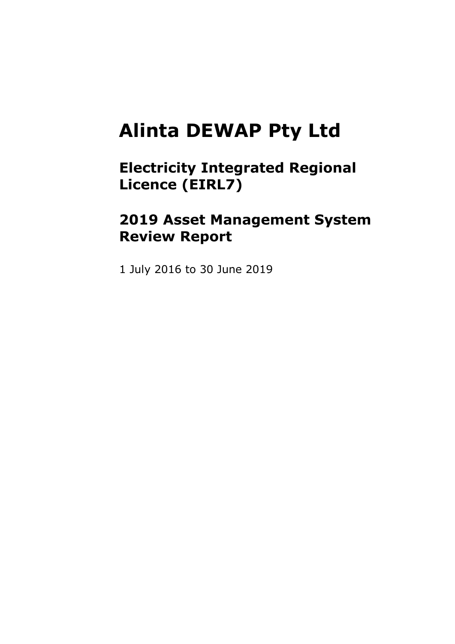# **Alinta DEWAP Pty Ltd**

**Electricity Integrated Regional Licence (EIRL7)**

# **2019 Asset Management System Review Report**

1 July 2016 to 30 June 2019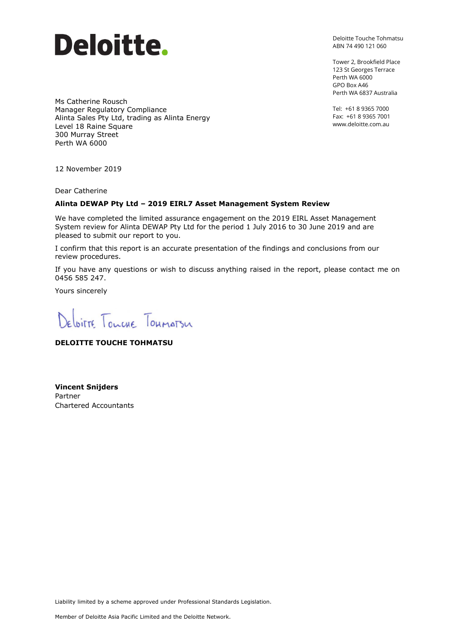

Deloitte Touche Tohmatsu ABN 74 490 121 060

Tower 2, Brookfield Place 123 St Georges Terrace Perth WA 6000 GPO Box A46 Perth WA 6837 Australia

Tel: +61 8 9365 7000 Fax: +61 8 9365 7001 www.deloitte.com.au

Ms Catherine Rousch Manager Regulatory Compliance Alinta Sales Pty Ltd, trading as Alinta Energy Level 18 Raine Square 300 Murray Street Perth WA 6000

12 November 2019

Dear Catherine

#### **Alinta DEWAP Pty Ltd – 2019 EIRL7 Asset Management System Review**

We have completed the limited assurance engagement on the 2019 EIRL Asset Management System review for Alinta DEWAP Pty Ltd for the period 1 July 2016 to 30 June 2019 and are pleased to submit our report to you.

I confirm that this report is an accurate presentation of the findings and conclusions from our review procedures.

If you have any questions or wish to discuss anything raised in the report, please contact me on 0456 585 247.

Yours sincerely

Deloitte Tourne Toumatsu

#### **DELOITTE TOUCHE TOHMATSU**

**Vincent Snijders** Partner Chartered Accountants

Liability limited by a scheme approved under Professional Standards Legislation.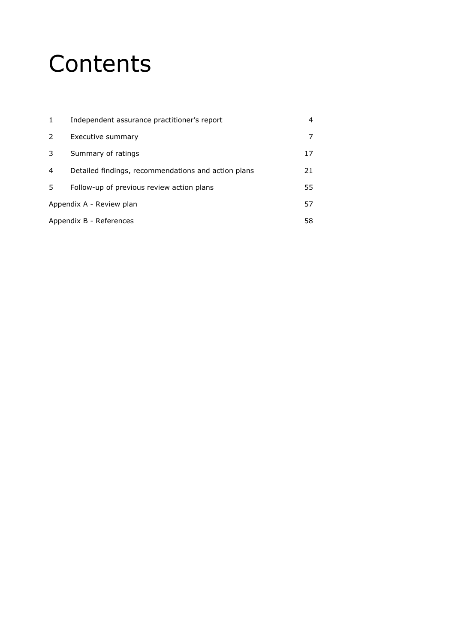# **Contents**

| $\mathbf{1}$ | Independent assurance practitioner's report         |    |
|--------------|-----------------------------------------------------|----|
| 2            | Executive summary                                   |    |
| 3            | Summary of ratings                                  | 17 |
| 4            | Detailed findings, recommendations and action plans | 21 |
| 5.           | Follow-up of previous review action plans           | 55 |
|              | Appendix A - Review plan                            | 57 |
|              | Appendix B - References                             | 58 |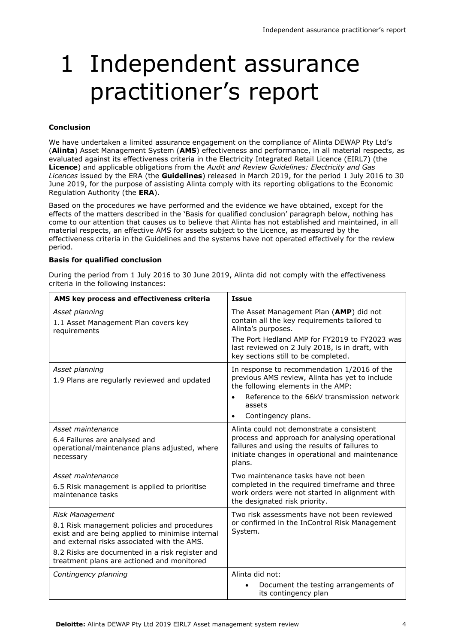# 1 Independent assurance practitioner's report

#### **Conclusion**

We have undertaken a limited assurance engagement on the compliance of Alinta DEWAP Pty Ltd's (**Alinta**) Asset Management System (**AMS**) effectiveness and performance, in all material respects, as evaluated against its effectiveness criteria in the Electricity Integrated Retail Licence (EIRL7) (the **Licence**) and applicable obligations from the *Audit and Review Guidelines: Electricity and Gas Licences* issued by the ERA (the **Guidelines**) released in March 2019, for the period 1 July 2016 to 30 June 2019, for the purpose of assisting Alinta comply with its reporting obligations to the Economic Regulation Authority (the **ERA**).

Based on the procedures we have performed and the evidence we have obtained, except for the effects of the matters described in the 'Basis for qualified conclusion' paragraph below, nothing has come to our attention that causes us to believe that Alinta has not established and maintained, in all material respects, an effective AMS for assets subject to the Licence, as measured by the effectiveness criteria in the Guidelines and the systems have not operated effectively for the review period.

#### **Basis for qualified conclusion**

| AMS key process and effectiveness criteria                                                                                                                                                                                                                         | <b>Issue</b>                                                                                                                                                                                              |
|--------------------------------------------------------------------------------------------------------------------------------------------------------------------------------------------------------------------------------------------------------------------|-----------------------------------------------------------------------------------------------------------------------------------------------------------------------------------------------------------|
| Asset planning<br>1.1 Asset Management Plan covers key<br>requirements                                                                                                                                                                                             | The Asset Management Plan (AMP) did not<br>contain all the key requirements tailored to<br>Alinta's purposes.                                                                                             |
|                                                                                                                                                                                                                                                                    | The Port Hedland AMP for FY2019 to FY2023 was<br>last reviewed on 2 July 2018, is in draft, with<br>key sections still to be completed.                                                                   |
| Asset planning<br>1.9 Plans are regularly reviewed and updated                                                                                                                                                                                                     | In response to recommendation 1/2016 of the<br>previous AMS review, Alinta has yet to include<br>the following elements in the AMP:<br>Reference to the 66kV transmission network                         |
|                                                                                                                                                                                                                                                                    | assets<br>Contingency plans.<br>$\bullet$                                                                                                                                                                 |
| Asset maintenance<br>6.4 Failures are analysed and<br>operational/maintenance plans adjusted, where<br>necessary                                                                                                                                                   | Alinta could not demonstrate a consistent<br>process and approach for analysing operational<br>failures and using the results of failures to<br>initiate changes in operational and maintenance<br>plans. |
| Asset maintenance<br>6.5 Risk management is applied to prioritise<br>maintenance tasks                                                                                                                                                                             | Two maintenance tasks have not been<br>completed in the required timeframe and three<br>work orders were not started in alignment with<br>the designated risk priority.                                   |
| Risk Management<br>8.1 Risk management policies and procedures<br>exist and are being applied to minimise internal<br>and external risks associated with the AMS.<br>8.2 Risks are documented in a risk register and<br>treatment plans are actioned and monitored | Two risk assessments have not been reviewed<br>or confirmed in the InControl Risk Management<br>System.                                                                                                   |
| Contingency planning                                                                                                                                                                                                                                               | Alinta did not:<br>Document the testing arrangements of<br>its contingency plan                                                                                                                           |

During the period from 1 July 2016 to 30 June 2019, Alinta did not comply with the effectiveness criteria in the following instances: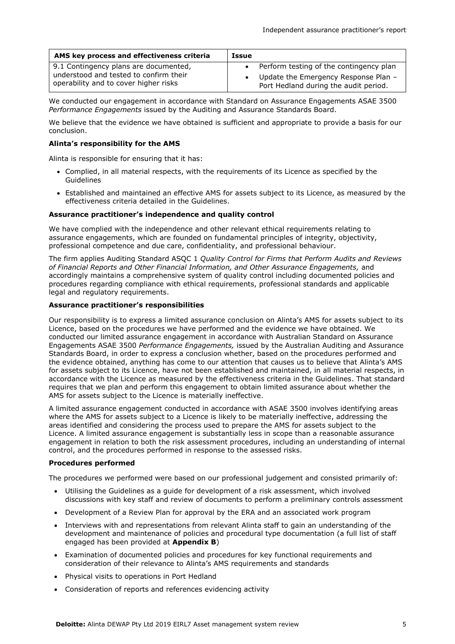| AMS key process and effectiveness criteria | Issue                                     |
|--------------------------------------------|-------------------------------------------|
| 9.1 Contingency plans are documented,      | • Perform testing of the contingency plan |
| understood and tested to confirm their     | Update the Emergency Response Plan -      |
| operability and to cover higher risks      | Port Hedland during the audit period.     |

We conducted our engagement in accordance with Standard on Assurance Engagements ASAE 3500 *Performance Engagements* issued by the Auditing and Assurance Standards Board.

We believe that the evidence we have obtained is sufficient and appropriate to provide a basis for our conclusion.

#### **Alinta's responsibility for the AMS**

Alinta is responsible for ensuring that it has:

- Complied, in all material respects, with the requirements of its Licence as specified by the **Guidelines**
- Established and maintained an effective AMS for assets subject to its Licence, as measured by the effectiveness criteria detailed in the Guidelines.

#### **Assurance practitioner's independence and quality control**

We have complied with the independence and other relevant ethical requirements relating to assurance engagements, which are founded on fundamental principles of integrity, objectivity, professional competence and due care, confidentiality, and professional behaviour.

The firm applies Auditing Standard ASQC 1 *Quality Control for Firms that Perform Audits and Reviews of Financial Reports and Other Financial Information, and Other Assurance Engagements,* and accordingly maintains a comprehensive system of quality control including documented policies and procedures regarding compliance with ethical requirements, professional standards and applicable legal and regulatory requirements.

#### **Assurance practitioner's responsibilities**

Our responsibility is to express a limited assurance conclusion on Alinta's AMS for assets subject to its Licence, based on the procedures we have performed and the evidence we have obtained. We conducted our limited assurance engagement in accordance with Australian Standard on Assurance Engagements ASAE 3500 *Performance Engagements,* issued by the Australian Auditing and Assurance Standards Board, in order to express a conclusion whether, based on the procedures performed and the evidence obtained, anything has come to our attention that causes us to believe that Alinta's AMS for assets subject to its Licence, have not been established and maintained, in all material respects, in accordance with the Licence as measured by the effectiveness criteria in the Guidelines. That standard requires that we plan and perform this engagement to obtain limited assurance about whether the AMS for assets subject to the Licence is materially ineffective.

A limited assurance engagement conducted in accordance with ASAE 3500 involves identifying areas where the AMS for assets subject to a Licence is likely to be materially ineffective, addressing the areas identified and considering the process used to prepare the AMS for assets subject to the Licence. A limited assurance engagement is substantially less in scope than a reasonable assurance engagement in relation to both the risk assessment procedures, including an understanding of internal control, and the procedures performed in response to the assessed risks.

#### **Procedures performed**

The procedures we performed were based on our professional judgement and consisted primarily of:

- Utilising the Guidelines as a guide for development of a risk assessment, which involved discussions with key staff and review of documents to perform a preliminary controls assessment
- Development of a Review Plan for approval by the ERA and an associated work program
- Interviews with and representations from relevant Alinta staff to gain an understanding of the development and maintenance of policies and procedural type documentation (a full list of staff engaged has been provided at **Appendix B**)
- Examination of documented policies and procedures for key functional requirements and consideration of their relevance to Alinta's AMS requirements and standards
- Physical visits to operations in Port Hedland
- Consideration of reports and references evidencing activity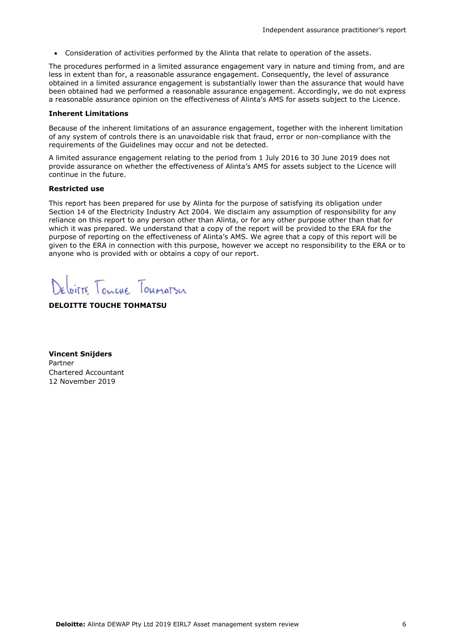Consideration of activities performed by the Alinta that relate to operation of the assets.

The procedures performed in a limited assurance engagement vary in nature and timing from, and are less in extent than for, a reasonable assurance engagement. Consequently, the level of assurance obtained in a limited assurance engagement is substantially lower than the assurance that would have been obtained had we performed a reasonable assurance engagement. Accordingly, we do not express a reasonable assurance opinion on the effectiveness of Alinta's AMS for assets subject to the Licence.

#### **Inherent Limitations**

Because of the inherent limitations of an assurance engagement, together with the inherent limitation of any system of controls there is an unavoidable risk that fraud, error or non-compliance with the requirements of the Guidelines may occur and not be detected.

A limited assurance engagement relating to the period from 1 July 2016 to 30 June 2019 does not provide assurance on whether the effectiveness of Alinta's AMS for assets subject to the Licence will continue in the future.

#### **Restricted use**

This report has been prepared for use by Alinta for the purpose of satisfying its obligation under Section 14 of the Electricity Industry Act 2004. We disclaim any assumption of responsibility for any reliance on this report to any person other than Alinta, or for any other purpose other than that for which it was prepared. We understand that a copy of the report will be provided to the ERA for the purpose of reporting on the effectiveness of Alinta's AMS. We agree that a copy of this report will be given to the ERA in connection with this purpose, however we accept no responsibility to the ERA or to anyone who is provided with or obtains a copy of our report.

Deloitte Tourne Toumatsu

#### **DELOITTE TOUCHE TOHMATSU**

**Vincent Snijders** Partner Chartered Accountant 12 November 2019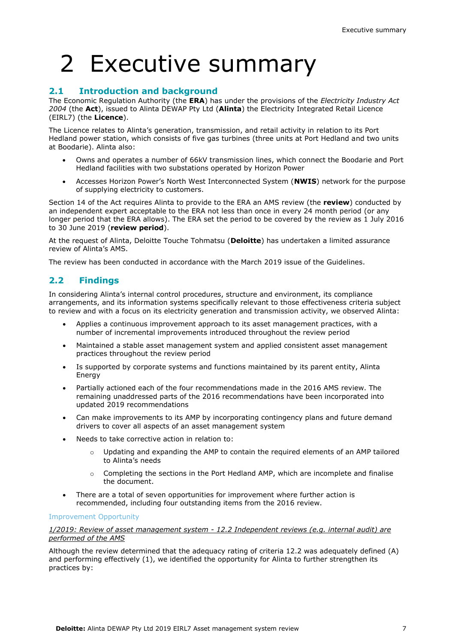# 2 Executive summary

### **2.1 Introduction and background**

The Economic Regulation Authority (the **ERA**) has under the provisions of the *Electricity Industry Act 2004* (the **Act**), issued to Alinta DEWAP Pty Ltd (**Alinta**) the Electricity Integrated Retail Licence (EIRL7) (the **Licence**).

The Licence relates to Alinta's generation, transmission, and retail activity in relation to its Port Hedland power station, which consists of five gas turbines (three units at Port Hedland and two units at Boodarie). Alinta also:

- Owns and operates a number of 66kV transmission lines, which connect the Boodarie and Port Hedland facilities with two substations operated by Horizon Power
- Accesses Horizon Power's North West Interconnected System (**NWIS**) network for the purpose of supplying electricity to customers.

Section 14 of the Act requires Alinta to provide to the ERA an AMS review (the **review**) conducted by an independent expert acceptable to the ERA not less than once in every 24 month period (or any longer period that the ERA allows). The ERA set the period to be covered by the review as 1 July 2016 to 30 June 2019 (**review period**).

At the request of Alinta, Deloitte Touche Tohmatsu (**Deloitte**) has undertaken a limited assurance review of Alinta's AMS.

The review has been conducted in accordance with the March 2019 issue of the Guidelines.

### **2.2 Findings**

In considering Alinta's internal control procedures, structure and environment, its compliance arrangements, and its information systems specifically relevant to those effectiveness criteria subject to review and with a focus on its electricity generation and transmission activity, we observed Alinta:

- Applies a continuous improvement approach to its asset management practices, with a number of incremental improvements introduced throughout the review period
- Maintained a stable asset management system and applied consistent asset management practices throughout the review period
- Is supported by corporate systems and functions maintained by its parent entity, Alinta Energy
- Partially actioned each of the four recommendations made in the 2016 AMS review. The remaining unaddressed parts of the 2016 recommendations have been incorporated into updated 2019 recommendations
- Can make improvements to its AMP by incorporating contingency plans and future demand drivers to cover all aspects of an asset management system
- Needs to take corrective action in relation to:
	- $\circ$  Updating and expanding the AMP to contain the required elements of an AMP tailored to Alinta's needs
	- o Completing the sections in the Port Hedland AMP, which are incomplete and finalise the document.
- There are a total of seven opportunities for improvement where further action is recommended, including four outstanding items from the 2016 review.

#### Improvement Opportunity

*1/2019: Review of asset management system - 12.2 Independent reviews (e.g. internal audit) are performed of the AMS*

Although the review determined that the adequacy rating of criteria 12.2 was adequately defined (A) and performing effectively (1), we identified the opportunity for Alinta to further strengthen its practices by: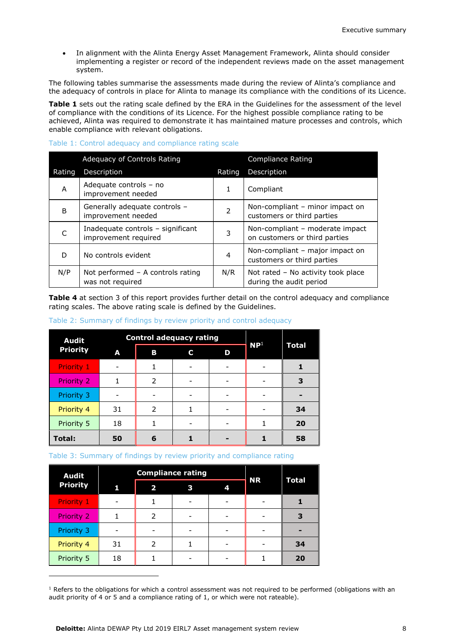In alignment with the Alinta Energy Asset Management Framework, Alinta should consider implementing a register or record of the independent reviews made on the asset management system.

The following tables summarise the assessments made during the review of Alinta's compliance and the adequacy of controls in place for Alinta to manage its compliance with the conditions of its Licence.

**Table 1** sets out the rating scale defined by the ERA in the Guidelines for the assessment of the level of compliance with the conditions of its Licence. For the highest possible compliance rating to be achieved, Alinta was required to demonstrate it has maintained mature processes and controls, which enable compliance with relevant obligations.

#### Table 1: Control adequacy and compliance rating scale

|        | Adequacy of Controls Rating                               |                          | <b>Compliance Rating</b>                                         |
|--------|-----------------------------------------------------------|--------------------------|------------------------------------------------------------------|
| Rating | Description                                               | Rating                   | Description                                                      |
| A      | Adequate controls - no<br>improvement needed              | 1                        | Compliant                                                        |
| B      | Generally adequate controls -<br>improvement needed       | $\overline{\phantom{a}}$ | Non-compliant – minor impact on<br>customers or third parties    |
|        | Inadequate controls - significant<br>improvement required | 3                        | Non-compliant - moderate impact<br>on customers or third parties |
| D      | No controls evident                                       | 4                        | Non-compliant - major impact on<br>customers or third parties    |
| N/P    | Not performed $-$ A controls rating<br>was not required   | N/R                      | Not rated - No activity took place<br>during the audit period    |

**Table 4** at section 3 of this report provides further detail on the control adequacy and compliance rating scales. The above rating scale is defined by the Guidelines.

#### Table 2: Summary of findings by review priority and control adequacy

| <b>Audit</b>      |    |               | <b>Control adequacy rating</b> |   |                 |       |
|-------------------|----|---------------|--------------------------------|---|-----------------|-------|
| <b>Priority</b>   | A  | В             | C                              | D | NP <sup>1</sup> | Total |
| <b>Priority 1</b> |    |               |                                |   |                 |       |
| Priority 2        |    | $\mathcal{P}$ |                                |   |                 | З     |
| Priority 3        |    |               |                                |   |                 |       |
| Priority 4        | 31 | $\mathcal{P}$ |                                |   |                 | 34    |
| Priority 5        | 18 |               |                                |   |                 | 20    |
| Total:            | 50 | 6             |                                |   |                 | 58    |

#### Table 3: Summary of findings by review priority and compliance rating

| <b>Audit</b>      |    |                         | <b>Compliance rating</b> |   |           |              |
|-------------------|----|-------------------------|--------------------------|---|-----------|--------------|
| <b>Priority</b>   |    | $\overline{\mathbf{z}}$ | 3                        | 4 | <b>NR</b> | <b>Total</b> |
| <b>Priority 1</b> |    |                         |                          |   |           |              |
| Priority 2        |    | $\mathcal{P}$           |                          |   |           |              |
| Priority 3        |    |                         |                          |   |           |              |
| Priority 4        | 31 | 2                       |                          |   |           | 34           |
| Priority 5        | 18 |                         |                          |   |           | 20           |

 $1$  Refers to the obligations for which a control assessment was not required to be performed (obligations with an audit priority of 4 or 5 and a compliance rating of 1, or which were not rateable).

ł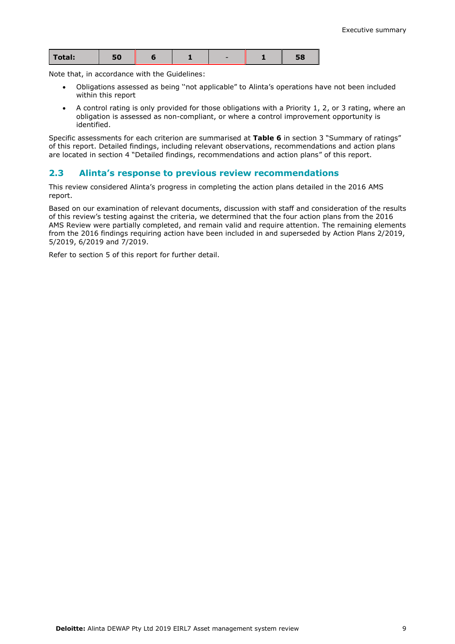| Total:<br>эυ<br>- - |
|---------------------|
|---------------------|

Note that, in accordance with the Guidelines:

- Obligations assessed as being ''not applicable" to Alinta's operations have not been included within this report
- A control rating is only provided for those obligations with a Priority 1, 2, or 3 rating, where an obligation is assessed as non-compliant, or where a control improvement opportunity is identified.

Specific assessments for each criterion are summarised at **Table 6** in section 3 "Summary of ratings" of this report. Detailed findings, including relevant observations, recommendations and action plans are located in section 4 "Detailed findings, recommendations and action plans" of this report.

#### **2.3 Alinta's response to previous review recommendations**

This review considered Alinta's progress in completing the action plans detailed in the 2016 AMS report.

Based on our examination of relevant documents, discussion with staff and consideration of the results of this review's testing against the criteria, we determined that the four action plans from the 2016 AMS Review were partially completed, and remain valid and require attention. The remaining elements from the 2016 findings requiring action have been included in and superseded by Action Plans 2/2019, 5/2019, 6/2019 and 7/2019.

Refer to section 5 of this report for further detail.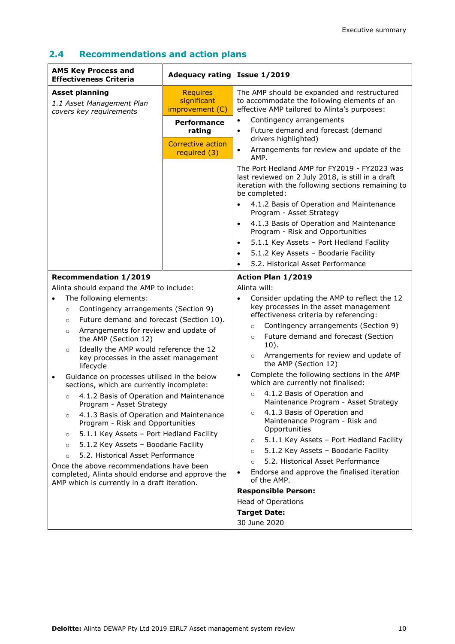| <b>AMS Key Process and</b><br><b>Effectiveness Criteria</b>                                                                                                                                                                                                                                                                                                                                                                                                                                                                                                                                                                                                                                                                                                                                                                                                                                                               | <b>Adequacy rating</b>                                                   | <b>Issue 1/2019</b>                                                                                                                                                                                                                                                                                                                                                                                                                                                                                                                                                                                                                                                                                                                                                                                                                               |
|---------------------------------------------------------------------------------------------------------------------------------------------------------------------------------------------------------------------------------------------------------------------------------------------------------------------------------------------------------------------------------------------------------------------------------------------------------------------------------------------------------------------------------------------------------------------------------------------------------------------------------------------------------------------------------------------------------------------------------------------------------------------------------------------------------------------------------------------------------------------------------------------------------------------------|--------------------------------------------------------------------------|---------------------------------------------------------------------------------------------------------------------------------------------------------------------------------------------------------------------------------------------------------------------------------------------------------------------------------------------------------------------------------------------------------------------------------------------------------------------------------------------------------------------------------------------------------------------------------------------------------------------------------------------------------------------------------------------------------------------------------------------------------------------------------------------------------------------------------------------------|
| <b>Asset planning</b><br>1.1 Asset Management Plan<br>covers key requirements                                                                                                                                                                                                                                                                                                                                                                                                                                                                                                                                                                                                                                                                                                                                                                                                                                             | <b>Requires</b><br>significant<br>improvement (C)                        | The AMP should be expanded and restructured<br>to accommodate the following elements of an<br>effective AMP tailored to Alinta's purposes:                                                                                                                                                                                                                                                                                                                                                                                                                                                                                                                                                                                                                                                                                                        |
|                                                                                                                                                                                                                                                                                                                                                                                                                                                                                                                                                                                                                                                                                                                                                                                                                                                                                                                           | <b>Performance</b><br>rating<br><b>Corrective action</b><br>required (3) | Contingency arrangements<br>Future demand and forecast (demand<br>$\bullet$<br>drivers highlighted)<br>Arrangements for review and update of the<br>$\bullet$<br>AMP.<br>The Port Hedland AMP for FY2019 - FY2023 was<br>last reviewed on 2 July 2018, is still in a draft<br>iteration with the following sections remaining to<br>be completed:<br>4.1.2 Basis of Operation and Maintenance<br>$\bullet$                                                                                                                                                                                                                                                                                                                                                                                                                                        |
|                                                                                                                                                                                                                                                                                                                                                                                                                                                                                                                                                                                                                                                                                                                                                                                                                                                                                                                           |                                                                          | Program - Asset Strategy<br>4.1.3 Basis of Operation and Maintenance<br>$\bullet$<br>Program - Risk and Opportunities<br>5.1.1 Key Assets - Port Hedland Facility<br>$\bullet$<br>5.1.2 Key Assets - Boodarie Facility<br>$\bullet$<br>5.2. Historical Asset Performance<br>$\bullet$                                                                                                                                                                                                                                                                                                                                                                                                                                                                                                                                                             |
| <b>Recommendation 1/2019</b>                                                                                                                                                                                                                                                                                                                                                                                                                                                                                                                                                                                                                                                                                                                                                                                                                                                                                              |                                                                          | Action Plan 1/2019                                                                                                                                                                                                                                                                                                                                                                                                                                                                                                                                                                                                                                                                                                                                                                                                                                |
| Alinta should expand the AMP to include:                                                                                                                                                                                                                                                                                                                                                                                                                                                                                                                                                                                                                                                                                                                                                                                                                                                                                  |                                                                          | Alinta will:                                                                                                                                                                                                                                                                                                                                                                                                                                                                                                                                                                                                                                                                                                                                                                                                                                      |
| The following elements:<br>Contingency arrangements (Section 9)<br>$\circ$<br>Future demand and forecast (Section 10).<br>$\circ$<br>Arrangements for review and update of<br>$\circ$<br>the AMP (Section 12)<br>Ideally the AMP would reference the 12<br>$\circ$<br>key processes in the asset management<br>lifecycle<br>Guidance on processes utilised in the below<br>$\bullet$<br>sections, which are currently incomplete:<br>4.1.2 Basis of Operation and Maintenance<br>$\circ$<br>Program - Asset Strategy<br>4.1.3 Basis of Operation and Maintenance<br>$\circ$<br>Program - Risk and Opportunities<br>5.1.1 Key Assets - Port Hedland Facility<br>$\circ$<br>5.1.2 Key Assets - Boodarie Facility<br>$\circ$<br>5.2. Historical Asset Performance<br>$\circ$<br>Once the above recommendations have been<br>completed, Alinta should endorse and approve the<br>AMP which is currently in a draft iteration. |                                                                          | Consider updating the AMP to reflect the 12<br>$\bullet$<br>key processes in the asset management<br>effectiveness criteria by referencing:<br>Contingency arrangements (Section 9)<br>$\circ$<br>Future demand and forecast (Section<br>$\circ$<br>$10$ ).<br>Arrangements for review and update of<br>$\circ$<br>the AMP (Section 12)<br>Complete the following sections in the AMP<br>$\bullet$<br>which are currently not finalised:<br>4.1.2 Basis of Operation and<br>$\circ$<br>Maintenance Program - Asset Strategy<br>4.1.3 Basis of Operation and<br>$\circ$<br>Maintenance Program - Risk and<br>Opportunities<br>5.1.1 Key Assets - Port Hedland Facility<br>$\circ$<br>5.1.2 Key Assets - Boodarie Facility<br>$\circ$<br>5.2. Historical Asset Performance<br>$\circ$<br>Endorse and approve the finalised iteration<br>of the AMP. |
|                                                                                                                                                                                                                                                                                                                                                                                                                                                                                                                                                                                                                                                                                                                                                                                                                                                                                                                           |                                                                          | <b>Responsible Person:</b><br><b>Head of Operations</b><br><b>Target Date:</b><br>30 June 2020                                                                                                                                                                                                                                                                                                                                                                                                                                                                                                                                                                                                                                                                                                                                                    |

# **2.4 Recommendations and action plans**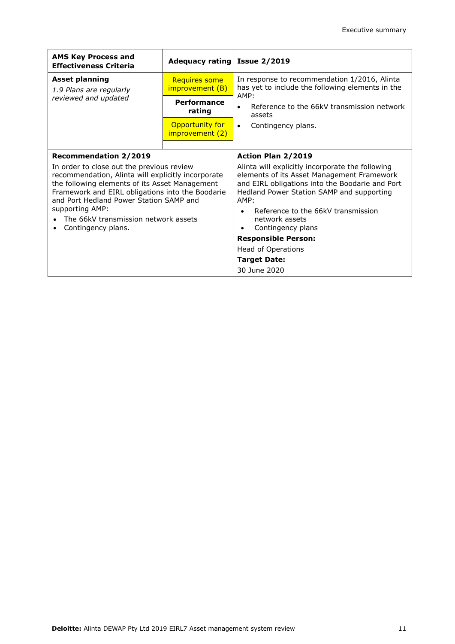| <b>AMS Key Process and</b><br><b>Effectiveness Criteria</b>                                                                                   | Adequacy rating Issue 2/2019       |                                                                                                                      |  |  |
|-----------------------------------------------------------------------------------------------------------------------------------------------|------------------------------------|----------------------------------------------------------------------------------------------------------------------|--|--|
| <b>Asset planning</b><br><b>Requires some</b><br>improvement (B)<br>1.9 Plans are regularly                                                   |                                    | In response to recommendation 1/2016, Alinta<br>has yet to include the following elements in the                     |  |  |
| reviewed and updated                                                                                                                          | Performance<br>rating              | AMP:<br>Reference to the 66kV transmission network<br>assets                                                         |  |  |
|                                                                                                                                               | Opportunity for<br>improvement (2) | Contingency plans.<br>$\bullet$                                                                                      |  |  |
| <b>Recommendation 2/2019</b><br>In order to close out the previous review<br>recommendation, Alinta will explicitly incorporate               |                                    | Action Plan 2/2019<br>Alinta will explicitly incorporate the following<br>elements of its Asset Management Framework |  |  |
| the following elements of its Asset Management<br>Framework and EIRL obligations into the Boodarie<br>and Port Hedland Power Station SAMP and |                                    | and EIRL obligations into the Boodarie and Port<br>Hedland Power Station SAMP and supporting<br>AMP:                 |  |  |
| supporting AMP:<br>The 66kV transmission network assets<br>Contingency plans.                                                                 |                                    | Reference to the 66kV transmission<br>network assets<br>Contingency plans                                            |  |  |
|                                                                                                                                               |                                    | <b>Responsible Person:</b>                                                                                           |  |  |
|                                                                                                                                               |                                    | <b>Head of Operations</b>                                                                                            |  |  |
|                                                                                                                                               |                                    | <b>Target Date:</b><br>30 June 2020                                                                                  |  |  |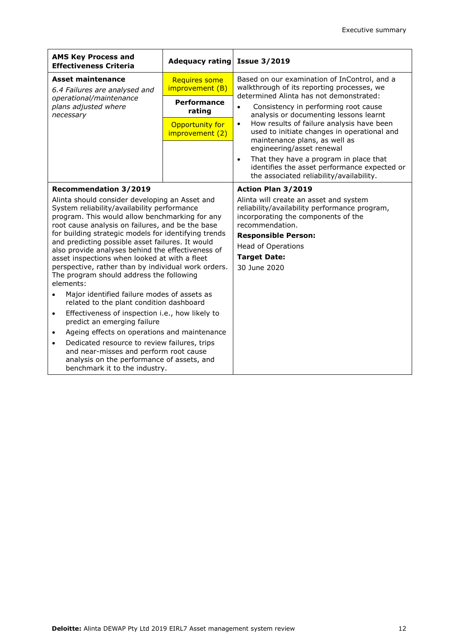| <b>AMS Key Process and</b><br><b>Effectiveness Criteria</b>                                                                                                                                         | Adequacy rating                    | <b>Issue 3/2019</b>                                                                                                                               |  |  |
|-----------------------------------------------------------------------------------------------------------------------------------------------------------------------------------------------------|------------------------------------|---------------------------------------------------------------------------------------------------------------------------------------------------|--|--|
| <b>Asset maintenance</b><br><b>Requires some</b><br>improvement (B)<br>6.4 Failures are analysed and                                                                                                |                                    | Based on our examination of InControl, and a<br>walkthrough of its reporting processes, we                                                        |  |  |
| operational/maintenance<br>plans adjusted where<br>necessary                                                                                                                                        | <b>Performance</b><br>rating       | determined Alinta has not demonstrated:<br>Consistency in performing root cause<br>$\bullet$<br>analysis or documenting lessons learnt            |  |  |
|                                                                                                                                                                                                     | Opportunity for<br>improvement (2) | How results of failure analysis have been<br>$\bullet$<br>used to initiate changes in operational and<br>maintenance plans, as well as            |  |  |
|                                                                                                                                                                                                     |                                    | engineering/asset renewal                                                                                                                         |  |  |
|                                                                                                                                                                                                     |                                    | That they have a program in place that<br>$\bullet$<br>identifies the asset performance expected or<br>the associated reliability/availability.   |  |  |
| <b>Recommendation 3/2019</b>                                                                                                                                                                        |                                    | Action Plan 3/2019                                                                                                                                |  |  |
| Alinta should consider developing an Asset and<br>System reliability/availability performance<br>program. This would allow benchmarking for any<br>root cause analysis on failures, and be the base |                                    | Alinta will create an asset and system<br>reliability/availability performance program,<br>incorporating the components of the<br>recommendation. |  |  |
| for building strategic models for identifying trends                                                                                                                                                |                                    | <b>Responsible Person:</b>                                                                                                                        |  |  |
| and predicting possible asset failures. It would<br>also provide analyses behind the effectiveness of                                                                                               |                                    | <b>Head of Operations</b>                                                                                                                         |  |  |
| asset inspections when looked at with a fleet                                                                                                                                                       |                                    | <b>Target Date:</b>                                                                                                                               |  |  |
| perspective, rather than by individual work orders.                                                                                                                                                 |                                    | 30 June 2020                                                                                                                                      |  |  |
| The program should address the following                                                                                                                                                            |                                    |                                                                                                                                                   |  |  |
| elements:                                                                                                                                                                                           |                                    |                                                                                                                                                   |  |  |
| Major identified failure modes of assets as<br>$\bullet$<br>related to the plant condition dashboard                                                                                                |                                    |                                                                                                                                                   |  |  |
| Effectiveness of inspection i.e., how likely to<br>$\bullet$<br>predict an emerging failure                                                                                                         |                                    |                                                                                                                                                   |  |  |
| Ageing effects on operations and maintenance<br>$\bullet$                                                                                                                                           |                                    |                                                                                                                                                   |  |  |
| Dedicated resource to review failures, trips<br>$\bullet$                                                                                                                                           |                                    |                                                                                                                                                   |  |  |
| and near-misses and perform root cause                                                                                                                                                              |                                    |                                                                                                                                                   |  |  |
| analysis on the performance of assets, and<br>benchmark it to the industry.                                                                                                                         |                                    |                                                                                                                                                   |  |  |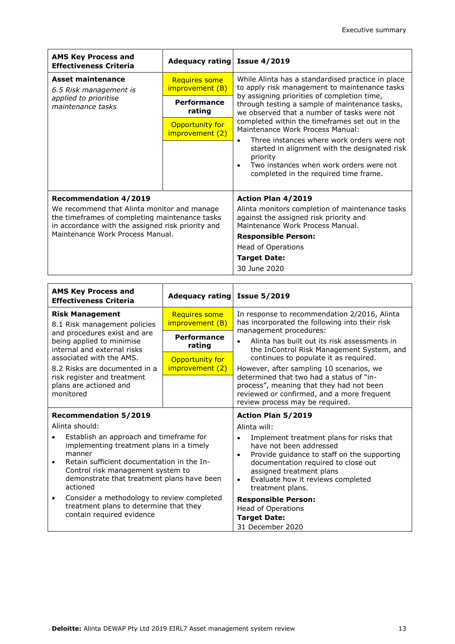| <b>AMS Key Process and</b><br><b>Effectiveness Criteria</b>                                                                                        | Adequacy rating Issue 4/2019            |                                                                                                                                                                                                                                          |
|----------------------------------------------------------------------------------------------------------------------------------------------------|-----------------------------------------|------------------------------------------------------------------------------------------------------------------------------------------------------------------------------------------------------------------------------------------|
| Asset maintenance<br>6.5 Risk management is                                                                                                        | <b>Requires some</b><br>improvement (B) | While Alinta has a standardised practice in place<br>to apply risk management to maintenance tasks                                                                                                                                       |
| applied to prioritise<br>maintenance tasks                                                                                                         | Performance<br>rating                   | by assigning priorities of completion time,<br>through testing a sample of maintenance tasks,<br>we observed that a number of tasks were not                                                                                             |
|                                                                                                                                                    | Opportunity for<br>improvement (2)      | completed within the timeframes set out in the<br>Maintenance Work Process Manual:<br>Three instances where work orders were not<br>started in alignment with the designated risk<br>priority<br>Two instances when work orders were not |
|                                                                                                                                                    |                                         | completed in the required time frame.                                                                                                                                                                                                    |
| <b>Recommendation 4/2019</b>                                                                                                                       |                                         | <b>Action Plan 4/2019</b>                                                                                                                                                                                                                |
| We recommend that Alinta monitor and manage<br>the timeframes of completing maintenance tasks<br>in accordance with the assigned risk priority and |                                         | Alinta monitors completion of maintenance tasks<br>against the assigned risk priority and<br>Maintenance Work Process Manual.                                                                                                            |
| Maintenance Work Process Manual.                                                                                                                   |                                         | <b>Responsible Person:</b>                                                                                                                                                                                                               |
|                                                                                                                                                    |                                         | Head of Operations                                                                                                                                                                                                                       |
|                                                                                                                                                    |                                         | <b>Target Date:</b>                                                                                                                                                                                                                      |
|                                                                                                                                                    |                                         | 30 June 2020                                                                                                                                                                                                                             |

| <b>AMS Key Process and</b><br>Adequacy rating Issue 5/2019<br><b>Effectiveness Criteria</b>                                                                                                                                                             |                                         |                                                                                                                                                                                                                                                             |
|---------------------------------------------------------------------------------------------------------------------------------------------------------------------------------------------------------------------------------------------------------|-----------------------------------------|-------------------------------------------------------------------------------------------------------------------------------------------------------------------------------------------------------------------------------------------------------------|
| <b>Risk Management</b><br>8.1 Risk management policies                                                                                                                                                                                                  | <b>Requires some</b><br>improvement (B) | In response to recommendation 2/2016, Alinta<br>has incorporated the following into their risk                                                                                                                                                              |
| and procedures exist and are<br>being applied to minimise<br>internal and external risks                                                                                                                                                                | <b>Performance</b><br>rating            | management procedures:<br>Alinta has built out its risk assessments in<br>the InControl Risk Management System, and                                                                                                                                         |
| associated with the AMS.<br>8.2 Risks are documented in a                                                                                                                                                                                               | Opportunity for<br>improvement (2)      | continues to populate it as required.<br>However, after sampling 10 scenarios, we                                                                                                                                                                           |
| risk register and treatment<br>plans are actioned and<br>monitored                                                                                                                                                                                      |                                         | determined that two had a status of "in-<br>process", meaning that they had not been<br>reviewed or confirmed, and a more frequent<br>review process may be required.                                                                                       |
|                                                                                                                                                                                                                                                         |                                         |                                                                                                                                                                                                                                                             |
| <b>Recommendation 5/2019</b>                                                                                                                                                                                                                            |                                         | Action Plan 5/2019                                                                                                                                                                                                                                          |
| Alinta should:                                                                                                                                                                                                                                          |                                         | Alinta will:                                                                                                                                                                                                                                                |
| Establish an approach and timeframe for<br>$\bullet$<br>implementing treatment plans in a timely<br>manner<br>Retain sufficient documentation in the In-<br>Control risk management system to<br>demonstrate that treatment plans have been<br>actioned |                                         | Implement treatment plans for risks that<br>have not been addressed<br>Provide guidance to staff on the supporting<br>documentation required to close out<br>assigned treatment plans<br>Evaluate how it reviews completed<br>$\bullet$<br>treatment plans. |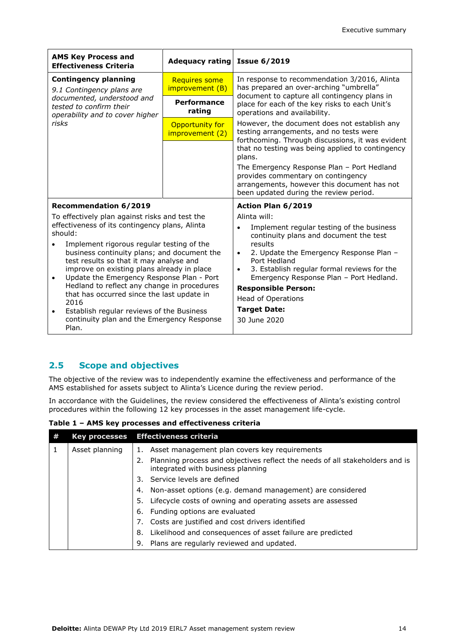| <b>AMS Key Process and</b><br><b>Effectiveness Criteria</b>                                                                                                                                                                                                                                                                                                                                                                                                                                                                                                                      | Adequacy rating                                              | <b>Issue 6/2019</b>                                                                                                                                                                                                                                                                                                                                                                                          |  |
|----------------------------------------------------------------------------------------------------------------------------------------------------------------------------------------------------------------------------------------------------------------------------------------------------------------------------------------------------------------------------------------------------------------------------------------------------------------------------------------------------------------------------------------------------------------------------------|--------------------------------------------------------------|--------------------------------------------------------------------------------------------------------------------------------------------------------------------------------------------------------------------------------------------------------------------------------------------------------------------------------------------------------------------------------------------------------------|--|
| <b>Contingency planning</b><br>9.1 Contingency plans are                                                                                                                                                                                                                                                                                                                                                                                                                                                                                                                         | <b>Requires some</b><br>improvement (B)                      | In response to recommendation 3/2016, Alinta<br>has prepared an over-arching "umbrella"                                                                                                                                                                                                                                                                                                                      |  |
| documented, understood and<br>tested to confirm their<br>operability and to cover higher                                                                                                                                                                                                                                                                                                                                                                                                                                                                                         | <b>Performance</b><br>rating<br>operations and availability. | document to capture all contingency plans in<br>place for each of the key risks to each Unit's                                                                                                                                                                                                                                                                                                               |  |
| risks                                                                                                                                                                                                                                                                                                                                                                                                                                                                                                                                                                            | Opportunity for<br>improvement (2)                           | However, the document does not establish any<br>testing arrangements, and no tests were<br>forthcoming. Through discussions, it was evident<br>that no testing was being applied to contingency<br>plans.<br>The Emergency Response Plan - Port Hedland<br>provides commentary on contingency<br>arrangements, however this document has not<br>been updated during the review period.                       |  |
| <b>Recommendation 6/2019</b>                                                                                                                                                                                                                                                                                                                                                                                                                                                                                                                                                     |                                                              | Action Plan 6/2019                                                                                                                                                                                                                                                                                                                                                                                           |  |
| To effectively plan against risks and test the<br>effectiveness of its contingency plans, Alinta<br>should:<br>Implement rigorous regular testing of the<br>business continuity plans; and document the<br>test results so that it may analyse and<br>improve on existing plans already in place<br>Update the Emergency Response Plan - Port<br>$\bullet$<br>Hedland to reflect any change in procedures<br>that has occurred since the last update in<br>2016<br>Establish regular reviews of the Business<br>$\bullet$<br>continuity plan and the Emergency Response<br>Plan. |                                                              | Alinta will:<br>Implement regular testing of the business<br>$\bullet$<br>continuity plans and document the test<br>results<br>2. Update the Emergency Response Plan -<br>$\bullet$<br>Port Hedland<br>3. Establish regular formal reviews for the<br>$\bullet$<br>Emergency Response Plan - Port Hedland.<br><b>Responsible Person:</b><br><b>Head of Operations</b><br><b>Target Date:</b><br>30 June 2020 |  |

### **2.5 Scope and objectives**

The objective of the review was to independently examine the effectiveness and performance of the AMS established for assets subject to Alinta's Licence during the review period.

In accordance with the Guidelines, the review considered the effectiveness of Alinta's existing control procedures within the following 12 key processes in the asset management life-cycle.

**Table 1 – AMS key processes and effectiveness criteria**

| <b>Key processes</b> | <b>Effectiveness criteria</b>                                                                                           |
|----------------------|-------------------------------------------------------------------------------------------------------------------------|
| Asset planning       | Asset management plan covers key requirements                                                                           |
|                      | Planning process and objectives reflect the needs of all stakeholders and is<br>2.<br>integrated with business planning |
|                      | 3. Service levels are defined                                                                                           |
|                      | Non-asset options (e.g. demand management) are considered<br>4.                                                         |
|                      | Lifecycle costs of owning and operating assets are assessed<br>5.                                                       |
|                      | 6. Funding options are evaluated                                                                                        |
|                      | Costs are justified and cost drivers identified<br>7.                                                                   |
|                      | Likelihood and consequences of asset failure are predicted<br>8.                                                        |
|                      | Plans are regularly reviewed and updated.<br>9.                                                                         |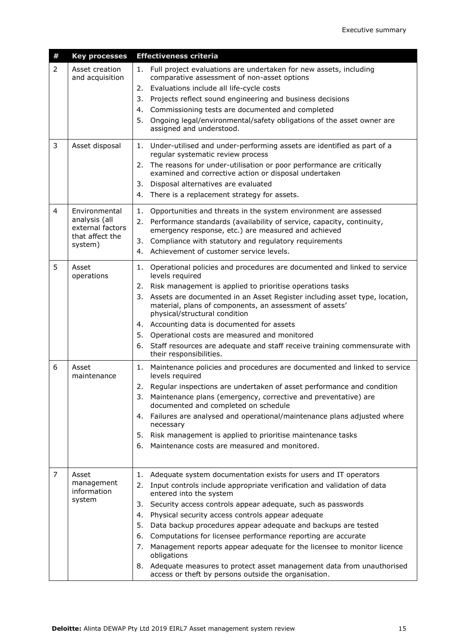| # | <b>Key processes</b>                                                             | <b>Effectiveness criteria</b>                                                                                                                                                                                                                                                                                                                                                                                                                                                                                                                                                                                                                                                                   |
|---|----------------------------------------------------------------------------------|-------------------------------------------------------------------------------------------------------------------------------------------------------------------------------------------------------------------------------------------------------------------------------------------------------------------------------------------------------------------------------------------------------------------------------------------------------------------------------------------------------------------------------------------------------------------------------------------------------------------------------------------------------------------------------------------------|
| 2 | Asset creation<br>and acquisition                                                | Full project evaluations are undertaken for new assets, including<br>1.<br>comparative assessment of non-asset options<br>Evaluations include all life-cycle costs<br>2.<br>Projects reflect sound engineering and business decisions<br>3.<br>4. Commissioning tests are documented and completed<br>Ongoing legal/environmental/safety obligations of the asset owner are<br>5.<br>assigned and understood.                                                                                                                                                                                                                                                                                   |
| 3 | Asset disposal                                                                   | Under-utilised and under-performing assets are identified as part of a<br>1.<br>regular systematic review process<br>2. The reasons for under-utilisation or poor performance are critically<br>examined and corrective action or disposal undertaken<br>3. Disposal alternatives are evaluated<br>There is a replacement strategy for assets.<br>4.                                                                                                                                                                                                                                                                                                                                            |
| 4 | Environmental<br>analysis (all<br>external factors<br>that affect the<br>system) | 1. Opportunities and threats in the system environment are assessed<br>Performance standards (availability of service, capacity, continuity,<br>2.<br>emergency response, etc.) are measured and achieved<br>3.<br>Compliance with statutory and regulatory requirements<br>4. Achievement of customer service levels.                                                                                                                                                                                                                                                                                                                                                                          |
| 5 | Asset<br>operations                                                              | 1. Operational policies and procedures are documented and linked to service<br>levels required<br>2. Risk management is applied to prioritise operations tasks<br>3. Assets are documented in an Asset Register including asset type, location,<br>material, plans of components, an assessment of assets'<br>physical/structural condition<br>4. Accounting data is documented for assets<br>5. Operational costs are measured and monitored<br>6. Staff resources are adequate and staff receive training commensurate with<br>their responsibilities.                                                                                                                                        |
| 6 | Asset<br>maintenance                                                             | Maintenance policies and procedures are documented and linked to service<br>1.<br>levels required<br>2. Regular inspections are undertaken of asset performance and condition<br>3. Maintenance plans (emergency, corrective and preventative) are<br>documented and completed on schedule<br>Failures are analysed and operational/maintenance plans adjusted where<br>4.<br>necessary<br>5. Risk management is applied to prioritise maintenance tasks<br>Maintenance costs are measured and monitored.<br>6.                                                                                                                                                                                 |
| 7 | Asset<br>management<br>information<br>system                                     | Adequate system documentation exists for users and IT operators<br>1.<br>Input controls include appropriate verification and validation of data<br>2.<br>entered into the system<br>Security access controls appear adequate, such as passwords<br>3.<br>Physical security access controls appear adequate<br>4.<br>5.<br>Data backup procedures appear adequate and backups are tested<br>Computations for licensee performance reporting are accurate<br>6.<br>Management reports appear adequate for the licensee to monitor licence<br>7.<br>obligations<br>8. Adequate measures to protect asset management data from unauthorised<br>access or theft by persons outside the organisation. |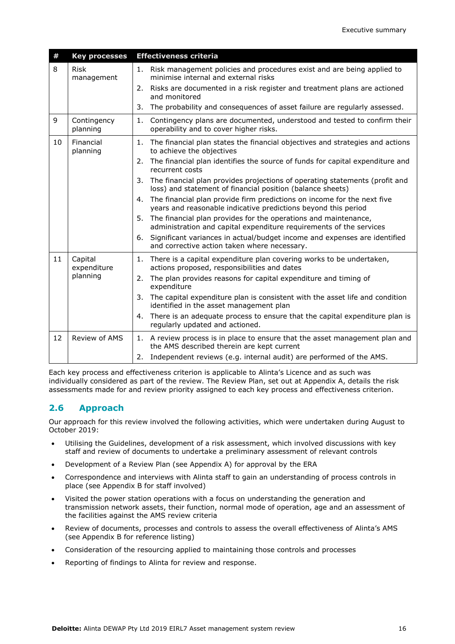| $\pmb{\#}$ | <b>Key processes</b>      | <b>Effectiveness criteria</b>                                                                                                                   |
|------------|---------------------------|-------------------------------------------------------------------------------------------------------------------------------------------------|
| 8          | <b>Risk</b><br>management | Risk management policies and procedures exist and are being applied to<br>1.<br>minimise internal and external risks                            |
|            |                           | 2.<br>Risks are documented in a risk register and treatment plans are actioned<br>and monitored                                                 |
|            |                           | The probability and consequences of asset failure are regularly assessed.<br>3.                                                                 |
| 9          | Contingency<br>planning   | Contingency plans are documented, understood and tested to confirm their<br>1.<br>operability and to cover higher risks.                        |
| 10         | Financial<br>planning     | The financial plan states the financial objectives and strategies and actions<br>1.<br>to achieve the objectives                                |
|            |                           | The financial plan identifies the source of funds for capital expenditure and<br>2.<br>recurrent costs                                          |
|            |                           | The financial plan provides projections of operating statements (profit and<br>3.<br>loss) and statement of financial position (balance sheets) |
|            |                           | The financial plan provide firm predictions on income for the next five<br>4.<br>years and reasonable indicative predictions beyond this period |
|            |                           | The financial plan provides for the operations and maintenance,<br>5.<br>administration and capital expenditure requirements of the services    |
|            |                           | Significant variances in actual/budget income and expenses are identified<br>6.<br>and corrective action taken where necessary.                 |
| 11         | Capital<br>expenditure    | There is a capital expenditure plan covering works to be undertaken,<br>1.<br>actions proposed, responsibilities and dates                      |
|            | planning                  | The plan provides reasons for capital expenditure and timing of<br>2.<br>expenditure                                                            |
|            |                           | The capital expenditure plan is consistent with the asset life and condition<br>3.<br>identified in the asset management plan                   |
|            |                           | There is an adequate process to ensure that the capital expenditure plan is<br>4.<br>regularly updated and actioned.                            |
| 12         | Review of AMS             | 1. A review process is in place to ensure that the asset management plan and<br>the AMS described therein are kept current                      |
|            |                           | Independent reviews (e.g. internal audit) are performed of the AMS.<br>2.                                                                       |

Each key process and effectiveness criterion is applicable to Alinta's Licence and as such was individually considered as part of the review. The Review Plan, set out at Appendix A, details the risk assessments made for and review priority assigned to each key process and effectiveness criterion.

### **2.6 Approach**

Our approach for this review involved the following activities, which were undertaken during August to October 2019:

- Utilising the Guidelines, development of a risk assessment, which involved discussions with key staff and review of documents to undertake a preliminary assessment of relevant controls
- Development of a Review Plan (see Appendix A) for approval by the ERA
- Correspondence and interviews with Alinta staff to gain an understanding of process controls in place (see Appendix B for staff involved)
- Visited the power station operations with a focus on understanding the generation and transmission network assets, their function, normal mode of operation, age and an assessment of the facilities against the AMS review criteria
- Review of documents, processes and controls to assess the overall effectiveness of Alinta's AMS (see Appendix B for reference listing)
- Consideration of the resourcing applied to maintaining those controls and processes
- Reporting of findings to Alinta for review and response.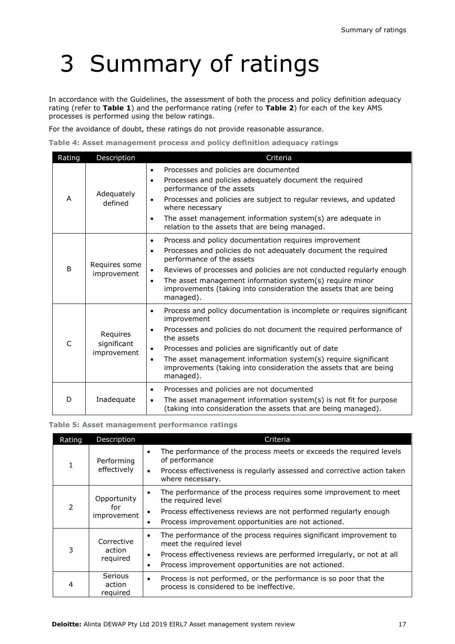# 3 Summary of ratings

In accordance with the Guidelines, the assessment of both the process and policy definition adequacy rating (refer to **Table 1**) and the performance rating (refer to **Table 2**) for each of the key AMS processes is performed using the below ratings.

For the avoidance of doubt, these ratings do not provide reasonable assurance.

**Table 4: Asset management process and policy definition adequacy ratings**

| Rating                                       | Description                            | Criteria                                                                                                                                                                                                                                                                                                                                                                                             |  |  |
|----------------------------------------------|----------------------------------------|------------------------------------------------------------------------------------------------------------------------------------------------------------------------------------------------------------------------------------------------------------------------------------------------------------------------------------------------------------------------------------------------------|--|--|
| A                                            | Adequately<br>defined                  | Processes and policies are documented<br>$\bullet$<br>Processes and policies adequately document the required<br>$\bullet$<br>performance of the assets<br>Processes and policies are subject to regular reviews, and updated<br>where necessary<br>The asset management information system(s) are adequate in<br>$\bullet$<br>relation to the assets that are being managed.                        |  |  |
| Requires some<br><sub>B</sub><br>improvement |                                        | Process and policy documentation requires improvement<br>Processes and policies do not adequately document the required<br>$\bullet$<br>performance of the assets<br>Reviews of processes and policies are not conducted regularly enough<br>The asset management information system(s) require minor<br>$\bullet$<br>improvements (taking into consideration the assets that are being<br>managed). |  |  |
| C                                            | Requires<br>significant<br>improvement | Process and policy documentation is incomplete or requires significant<br>improvement<br>Processes and policies do not document the required performance of<br>the assets<br>Processes and policies are significantly out of date<br>The asset management information system(s) require significant<br>$\bullet$<br>improvements (taking into consideration the assets that are being<br>managed).   |  |  |
| D                                            | Inadequate                             | Processes and policies are not documented<br>$\bullet$<br>The asset management information system(s) is not fit for purpose<br>$\bullet$<br>(taking into consideration the assets that are being managed).                                                                                                                                                                                           |  |  |

#### **Table 5: Asset management performance ratings**

| Rating      | Description                   | Criteria                                                                                                                  |  |  |
|-------------|-------------------------------|---------------------------------------------------------------------------------------------------------------------------|--|--|
|             | Performing<br>effectively     | The performance of the process meets or exceeds the required levels<br>of performance                                     |  |  |
|             |                               | Process effectiveness is regularly assessed and corrective action taken<br>$\bullet$<br>where necessary.                  |  |  |
| Opportunity |                               | The performance of the process requires some improvement to meet<br>the required level                                    |  |  |
| 2           | for<br>improvement            | Process effectiveness reviews are not performed regularly enough                                                          |  |  |
|             |                               | Process improvement opportunities are not actioned.                                                                       |  |  |
| Corrective  |                               | The performance of the process requires significant improvement to<br>meet the required level                             |  |  |
| 3           | action<br>required            | Process effectiveness reviews are performed irregularly, or not at all<br>٠                                               |  |  |
|             |                               | Process improvement opportunities are not actioned.<br>٠                                                                  |  |  |
| 4           | Serious<br>action<br>required | Process is not performed, or the performance is so poor that the<br>$\bullet$<br>process is considered to be ineffective. |  |  |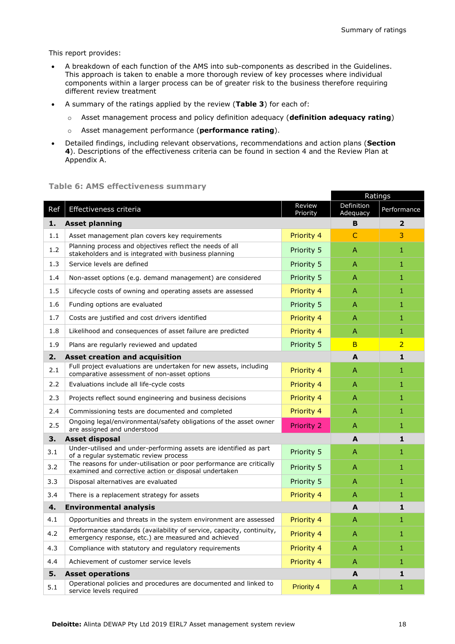This report provides:

- A breakdown of each function of the AMS into sub-components as described in the Guidelines. This approach is taken to enable a more thorough review of key processes where individual components within a larger process can be of greater risk to the business therefore requiring different review treatment
- A summary of the ratings applied by the review (**Table 3**) for each of:
	- o Asset management process and policy definition adequacy (**definition adequacy rating**)
	- o Asset management performance (**performance rating**).
- Detailed findings, including relevant observations, recommendations and action plans (**Section 4**). Descriptions of the effectiveness criteria can be found in section 4 and the Review Plan at Appendix A.

#### **Table 6: AMS effectiveness summary**

|                                     |                                                                                                                               |                    | Ratings                |                |
|-------------------------------------|-------------------------------------------------------------------------------------------------------------------------------|--------------------|------------------------|----------------|
| Ref                                 | Effectiveness criteria                                                                                                        | Review<br>Priority | Definition<br>Adequacy | Performance    |
| 1.                                  | <b>Asset planning</b>                                                                                                         |                    | B                      | $\overline{2}$ |
| 1.1                                 | Asset management plan covers key requirements                                                                                 | Priority 4         | $\mathsf{C}$           | 3              |
| 1.2                                 | Planning process and objectives reflect the needs of all<br>stakeholders and is integrated with business planning             | Priority 5         | A                      | 1              |
| 1.3                                 | Service levels are defined                                                                                                    | Priority 5         | $\overline{A}$         | 1              |
| 1.4                                 | Non-asset options (e.g. demand management) are considered                                                                     | Priority 5         | $\overline{A}$         | 1              |
| 1.5                                 | Lifecycle costs of owning and operating assets are assessed                                                                   | Priority 4         | $\mathsf{A}$           | 1              |
| 1.6                                 | Funding options are evaluated                                                                                                 | Priority 5         | A                      | 1              |
| 1.7                                 | Costs are justified and cost drivers identified                                                                               | Priority 4         | $\overline{A}$         | 1              |
| 1.8                                 | Likelihood and consequences of asset failure are predicted                                                                    | Priority 4         | A                      | 1              |
| 1.9                                 | Plans are regularly reviewed and updated                                                                                      | Priority 5         | <sub>B</sub>           | $\overline{2}$ |
| 2.                                  | <b>Asset creation and acquisition</b>                                                                                         |                    | A                      | 1              |
| 2.1                                 | Full project evaluations are undertaken for new assets, including<br>comparative assessment of non-asset options              | Priority 4         | A                      | 1              |
| 2.2                                 | Evaluations include all life-cycle costs                                                                                      | Priority 4         | $\overline{A}$         | $\mathbf{1}$   |
| 2.3                                 | Projects reflect sound engineering and business decisions                                                                     | Priority 4         | $\overline{A}$         | 1              |
| 2.4                                 | Commissioning tests are documented and completed                                                                              | Priority 4         | A                      | 1              |
| 2.5                                 | Ongoing legal/environmental/safety obligations of the asset owner<br>are assigned and understood                              | <b>Priority 2</b>  | A                      | 1              |
| <b>Asset disposal</b><br>3.         |                                                                                                                               |                    | A                      | 1              |
| 3.1                                 | Under-utilised and under-performing assets are identified as part<br>of a regular systematic review process                   | Priority 5         | $\overline{A}$         | 1              |
| 3.2                                 | The reasons for under-utilisation or poor performance are critically<br>examined and corrective action or disposal undertaken | Priority 5         | A                      | 1              |
| 3.3                                 | Disposal alternatives are evaluated                                                                                           | Priority 5         | $\overline{A}$         | 1              |
| 3.4                                 | There is a replacement strategy for assets                                                                                    | Priority 4         | A                      | 1              |
| <b>Environmental analysis</b><br>4. |                                                                                                                               |                    | A                      | $\mathbf{1}$   |
| 4.1                                 | Opportunities and threats in the system environment are assessed                                                              | Priority 4         | $\overline{A}$         | 1              |
| 4.2                                 | Performance standards (availability of service, capacity, continuity,<br>emergency response, etc.) are measured and achieved  | Priority 4         | A                      | 1              |
| 4.3                                 | Compliance with statutory and regulatory requirements                                                                         | Priority 4         | A                      | 1              |
| 4.4                                 | Achievement of customer service levels                                                                                        | Priority 4         | A                      | $\mathbf{1}$   |
| <b>Asset operations</b><br>5.       |                                                                                                                               |                    | A                      | $\mathbf{1}$   |
| 5.1                                 | Operational policies and procedures are documented and linked to<br>service levels required                                   | <b>Priority 4</b>  | A                      | $\mathbf{1}$   |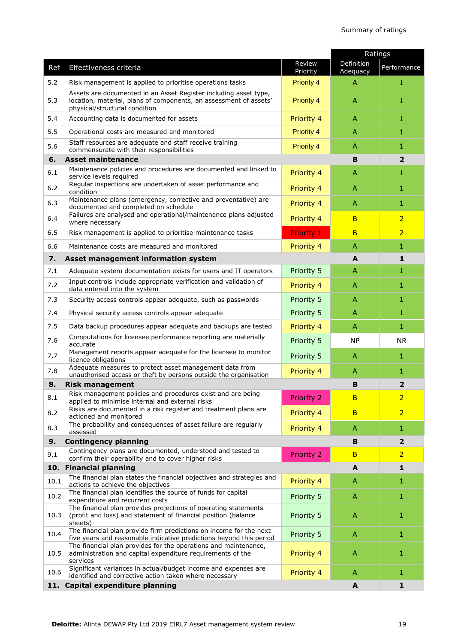|       |                                                                                                                                                                        |                    | Ratings                |                         |
|-------|------------------------------------------------------------------------------------------------------------------------------------------------------------------------|--------------------|------------------------|-------------------------|
| Ref   | Effectiveness criteria                                                                                                                                                 | Review<br>Priority | Definition<br>Adequacy | Performance             |
| 5.2   | Risk management is applied to prioritise operations tasks                                                                                                              | <b>Priority 4</b>  | A                      | 1                       |
| 5.3   | Assets are documented in an Asset Register including asset type,<br>location, material, plans of components, an assessment of assets'<br>physical/structural condition | <b>Priority 4</b>  | A                      | 1                       |
| 5.4   | Accounting data is documented for assets                                                                                                                               | Priority 4         | A                      | $\mathbf{1}$            |
| 5.5   | Operational costs are measured and monitored                                                                                                                           | <b>Priority 4</b>  | A                      | 1                       |
| 5.6   | Staff resources are adequate and staff receive training<br>commensurate with their responsibilities                                                                    | <b>Priority 4</b>  | A                      | 1                       |
| 6.    | <b>Asset maintenance</b>                                                                                                                                               |                    | B                      | $\overline{2}$          |
| 6.1   | Maintenance policies and procedures are documented and linked to<br>service levels required                                                                            | Priority 4         | A                      | 1                       |
| $6.2$ | Regular inspections are undertaken of asset performance and<br>condition                                                                                               | Priority 4         | $\mathsf{A}$           | $\mathbf{1}$            |
| 6.3   | Maintenance plans (emergency, corrective and preventative) are<br>documented and completed on schedule                                                                 | Priority 4         | A                      | 1                       |
| 6.4   | Failures are analysed and operational/maintenance plans adjusted<br>where necessary                                                                                    | Priority 4         | B                      | $\overline{2}$          |
| 6.5   | Risk management is applied to prioritise maintenance tasks                                                                                                             | <b>Priority 1</b>  | B                      | $\overline{2}$          |
| 6.6   | Maintenance costs are measured and monitored                                                                                                                           | Priority 4         | A                      | 1                       |
| 7.    | Asset management information system                                                                                                                                    |                    | A                      | 1                       |
| 7.1   | Adequate system documentation exists for users and IT operators                                                                                                        | Priority 5         | A                      | 1                       |
| 7.2   | Input controls include appropriate verification and validation of<br>data entered into the system                                                                      | Priority 4         | A                      | 1                       |
| 7.3   | Security access controls appear adequate, such as passwords                                                                                                            | Priority 5         | $\mathsf{A}$           | 1                       |
| 7.4   | Physical security access controls appear adequate                                                                                                                      | Priority 5         | A                      | 1                       |
| 7.5   | Data backup procedures appear adequate and backups are tested                                                                                                          | Priority 4         | A                      | $\mathbf{1}$            |
| 7.6   | Computations for licensee performance reporting are materially<br>accurate                                                                                             | Priority 5         | <b>NP</b>              | <b>NR</b>               |
| 7.7   | Management reports appear adequate for the licensee to monitor<br>licence obligations                                                                                  | Priority 5         | A                      | 1                       |
| 7.8   | Adequate measures to protect asset management data from<br>unauthorised access or theft by persons outside the organisation                                            | Priority 4         | A                      | 1                       |
| 8.    | <b>Risk management</b>                                                                                                                                                 |                    | B                      | $\overline{2}$          |
| 8.1   | Risk management policies and procedures exist and are being<br>applied to minimise internal and external risks                                                         | <b>Priority 2</b>  | B                      | $\overline{2}$          |
| 8.2   | Risks are documented in a risk register and treatment plans are<br>actioned and monitored                                                                              | Priority 4         | B                      | $\overline{2}$          |
| 8.3   | The probability and consequences of asset failure are regularly<br>assessed                                                                                            | Priority 4         | A                      | $\mathbf{1}$            |
| 9.    | <b>Contingency planning</b>                                                                                                                                            |                    | В                      | $\overline{\mathbf{2}}$ |
| 9.1   | Contingency plans are documented, understood and tested to<br>confirm their operability and to cover higher risks                                                      | Priority 2         | B                      | $\overline{2}$          |
|       | 10. Financial planning                                                                                                                                                 |                    | A                      | $\mathbf{1}$            |
| 10.1  | The financial plan states the financial objectives and strategies and<br>actions to achieve the objectives                                                             | Priority 4         | A                      | 1                       |
| 10.2  | The financial plan identifies the source of funds for capital<br>expenditure and recurrent costs                                                                       | Priority 5         | A                      | 1                       |
| 10.3  | The financial plan provides projections of operating statements<br>(profit and loss) and statement of financial position (balance<br>sheets)                           | Priority 5         | $\mathsf{A}$           | 1                       |
| 10.4  | The financial plan provide firm predictions on income for the next<br>five years and reasonable indicative predictions beyond this period                              | Priority 5         | A                      | $\mathbf{1}$            |
| 10.5  | The financial plan provides for the operations and maintenance,<br>administration and capital expenditure requirements of the<br>services                              | Priority 4         | $\mathsf{A}$           | 1                       |
| 10.6  | Significant variances in actual/budget income and expenses are<br>identified and corrective action taken where necessary                                               | Priority 4         | A                      | 1                       |
| 11.   | Capital expenditure planning                                                                                                                                           |                    | A                      | 1                       |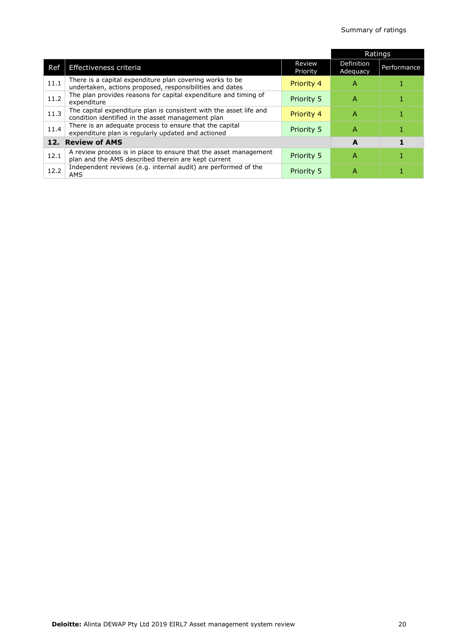|                   |                                                                                                                         |                    | Ratings                |             |
|-------------------|-------------------------------------------------------------------------------------------------------------------------|--------------------|------------------------|-------------|
| Ref               | Effectiveness criteria                                                                                                  | Review<br>Priority | Definition<br>Adequacy | Performance |
| 11.1              | There is a capital expenditure plan covering works to be.<br>undertaken, actions proposed, responsibilities and dates   | Priority 4         | А                      |             |
| 11.2              | The plan provides reasons for capital expenditure and timing of<br>expenditure                                          | <b>Priority 5</b>  | Α                      |             |
| 11.3              | The capital expenditure plan is consistent with the asset life and<br>condition identified in the asset management plan | Priority 4         | А                      |             |
| 11.4              | There is an adequate process to ensure that the capital<br>expenditure plan is regularly updated and actioned           | Priority 5         | Α                      |             |
| 12. Review of AMS |                                                                                                                         | A                  |                        |             |
| 12.1              | A review process is in place to ensure that the asset management<br>plan and the AMS described therein are kept current | <b>Priority 5</b>  | Α                      |             |
| 12.2              | Independent reviews (e.g. internal audit) are performed of the<br>AMS                                                   | <b>Priority 5</b>  | A                      |             |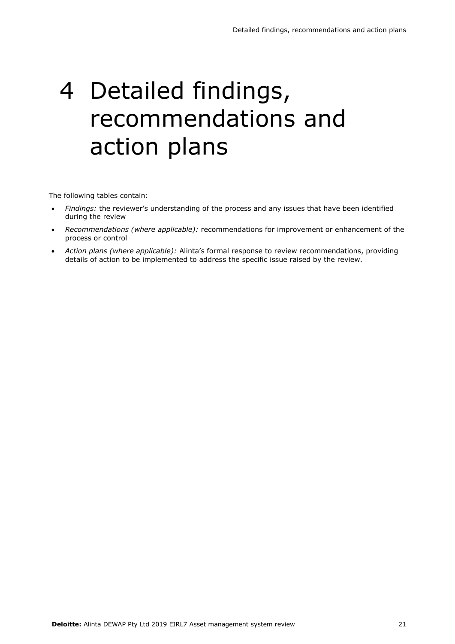# 4 Detailed findings, recommendations and action plans

The following tables contain:

- *Findings:* the reviewer's understanding of the process and any issues that have been identified during the review
- *Recommendations (where applicable):* recommendations for improvement or enhancement of the process or control
- *Action plans (where applicable):* Alinta's formal response to review recommendations, providing details of action to be implemented to address the specific issue raised by the review.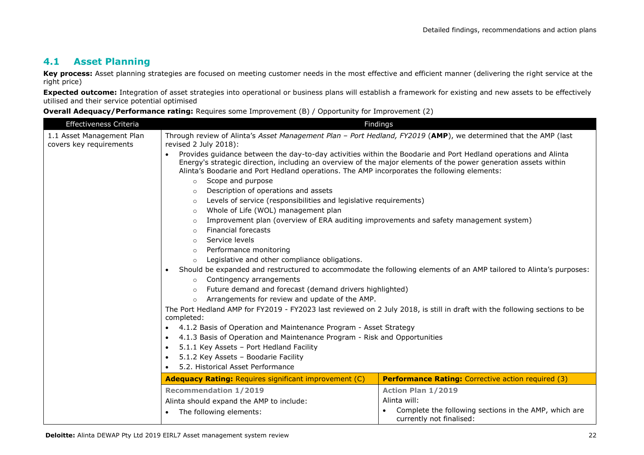### **4.1 Asset Planning**

Key process: Asset planning strategies are focused on meeting customer needs in the most effective and efficient manner (delivering the right service at the right price)

**Expected outcome:** Integration of asset strategies into operational or business plans will establish a framework for existing and new assets to be effectively utilised and their service potential optimised

**Overall Adequacy/Performance rating:** Requires some Improvement (B) / Opportunity for Improvement (2)

| Effectiveness Criteria                                                                                                                                                                 | . <i>.</i>                                                                                                                                                                                                                                                                                                                                                                                                                                                                   | Findings                                                                          |  |
|----------------------------------------------------------------------------------------------------------------------------------------------------------------------------------------|------------------------------------------------------------------------------------------------------------------------------------------------------------------------------------------------------------------------------------------------------------------------------------------------------------------------------------------------------------------------------------------------------------------------------------------------------------------------------|-----------------------------------------------------------------------------------|--|
| 1.1 Asset Management Plan<br>covers key requirements                                                                                                                                   | Through review of Alinta's Asset Management Plan - Port Hedland, FY2019 (AMP), we determined that the AMP (last<br>revised 2 July 2018):<br>Provides guidance between the day-to-day activities within the Boodarie and Port Hedland operations and Alinta<br>Energy's strategic direction, including an overview of the major elements of the power generation assets within<br>Alinta's Boodarie and Port Hedland operations. The AMP incorporates the following elements: |                                                                                   |  |
|                                                                                                                                                                                        |                                                                                                                                                                                                                                                                                                                                                                                                                                                                              |                                                                                   |  |
|                                                                                                                                                                                        | Scope and purpose<br>$\circ$                                                                                                                                                                                                                                                                                                                                                                                                                                                 |                                                                                   |  |
|                                                                                                                                                                                        | Description of operations and assets<br>$\circ$                                                                                                                                                                                                                                                                                                                                                                                                                              |                                                                                   |  |
|                                                                                                                                                                                        | Levels of service (responsibilities and legislative requirements)<br>$\circ$                                                                                                                                                                                                                                                                                                                                                                                                 |                                                                                   |  |
|                                                                                                                                                                                        | Whole of Life (WOL) management plan<br>$\circ$                                                                                                                                                                                                                                                                                                                                                                                                                               |                                                                                   |  |
|                                                                                                                                                                                        | Improvement plan (overview of ERA auditing improvements and safety management system)<br>$\circ$                                                                                                                                                                                                                                                                                                                                                                             |                                                                                   |  |
|                                                                                                                                                                                        | <b>Financial forecasts</b><br>$\circ$                                                                                                                                                                                                                                                                                                                                                                                                                                        |                                                                                   |  |
|                                                                                                                                                                                        | Service levels<br>$\circ$                                                                                                                                                                                                                                                                                                                                                                                                                                                    |                                                                                   |  |
|                                                                                                                                                                                        | Performance monitoring<br>$\circ$                                                                                                                                                                                                                                                                                                                                                                                                                                            |                                                                                   |  |
|                                                                                                                                                                                        | Legislative and other compliance obligations.<br>$\circ$<br>Should be expanded and restructured to accommodate the following elements of an AMP tailored to Alinta's purposes:<br>Contingency arrangements<br>$\circ$                                                                                                                                                                                                                                                        |                                                                                   |  |
|                                                                                                                                                                                        |                                                                                                                                                                                                                                                                                                                                                                                                                                                                              |                                                                                   |  |
|                                                                                                                                                                                        |                                                                                                                                                                                                                                                                                                                                                                                                                                                                              |                                                                                   |  |
|                                                                                                                                                                                        | Future demand and forecast (demand drivers highlighted)<br>$\circ$                                                                                                                                                                                                                                                                                                                                                                                                           |                                                                                   |  |
|                                                                                                                                                                                        | Arrangements for review and update of the AMP.<br>$\circ$                                                                                                                                                                                                                                                                                                                                                                                                                    |                                                                                   |  |
|                                                                                                                                                                                        | The Port Hedland AMP for FY2019 - FY2023 last reviewed on 2 July 2018, is still in draft with the following sections to be<br>completed:                                                                                                                                                                                                                                                                                                                                     |                                                                                   |  |
|                                                                                                                                                                                        | 4.1.2 Basis of Operation and Maintenance Program - Asset Strategy                                                                                                                                                                                                                                                                                                                                                                                                            |                                                                                   |  |
|                                                                                                                                                                                        | 4.1.3 Basis of Operation and Maintenance Program - Risk and Opportunities<br>$\bullet$                                                                                                                                                                                                                                                                                                                                                                                       |                                                                                   |  |
|                                                                                                                                                                                        | 5.1.1 Key Assets - Port Hedland Facility<br>$\bullet$                                                                                                                                                                                                                                                                                                                                                                                                                        |                                                                                   |  |
|                                                                                                                                                                                        | 5.1.2 Key Assets - Boodarie Facility<br>$\bullet$                                                                                                                                                                                                                                                                                                                                                                                                                            |                                                                                   |  |
|                                                                                                                                                                                        | 5.2. Historical Asset Performance                                                                                                                                                                                                                                                                                                                                                                                                                                            |                                                                                   |  |
| <b>Adequacy Rating: Requires significant improvement (C)</b><br><b>Performance Rating:</b> Corrective action required (3)<br><b>Recommendation 1/2019</b><br><b>Action Plan 1/2019</b> |                                                                                                                                                                                                                                                                                                                                                                                                                                                                              |                                                                                   |  |
|                                                                                                                                                                                        |                                                                                                                                                                                                                                                                                                                                                                                                                                                                              |                                                                                   |  |
|                                                                                                                                                                                        | The following elements:                                                                                                                                                                                                                                                                                                                                                                                                                                                      | Complete the following sections in the AMP, which are<br>currently not finalised: |  |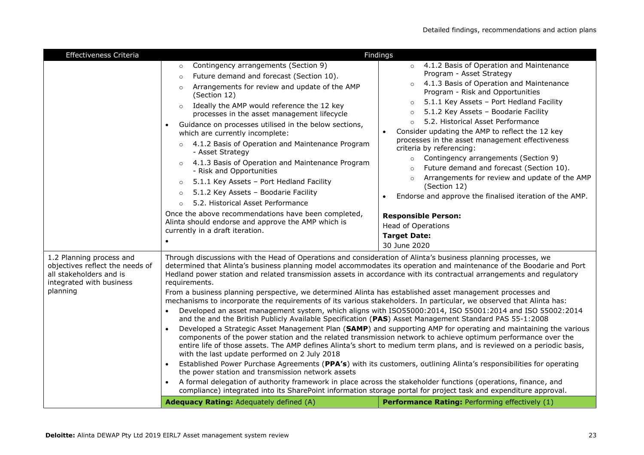| Effectiveness Criteria                                                                                                         | Findings                                                                                                                                                                                                                                                                                                                                                                                                                                                                                                                                                                                                                                                                                                                                                                                                                                                                                                                                                                                                                                                                                                                                                                                                                                                                                                                                                                                                                                                                                                                                                                                                                                                                                                                                                                                  |  |  |
|--------------------------------------------------------------------------------------------------------------------------------|-------------------------------------------------------------------------------------------------------------------------------------------------------------------------------------------------------------------------------------------------------------------------------------------------------------------------------------------------------------------------------------------------------------------------------------------------------------------------------------------------------------------------------------------------------------------------------------------------------------------------------------------------------------------------------------------------------------------------------------------------------------------------------------------------------------------------------------------------------------------------------------------------------------------------------------------------------------------------------------------------------------------------------------------------------------------------------------------------------------------------------------------------------------------------------------------------------------------------------------------------------------------------------------------------------------------------------------------------------------------------------------------------------------------------------------------------------------------------------------------------------------------------------------------------------------------------------------------------------------------------------------------------------------------------------------------------------------------------------------------------------------------------------------------|--|--|
|                                                                                                                                | Contingency arrangements (Section 9)<br>4.1.2 Basis of Operation and Maintenance<br>$\circ$<br>$\circ$<br>Program - Asset Strategy<br>Future demand and forecast (Section 10).<br>$\circ$<br>4.1.3 Basis of Operation and Maintenance<br>$\circ$<br>Arrangements for review and update of the AMP<br>$\circ$<br>Program - Risk and Opportunities<br>(Section 12)<br>5.1.1 Key Assets - Port Hedland Facility<br>$\circ$<br>Ideally the AMP would reference the 12 key<br>$\circ$<br>5.1.2 Key Assets - Boodarie Facility<br>$\circ$<br>processes in the asset management lifecycle<br>5.2. Historical Asset Performance<br>$\circ$<br>Guidance on processes utilised in the below sections,<br>Consider updating the AMP to reflect the 12 key<br>which are currently incomplete:<br>processes in the asset management effectiveness<br>4.1.2 Basis of Operation and Maintenance Program<br>criteria by referencing:<br>- Asset Strategy<br>Contingency arrangements (Section 9)<br>$\circ$<br>4.1.3 Basis of Operation and Maintenance Program<br>$\circ$<br>Future demand and forecast (Section 10).<br>- Risk and Opportunities<br>Arrangements for review and update of the AMP<br>5.1.1 Key Assets - Port Hedland Facility<br>$\circ$<br>(Section 12)<br>5.1.2 Key Assets - Boodarie Facility<br>$\circ$<br>Endorse and approve the finalised iteration of the AMP.<br>5.2. Historical Asset Performance<br>$\Omega$<br>Once the above recommendations have been completed,<br><b>Responsible Person:</b><br>Alinta should endorse and approve the AMP which is<br><b>Head of Operations</b><br>currently in a draft iteration.<br><b>Target Date:</b><br>$\bullet$<br>30 June 2020                                                                                                  |  |  |
| 1.2 Planning process and<br>objectives reflect the needs of<br>all stakeholders and is<br>integrated with business<br>planning | Through discussions with the Head of Operations and consideration of Alinta's business planning processes, we<br>determined that Alinta's business planning model accommodates its operation and maintenance of the Boodarie and Port<br>Hedland power station and related transmission assets in accordance with its contractual arrangements and regulatory<br>requirements.<br>From a business planning perspective, we determined Alinta has established asset management processes and<br>mechanisms to incorporate the requirements of its various stakeholders. In particular, we observed that Alinta has:<br>Developed an asset management system, which aligns with ISO55000:2014, ISO 55001:2014 and ISO 55002:2014<br>and the and the British Publicly Available Specification (PAS) Asset Management Standard PAS 55-1:2008<br>Developed a Strategic Asset Management Plan (SAMP) and supporting AMP for operating and maintaining the various<br>components of the power station and the related transmission network to achieve optimum performance over the<br>entire life of those assets. The AMP defines Alinta's short to medium term plans, and is reviewed on a periodic basis,<br>with the last update performed on 2 July 2018<br>Established Power Purchase Agreements (PPA's) with its customers, outlining Alinta's responsibilities for operating<br>the power station and transmission network assets<br>A formal delegation of authority framework in place across the stakeholder functions (operations, finance, and<br>$\bullet$<br>compliance) integrated into its SharePoint information storage portal for project task and expenditure approval.<br><b>Adequacy Rating: Adequately defined (A)</b><br>Performance Rating: Performing effectively (1) |  |  |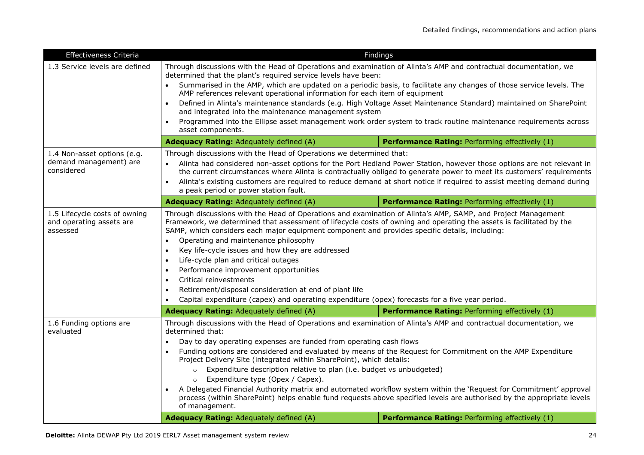| <b>Effectiveness Criteria</b>                                         | Findings                                                                                                                                                                                                                                                                                                                                                                                                                                                                                                                                                                                                                                                                                                                                                                                                                                                                                                              |                                                                                                                   |  |  |
|-----------------------------------------------------------------------|-----------------------------------------------------------------------------------------------------------------------------------------------------------------------------------------------------------------------------------------------------------------------------------------------------------------------------------------------------------------------------------------------------------------------------------------------------------------------------------------------------------------------------------------------------------------------------------------------------------------------------------------------------------------------------------------------------------------------------------------------------------------------------------------------------------------------------------------------------------------------------------------------------------------------|-------------------------------------------------------------------------------------------------------------------|--|--|
| 1.3 Service levels are defined                                        | Through discussions with the Head of Operations and examination of Alinta's AMP and contractual documentation, we<br>determined that the plant's required service levels have been:                                                                                                                                                                                                                                                                                                                                                                                                                                                                                                                                                                                                                                                                                                                                   |                                                                                                                   |  |  |
|                                                                       | Summarised in the AMP, which are updated on a periodic basis, to facilitate any changes of those service levels. The<br>AMP references relevant operational information for each item of equipment                                                                                                                                                                                                                                                                                                                                                                                                                                                                                                                                                                                                                                                                                                                    |                                                                                                                   |  |  |
|                                                                       | $\bullet$                                                                                                                                                                                                                                                                                                                                                                                                                                                                                                                                                                                                                                                                                                                                                                                                                                                                                                             | Defined in Alinta's maintenance standards (e.g. High Voltage Asset Maintenance Standard) maintained on SharePoint |  |  |
|                                                                       | and integrated into the maintenance management system                                                                                                                                                                                                                                                                                                                                                                                                                                                                                                                                                                                                                                                                                                                                                                                                                                                                 |                                                                                                                   |  |  |
|                                                                       | asset components.                                                                                                                                                                                                                                                                                                                                                                                                                                                                                                                                                                                                                                                                                                                                                                                                                                                                                                     | Programmed into the Ellipse asset management work order system to track routine maintenance requirements across   |  |  |
|                                                                       | <b>Adequacy Rating: Adequately defined (A)</b>                                                                                                                                                                                                                                                                                                                                                                                                                                                                                                                                                                                                                                                                                                                                                                                                                                                                        | Performance Rating: Performing effectively (1)                                                                    |  |  |
| 1.4 Non-asset options (e.g.<br>demand management) are<br>considered   | Through discussions with the Head of Operations we determined that:<br>Alinta had considered non-asset options for the Port Hedland Power Station, however those options are not relevant in<br>$\bullet$<br>the current circumstances where Alinta is contractually obliged to generate power to meet its customers' requirements<br>Alinta's existing customers are required to reduce demand at short notice if required to assist meeting demand during<br>a peak period or power station fault.                                                                                                                                                                                                                                                                                                                                                                                                                  |                                                                                                                   |  |  |
|                                                                       | Adequacy Rating: Adequately defined (A)                                                                                                                                                                                                                                                                                                                                                                                                                                                                                                                                                                                                                                                                                                                                                                                                                                                                               | Performance Rating: Performing effectively (1)                                                                    |  |  |
| 1.5 Lifecycle costs of owning<br>and operating assets are<br>assessed | Through discussions with the Head of Operations and examination of Alinta's AMP, SAMP, and Project Management<br>Framework, we determined that assessment of lifecycle costs of owning and operating the assets is facilitated by the<br>SAMP, which considers each major equipment component and provides specific details, including:<br>Operating and maintenance philosophy<br>Key life-cycle issues and how they are addressed<br>$\bullet$<br>Life-cycle plan and critical outages<br>$\bullet$<br>Performance improvement opportunities<br>$\bullet$<br>Critical reinvestments<br>$\bullet$<br>Retirement/disposal consideration at end of plant life<br>$\bullet$<br>Capital expenditure (capex) and operating expenditure (opex) forecasts for a five year period.                                                                                                                                           |                                                                                                                   |  |  |
|                                                                       | Adequacy Rating: Adequately defined (A)                                                                                                                                                                                                                                                                                                                                                                                                                                                                                                                                                                                                                                                                                                                                                                                                                                                                               | Performance Rating: Performing effectively (1)                                                                    |  |  |
| 1.6 Funding options are<br>evaluated                                  | Through discussions with the Head of Operations and examination of Alinta's AMP and contractual documentation, we<br>determined that:<br>Day to day operating expenses are funded from operating cash flows<br>$\bullet$<br>Funding options are considered and evaluated by means of the Request for Commitment on the AMP Expenditure<br>Project Delivery Site (integrated within SharePoint), which details:<br>Expenditure description relative to plan (i.e. budget vs unbudgeted)<br>$\circ$<br>Expenditure type (Opex / Capex).<br>$\circ$<br>A Delegated Financial Authority matrix and automated workflow system within the 'Request for Commitment' approval<br>process (within SharePoint) helps enable fund requests above specified levels are authorised by the appropriate levels<br>of management.<br>Adequacy Rating: Adequately defined (A)<br><b>Performance Rating: Performing effectively (1)</b> |                                                                                                                   |  |  |
|                                                                       |                                                                                                                                                                                                                                                                                                                                                                                                                                                                                                                                                                                                                                                                                                                                                                                                                                                                                                                       |                                                                                                                   |  |  |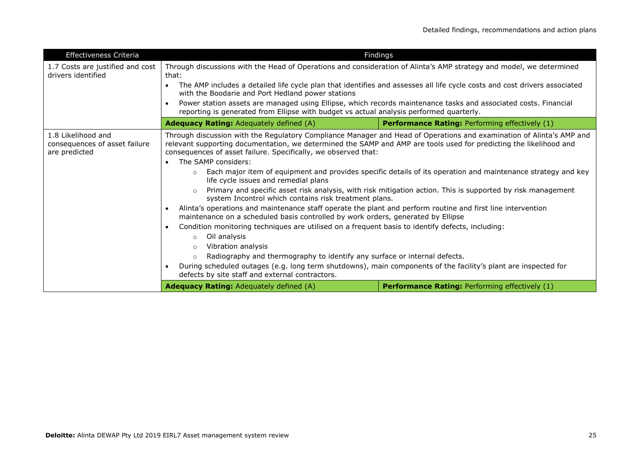| Effectiveness Criteria                                               | Findings                                                                                                                                                                                                                                                                                                                                                                                                                                                       |                                                                                                                           |
|----------------------------------------------------------------------|----------------------------------------------------------------------------------------------------------------------------------------------------------------------------------------------------------------------------------------------------------------------------------------------------------------------------------------------------------------------------------------------------------------------------------------------------------------|---------------------------------------------------------------------------------------------------------------------------|
| 1.7 Costs are justified and cost<br>drivers identified               | Through discussions with the Head of Operations and consideration of Alinta's AMP strategy and model, we determined<br>that:                                                                                                                                                                                                                                                                                                                                   |                                                                                                                           |
|                                                                      | with the Boodarie and Port Hedland power stations                                                                                                                                                                                                                                                                                                                                                                                                              | The AMP includes a detailed life cycle plan that identifies and assesses all life cycle costs and cost drivers associated |
|                                                                      | Power station assets are managed using Ellipse, which records maintenance tasks and associated costs. Financial<br>reporting is generated from Ellipse with budget vs actual analysis performed quarterly.                                                                                                                                                                                                                                                     |                                                                                                                           |
|                                                                      | <b>Adequacy Rating: Adequately defined (A)</b>                                                                                                                                                                                                                                                                                                                                                                                                                 | <b>Performance Rating: Performing effectively (1)</b>                                                                     |
| 1.8 Likelihood and<br>consequences of asset failure<br>are predicted | Through discussion with the Regulatory Compliance Manager and Head of Operations and examination of Alinta's AMP and<br>relevant supporting documentation, we determined the SAMP and AMP are tools used for predicting the likelihood and<br>consequences of asset failure. Specifically, we observed that:<br>The SAMP considers:<br>Each major item of equipment and provides specific details of its operation and maintenance strategy and key<br>$\circ$ |                                                                                                                           |
|                                                                      | life cycle issues and remedial plans<br>Primary and specific asset risk analysis, with risk mitigation action. This is supported by risk management<br>system Incontrol which contains risk treatment plans.                                                                                                                                                                                                                                                   |                                                                                                                           |
|                                                                      | Alinta's operations and maintenance staff operate the plant and perform routine and first line intervention<br>maintenance on a scheduled basis controlled by work orders, generated by Ellipse                                                                                                                                                                                                                                                                |                                                                                                                           |
|                                                                      | Condition monitoring techniques are utilised on a frequent basis to identify defects, including:<br>$\bullet$<br>Oil analysis<br>$\circ$<br>Vibration analysis<br>$\circ$<br>Radiography and thermography to identify any surface or internal defects.<br>$\circ$<br>During scheduled outages (e.g. long term shutdowns), main components of the facility's plant are inspected for<br>defects by site staff and external contractors.                         |                                                                                                                           |
|                                                                      | Adequacy Rating: Adequately defined (A)                                                                                                                                                                                                                                                                                                                                                                                                                        | <b>Performance Rating:</b> Performing effectively (1)                                                                     |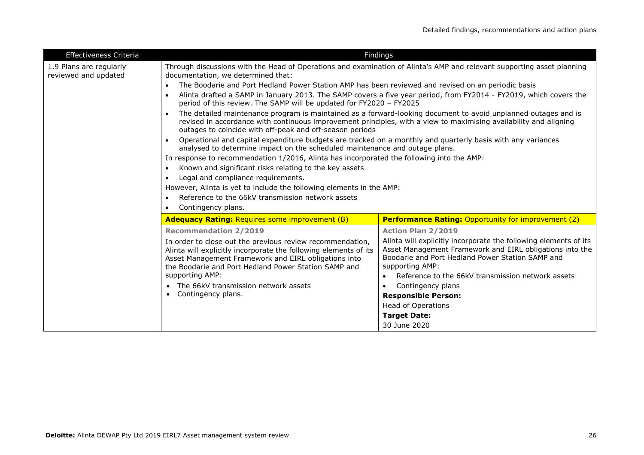| Effectiveness Criteria                          |                                                                                                                                                                                                                                                                                                              | <b>Findings</b>                                                                                                                                                                                     |
|-------------------------------------------------|--------------------------------------------------------------------------------------------------------------------------------------------------------------------------------------------------------------------------------------------------------------------------------------------------------------|-----------------------------------------------------------------------------------------------------------------------------------------------------------------------------------------------------|
| 1.9 Plans are regularly<br>reviewed and updated | Through discussions with the Head of Operations and examination of Alinta's AMP and relevant supporting asset planning<br>documentation, we determined that:                                                                                                                                                 |                                                                                                                                                                                                     |
|                                                 | The Boodarie and Port Hedland Power Station AMP has been reviewed and revised on an periodic basis                                                                                                                                                                                                           |                                                                                                                                                                                                     |
|                                                 | period of this review. The SAMP will be updated for FY2020 - FY2025                                                                                                                                                                                                                                          | Alinta drafted a SAMP in January 2013. The SAMP covers a five year period, from FY2014 - FY2019, which covers the                                                                                   |
|                                                 | The detailed maintenance program is maintained as a forward-looking document to avoid unplanned outages and is<br>$\bullet$<br>revised in accordance with continuous improvement principles, with a view to maximising availability and aligning<br>outages to coincide with off-peak and off-season periods |                                                                                                                                                                                                     |
|                                                 | Operational and capital expenditure budgets are tracked on a monthly and quarterly basis with any variances<br>analysed to determine impact on the scheduled maintenance and outage plans.                                                                                                                   |                                                                                                                                                                                                     |
|                                                 | In response to recommendation 1/2016, Alinta has incorporated the following into the AMP:                                                                                                                                                                                                                    |                                                                                                                                                                                                     |
|                                                 | Known and significant risks relating to the key assets<br>$\bullet$                                                                                                                                                                                                                                          |                                                                                                                                                                                                     |
|                                                 | Legal and compliance requirements.<br>$\bullet$                                                                                                                                                                                                                                                              |                                                                                                                                                                                                     |
|                                                 | However, Alinta is yet to include the following elements in the AMP:                                                                                                                                                                                                                                         |                                                                                                                                                                                                     |
|                                                 | Reference to the 66kV transmission network assets                                                                                                                                                                                                                                                            |                                                                                                                                                                                                     |
|                                                 | Contingency plans.                                                                                                                                                                                                                                                                                           |                                                                                                                                                                                                     |
|                                                 | <b>Adequacy Rating: Requires some improvement (B)</b>                                                                                                                                                                                                                                                        | <b>Performance Rating: Opportunity for improvement (2)</b>                                                                                                                                          |
|                                                 | <b>Recommendation 2/2019</b>                                                                                                                                                                                                                                                                                 | <b>Action Plan 2/2019</b>                                                                                                                                                                           |
|                                                 | In order to close out the previous review recommendation,<br>Alinta will explicitly incorporate the following elements of its<br>Asset Management Framework and EIRL obligations into<br>the Boodarie and Port Hedland Power Station SAMP and                                                                | Alinta will explicitly incorporate the following elements of its<br>Asset Management Framework and EIRL obligations into the<br>Boodarie and Port Hedland Power Station SAMP and<br>supporting AMP: |
|                                                 | supporting AMP:                                                                                                                                                                                                                                                                                              | Reference to the 66kV transmission network assets<br>$\bullet$                                                                                                                                      |
|                                                 | • The 66kV transmission network assets                                                                                                                                                                                                                                                                       | Contingency plans                                                                                                                                                                                   |
|                                                 | • Contingency plans.                                                                                                                                                                                                                                                                                         | <b>Responsible Person:</b>                                                                                                                                                                          |
|                                                 |                                                                                                                                                                                                                                                                                                              | <b>Head of Operations</b>                                                                                                                                                                           |
|                                                 |                                                                                                                                                                                                                                                                                                              | <b>Target Date:</b>                                                                                                                                                                                 |
|                                                 |                                                                                                                                                                                                                                                                                                              | 30 June 2020                                                                                                                                                                                        |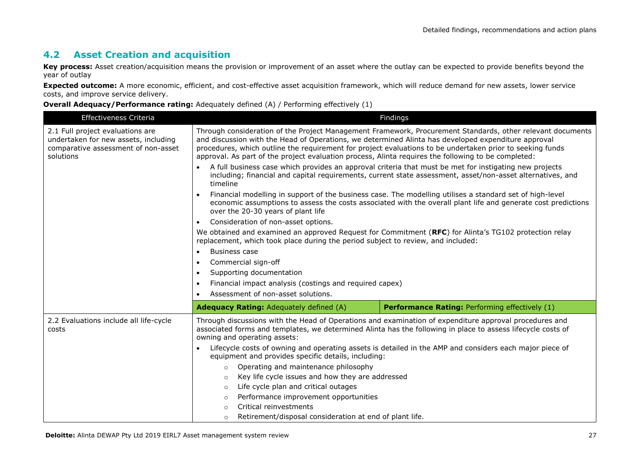# **4.2 Asset Creation and acquisition**

**Key process:** Asset creation/acquisition means the provision or improvement of an asset where the outlay can be expected to provide benefits beyond the year of outlay

**Expected outcome:** A more economic, efficient, and cost-effective asset acquisition framework, which will reduce demand for new assets, lower service costs, and improve service delivery.

| Effectiveness Criteria                                                                                                       | Findings                                                                                                                                                                                                                                                                                                                                                                                                                              |  |
|------------------------------------------------------------------------------------------------------------------------------|---------------------------------------------------------------------------------------------------------------------------------------------------------------------------------------------------------------------------------------------------------------------------------------------------------------------------------------------------------------------------------------------------------------------------------------|--|
| 2.1 Full project evaluations are<br>undertaken for new assets, including<br>comparative assessment of non-asset<br>solutions | Through consideration of the Project Management Framework, Procurement Standards, other relevant documents<br>and discussion with the Head of Operations, we determined Alinta has developed expenditure approval<br>procedures, which outline the requirement for project evaluations to be undertaken prior to seeking funds<br>approval. As part of the project evaluation process, Alinta requires the following to be completed: |  |
|                                                                                                                              | A full business case which provides an approval criteria that must be met for instigating new projects<br>including; financial and capital requirements, current state assessment, asset/non-asset alternatives, and<br>timeline                                                                                                                                                                                                      |  |
|                                                                                                                              | Financial modelling in support of the business case. The modelling utilises a standard set of high-level<br>economic assumptions to assess the costs associated with the overall plant life and generate cost predictions<br>over the 20-30 years of plant life                                                                                                                                                                       |  |
|                                                                                                                              | Consideration of non-asset options.<br>$\bullet$                                                                                                                                                                                                                                                                                                                                                                                      |  |
|                                                                                                                              | We obtained and examined an approved Request for Commitment (RFC) for Alinta's TG102 protection relay<br>replacement, which took place during the period subject to review, and included:                                                                                                                                                                                                                                             |  |
|                                                                                                                              | <b>Business case</b>                                                                                                                                                                                                                                                                                                                                                                                                                  |  |
|                                                                                                                              | Commercial sign-off                                                                                                                                                                                                                                                                                                                                                                                                                   |  |
|                                                                                                                              | Supporting documentation                                                                                                                                                                                                                                                                                                                                                                                                              |  |
|                                                                                                                              | Financial impact analysis (costings and required capex)                                                                                                                                                                                                                                                                                                                                                                               |  |
|                                                                                                                              | Assessment of non-asset solutions.                                                                                                                                                                                                                                                                                                                                                                                                    |  |
|                                                                                                                              | Performance Rating: Performing effectively (1)<br><b>Adequacy Rating: Adequately defined (A)</b>                                                                                                                                                                                                                                                                                                                                      |  |
| 2.2 Evaluations include all life-cycle<br>costs                                                                              | Through discussions with the Head of Operations and examination of expenditure approval procedures and<br>associated forms and templates, we determined Alinta has the following in place to assess lifecycle costs of<br>owning and operating assets:                                                                                                                                                                                |  |
|                                                                                                                              | Lifecycle costs of owning and operating assets is detailed in the AMP and considers each major piece of<br>equipment and provides specific details, including:                                                                                                                                                                                                                                                                        |  |
|                                                                                                                              | Operating and maintenance philosophy<br>$\circ$                                                                                                                                                                                                                                                                                                                                                                                       |  |
|                                                                                                                              | Key life cycle issues and how they are addressed<br>$\circ$                                                                                                                                                                                                                                                                                                                                                                           |  |
|                                                                                                                              | Life cycle plan and critical outages<br>$\circ$                                                                                                                                                                                                                                                                                                                                                                                       |  |
|                                                                                                                              | Performance improvement opportunities<br>$\circ$                                                                                                                                                                                                                                                                                                                                                                                      |  |
|                                                                                                                              | Critical reinvestments<br>$\Omega$                                                                                                                                                                                                                                                                                                                                                                                                    |  |
|                                                                                                                              | Retirement/disposal consideration at end of plant life.<br>$\circ$                                                                                                                                                                                                                                                                                                                                                                    |  |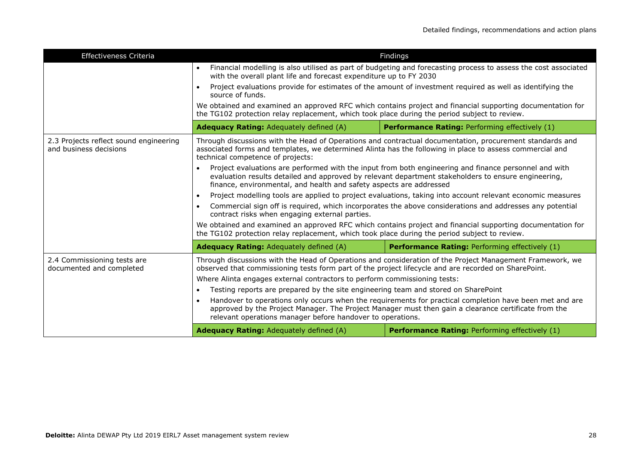| Effectiveness Criteria                                                                                                                                                                                                                                                        |                                                                                                                                                                                                                                                                                     | <b>Findings</b>                                       |
|-------------------------------------------------------------------------------------------------------------------------------------------------------------------------------------------------------------------------------------------------------------------------------|-------------------------------------------------------------------------------------------------------------------------------------------------------------------------------------------------------------------------------------------------------------------------------------|-------------------------------------------------------|
|                                                                                                                                                                                                                                                                               | Financial modelling is also utilised as part of budgeting and forecasting process to assess the cost associated<br>with the overall plant life and forecast expenditure up to FY 2030                                                                                               |                                                       |
|                                                                                                                                                                                                                                                                               | Project evaluations provide for estimates of the amount of investment required as well as identifying the<br>source of funds.                                                                                                                                                       |                                                       |
|                                                                                                                                                                                                                                                                               | We obtained and examined an approved RFC which contains project and financial supporting documentation for<br>the TG102 protection relay replacement, which took place during the period subject to review.                                                                         |                                                       |
|                                                                                                                                                                                                                                                                               | <b>Adequacy Rating: Adequately defined (A)</b>                                                                                                                                                                                                                                      | <b>Performance Rating: Performing effectively (1)</b> |
| 2.3 Projects reflect sound engineering<br>and business decisions                                                                                                                                                                                                              | Through discussions with the Head of Operations and contractual documentation, procurement standards and<br>associated forms and templates, we determined Alinta has the following in place to assess commercial and<br>technical competence of projects:                           |                                                       |
|                                                                                                                                                                                                                                                                               | Project evaluations are performed with the input from both engineering and finance personnel and with<br>evaluation results detailed and approved by relevant department stakeholders to ensure engineering,<br>finance, environmental, and health and safety aspects are addressed |                                                       |
|                                                                                                                                                                                                                                                                               | Project modelling tools are applied to project evaluations, taking into account relevant economic measures                                                                                                                                                                          |                                                       |
|                                                                                                                                                                                                                                                                               | Commercial sign off is required, which incorporates the above considerations and addresses any potential<br>contract risks when engaging external parties.                                                                                                                          |                                                       |
|                                                                                                                                                                                                                                                                               | We obtained and examined an approved RFC which contains project and financial supporting documentation for<br>the TG102 protection relay replacement, which took place during the period subject to review.                                                                         |                                                       |
|                                                                                                                                                                                                                                                                               | <b>Adequacy Rating: Adequately defined (A)</b><br>Performance Rating: Performing effectively (1)                                                                                                                                                                                    |                                                       |
| 2.4 Commissioning tests are<br>documented and completed                                                                                                                                                                                                                       | Through discussions with the Head of Operations and consideration of the Project Management Framework, we<br>observed that commissioning tests form part of the project lifecycle and are recorded on SharePoint.                                                                   |                                                       |
|                                                                                                                                                                                                                                                                               | Where Alinta engages external contractors to perform commissioning tests:                                                                                                                                                                                                           |                                                       |
|                                                                                                                                                                                                                                                                               | Testing reports are prepared by the site engineering team and stored on SharePoint<br>$\bullet$                                                                                                                                                                                     |                                                       |
| Handover to operations only occurs when the requirements for practical completion have been met and are<br>approved by the Project Manager. The Project Manager must then gain a clearance certificate from the<br>relevant operations manager before handover to operations. |                                                                                                                                                                                                                                                                                     |                                                       |
|                                                                                                                                                                                                                                                                               | <b>Adequacy Rating: Adequately defined (A)</b><br><b>Performance Rating: Performing effectively (1)</b>                                                                                                                                                                             |                                                       |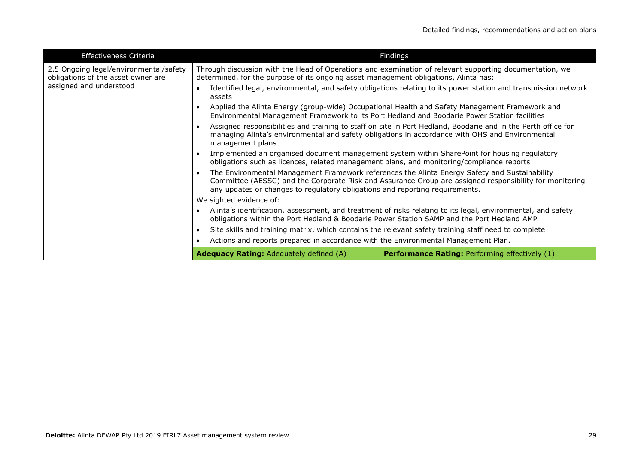| <b>Effectiveness Criteria</b>                                                | Findings                                                                                                                                                                                                                                                                                 |                                                                                                                |
|------------------------------------------------------------------------------|------------------------------------------------------------------------------------------------------------------------------------------------------------------------------------------------------------------------------------------------------------------------------------------|----------------------------------------------------------------------------------------------------------------|
| 2.5 Ongoing legal/environmental/safety<br>obligations of the asset owner are | determined, for the purpose of its ongoing asset management obligations, Alinta has:                                                                                                                                                                                                     | Through discussion with the Head of Operations and examination of relevant supporting documentation, we        |
| assigned and understood                                                      | assets                                                                                                                                                                                                                                                                                   | Identified legal, environmental, and safety obligations relating to its power station and transmission network |
|                                                                              | Environmental Management Framework to its Port Hedland and Boodarie Power Station facilities                                                                                                                                                                                             | Applied the Alinta Energy (group-wide) Occupational Health and Safety Management Framework and                 |
|                                                                              | Assigned responsibilities and training to staff on site in Port Hedland, Boodarie and in the Perth office for<br>managing Alinta's environmental and safety obligations in accordance with OHS and Environmental<br>management plans                                                     |                                                                                                                |
|                                                                              | Implemented an organised document management system within SharePoint for housing regulatory<br>obligations such as licences, related management plans, and monitoring/compliance reports                                                                                                |                                                                                                                |
|                                                                              | The Environmental Management Framework references the Alinta Energy Safety and Sustainability<br>Committee (AESSC) and the Corporate Risk and Assurance Group are assigned responsibility for monitoring<br>any updates or changes to regulatory obligations and reporting requirements. |                                                                                                                |
|                                                                              | We sighted evidence of:                                                                                                                                                                                                                                                                  |                                                                                                                |
|                                                                              | Alinta's identification, assessment, and treatment of risks relating to its legal, environmental, and safety<br>obligations within the Port Hedland & Boodarie Power Station SAMP and the Port Hedland AMP                                                                               |                                                                                                                |
|                                                                              | Site skills and training matrix, which contains the relevant safety training staff need to complete                                                                                                                                                                                      |                                                                                                                |
|                                                                              | Actions and reports prepared in accordance with the Environmental Management Plan.                                                                                                                                                                                                       |                                                                                                                |
|                                                                              | <b>Adequacy Rating: Adequately defined (A)</b>                                                                                                                                                                                                                                           | <b>Performance Rating: Performing effectively (1)</b>                                                          |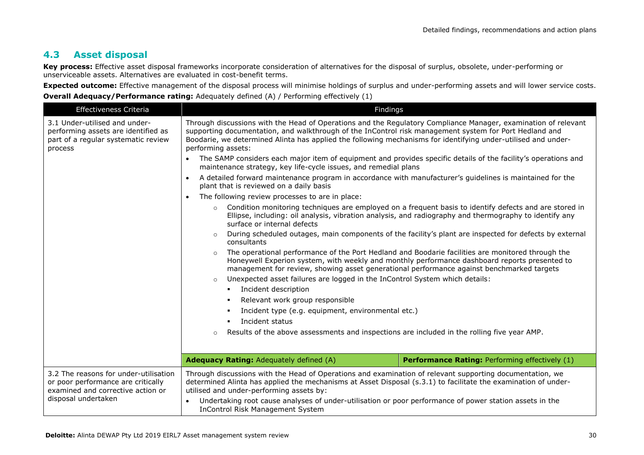# **4.3 Asset disposal**

**Key process:** Effective asset disposal frameworks incorporate consideration of alternatives for the disposal of surplus, obsolete, under-performing or unserviceable assets. Alternatives are evaluated in cost-benefit terms.

**Expected outcome:** Effective management of the disposal process will minimise holdings of surplus and under-performing assets and will lower service costs.

| Effectiveness Criteria                                                                                                                  | Findings                                                                                                                                                                                                                                                                                                                                                                                  |                                                |
|-----------------------------------------------------------------------------------------------------------------------------------------|-------------------------------------------------------------------------------------------------------------------------------------------------------------------------------------------------------------------------------------------------------------------------------------------------------------------------------------------------------------------------------------------|------------------------------------------------|
| 3.1 Under-utilised and under-<br>performing assets are identified as<br>part of a regular systematic review<br>process                  | Through discussions with the Head of Operations and the Regulatory Compliance Manager, examination of relevant<br>supporting documentation, and walkthrough of the InControl risk management system for Port Hedland and<br>Boodarie, we determined Alinta has applied the following mechanisms for identifying under-utilised and under-<br>performing assets:                           |                                                |
|                                                                                                                                         | The SAMP considers each major item of equipment and provides specific details of the facility's operations and<br>maintenance strategy, key life-cycle issues, and remedial plans                                                                                                                                                                                                         |                                                |
|                                                                                                                                         | A detailed forward maintenance program in accordance with manufacturer's guidelines is maintained for the<br>plant that is reviewed on a daily basis                                                                                                                                                                                                                                      |                                                |
|                                                                                                                                         | The following review processes to are in place:<br>$\bullet$                                                                                                                                                                                                                                                                                                                              |                                                |
|                                                                                                                                         | Condition monitoring techniques are employed on a frequent basis to identify defects and are stored in<br>Ellipse, including: oil analysis, vibration analysis, and radiography and thermography to identify any<br>surface or internal defects                                                                                                                                           |                                                |
|                                                                                                                                         | During scheduled outages, main components of the facility's plant are inspected for defects by external<br>consultants                                                                                                                                                                                                                                                                    |                                                |
|                                                                                                                                         | The operational performance of the Port Hedland and Boodarie facilities are monitored through the<br>$\circ$<br>Honeywell Experion system, with weekly and monthly performance dashboard reports presented to<br>management for review, showing asset generational performance against benchmarked targets<br>Unexpected asset failures are logged in the InControl System which details: |                                                |
|                                                                                                                                         | Incident description<br>$\blacksquare$                                                                                                                                                                                                                                                                                                                                                    |                                                |
|                                                                                                                                         | Relevant work group responsible                                                                                                                                                                                                                                                                                                                                                           |                                                |
|                                                                                                                                         | Incident type (e.g. equipment, environmental etc.)                                                                                                                                                                                                                                                                                                                                        |                                                |
|                                                                                                                                         | Incident status                                                                                                                                                                                                                                                                                                                                                                           |                                                |
|                                                                                                                                         | Results of the above assessments and inspections are included in the rolling five year AMP.                                                                                                                                                                                                                                                                                               |                                                |
|                                                                                                                                         | <b>Adequacy Rating: Adequately defined (A)</b>                                                                                                                                                                                                                                                                                                                                            | Performance Rating: Performing effectively (1) |
| 3.2 The reasons for under-utilisation<br>or poor performance are critically<br>examined and corrective action or<br>disposal undertaken | Through discussions with the Head of Operations and examination of relevant supporting documentation, we<br>determined Alinta has applied the mechanisms at Asset Disposal (s.3.1) to facilitate the examination of under-<br>utilised and under-performing assets by:<br>Undertaking root cause analyses of under-utilisation or poor performance of power station assets in the         |                                                |
|                                                                                                                                         | <b>InControl Risk Management System</b>                                                                                                                                                                                                                                                                                                                                                   |                                                |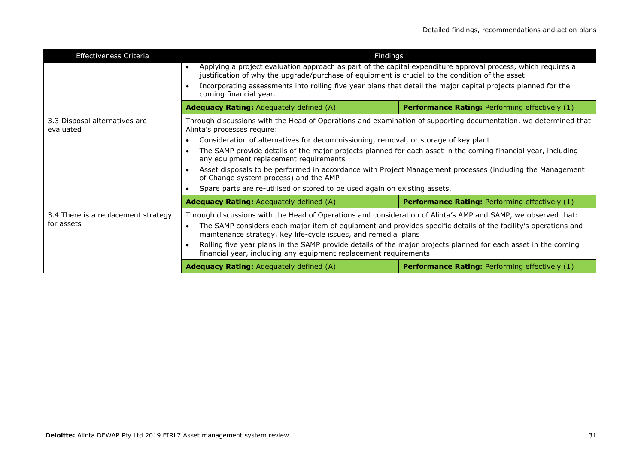| <b>Effectiveness Criteria</b>                     | Findings                                                                                                                                                                                                                                                                                                                                                                                                                                                                                               |                                                       |
|---------------------------------------------------|--------------------------------------------------------------------------------------------------------------------------------------------------------------------------------------------------------------------------------------------------------------------------------------------------------------------------------------------------------------------------------------------------------------------------------------------------------------------------------------------------------|-------------------------------------------------------|
|                                                   | Applying a project evaluation approach as part of the capital expenditure approval process, which requires a<br>$\bullet$<br>justification of why the upgrade/purchase of equipment is crucial to the condition of the asset<br>Incorporating assessments into rolling five year plans that detail the major capital projects planned for the<br>coming financial year.                                                                                                                                |                                                       |
|                                                   |                                                                                                                                                                                                                                                                                                                                                                                                                                                                                                        |                                                       |
|                                                   | <b>Adequacy Rating:</b> Adequately defined (A)                                                                                                                                                                                                                                                                                                                                                                                                                                                         | <b>Performance Rating: Performing effectively (1)</b> |
| 3.3 Disposal alternatives are<br>evaluated        | Through discussions with the Head of Operations and examination of supporting documentation, we determined that<br>Alinta's processes require:                                                                                                                                                                                                                                                                                                                                                         |                                                       |
|                                                   | Consideration of alternatives for decommissioning, removal, or storage of key plant                                                                                                                                                                                                                                                                                                                                                                                                                    |                                                       |
|                                                   | The SAMP provide details of the major projects planned for each asset in the coming financial year, including<br>any equipment replacement requirements                                                                                                                                                                                                                                                                                                                                                |                                                       |
|                                                   | Asset disposals to be performed in accordance with Project Management processes (including the Management<br>of Change system process) and the AMP                                                                                                                                                                                                                                                                                                                                                     |                                                       |
|                                                   | Spare parts are re-utilised or stored to be used again on existing assets.                                                                                                                                                                                                                                                                                                                                                                                                                             |                                                       |
|                                                   | <b>Adequacy Rating: Adequately defined (A)</b>                                                                                                                                                                                                                                                                                                                                                                                                                                                         | <b>Performance Rating: Performing effectively (1)</b> |
| 3.4 There is a replacement strategy<br>for assets | Through discussions with the Head of Operations and consideration of Alinta's AMP and SAMP, we observed that:<br>The SAMP considers each major item of equipment and provides specific details of the facility's operations and<br>$\bullet$<br>maintenance strategy, key life-cycle issues, and remedial plans<br>Rolling five year plans in the SAMP provide details of the major projects planned for each asset in the coming<br>financial year, including any equipment replacement requirements. |                                                       |
|                                                   | <b>Adequacy Rating:</b> Adequately defined (A)                                                                                                                                                                                                                                                                                                                                                                                                                                                         | <b>Performance Rating: Performing effectively (1)</b> |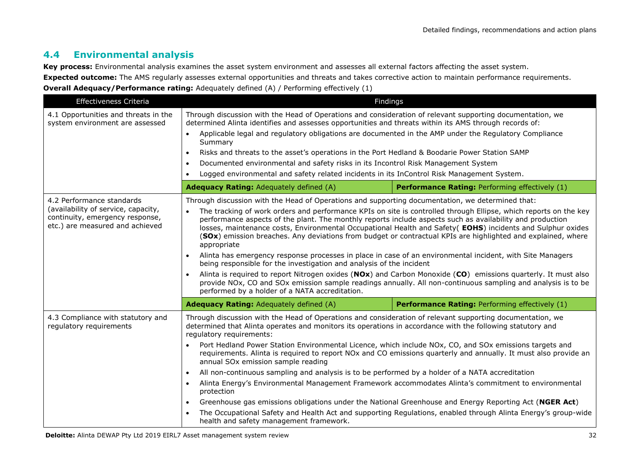# **4.4 Environmental analysis**

**Key process:** Environmental analysis examines the asset system environment and assesses all external factors affecting the asset system.

**Expected outcome:** The AMS regularly assesses external opportunities and threats and takes corrective action to maintain performance requirements.

| Effectiveness Criteria                                                                                                                 |                                                                                                                                                                                                                                                                                                                                                                                                                                                                                                                                                                                                                                                                                                                                                                                                                                                                                                                                                                                                                                                                      | Findings                                       |
|----------------------------------------------------------------------------------------------------------------------------------------|----------------------------------------------------------------------------------------------------------------------------------------------------------------------------------------------------------------------------------------------------------------------------------------------------------------------------------------------------------------------------------------------------------------------------------------------------------------------------------------------------------------------------------------------------------------------------------------------------------------------------------------------------------------------------------------------------------------------------------------------------------------------------------------------------------------------------------------------------------------------------------------------------------------------------------------------------------------------------------------------------------------------------------------------------------------------|------------------------------------------------|
| 4.1 Opportunities and threats in the<br>system environment are assessed                                                                | Through discussion with the Head of Operations and consideration of relevant supporting documentation, we<br>determined Alinta identifies and assesses opportunities and threats within its AMS through records of:<br>Applicable legal and regulatory obligations are documented in the AMP under the Regulatory Compliance<br>$\bullet$<br>Summary<br>Risks and threats to the asset's operations in the Port Hedland & Boodarie Power Station SAMP<br>$\bullet$<br>Documented environmental and safety risks in its Incontrol Risk Management System<br>$\bullet$<br>Logged environmental and safety related incidents in its InControl Risk Management System.<br>$\bullet$                                                                                                                                                                                                                                                                                                                                                                                      |                                                |
|                                                                                                                                        | <b>Adequacy Rating: Adequately defined (A)</b>                                                                                                                                                                                                                                                                                                                                                                                                                                                                                                                                                                                                                                                                                                                                                                                                                                                                                                                                                                                                                       | Performance Rating: Performing effectively (1) |
| 4.2 Performance standards<br>(availability of service, capacity,<br>continuity, emergency response,<br>etc.) are measured and achieved | Through discussion with the Head of Operations and supporting documentation, we determined that:<br>The tracking of work orders and performance KPIs on site is controlled through Ellipse, which reports on the key<br>performance aspects of the plant. The monthly reports include aspects such as availability and production<br>losses, maintenance costs, Environmental Occupational Health and Safety( EOHS) incidents and Sulphur oxides<br>(SOx) emission breaches. Any deviations from budget or contractual KPIs are highlighted and explained, where<br>appropriate<br>Alinta has emergency response processes in place in case of an environmental incident, with Site Managers<br>being responsible for the investigation and analysis of the incident<br>Alinta is required to report Nitrogen oxides (NOx) and Carbon Monoxide (CO) emissions quarterly. It must also<br>$\bullet$<br>provide NOx, CO and SOx emission sample readings annually. All non-continuous sampling and analysis is to be<br>performed by a holder of a NATA accreditation. |                                                |
|                                                                                                                                        | <b>Adequacy Rating: Adequately defined (A)</b>                                                                                                                                                                                                                                                                                                                                                                                                                                                                                                                                                                                                                                                                                                                                                                                                                                                                                                                                                                                                                       | Performance Rating: Performing effectively (1) |
| 4.3 Compliance with statutory and<br>regulatory requirements                                                                           | Through discussion with the Head of Operations and consideration of relevant supporting documentation, we<br>determined that Alinta operates and monitors its operations in accordance with the following statutory and<br>regulatory requirements:<br>Port Hedland Power Station Environmental Licence, which include NOx, CO, and SOx emissions targets and<br>requirements. Alinta is required to report NOx and CO emissions quarterly and annually. It must also provide an<br>annual SOx emission sample reading<br>All non-continuous sampling and analysis is to be performed by a holder of a NATA accreditation<br>$\bullet$<br>Alinta Energy's Environmental Management Framework accommodates Alinta's commitment to environmental<br>$\bullet$<br>protection<br>Greenhouse gas emissions obligations under the National Greenhouse and Energy Reporting Act (NGER Act)<br>$\bullet$<br>The Occupational Safety and Health Act and supporting Regulations, enabled through Alinta Energy's group-wide<br>health and safety management framework.         |                                                |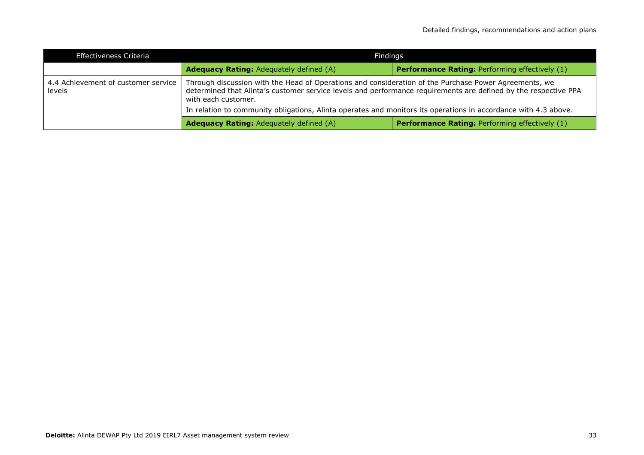| Effectiveness Criteria                        | Findings                                                                                                                                                                                                                                                                                                                                                           |                                                       |
|-----------------------------------------------|--------------------------------------------------------------------------------------------------------------------------------------------------------------------------------------------------------------------------------------------------------------------------------------------------------------------------------------------------------------------|-------------------------------------------------------|
|                                               | <b>Adequacy Rating: Adequately defined (A)</b>                                                                                                                                                                                                                                                                                                                     | <b>Performance Rating: Performing effectively (1)</b> |
| 4.4 Achievement of customer service<br>levels | Through discussion with the Head of Operations and consideration of the Purchase Power Agreements, we<br>determined that Alinta's customer service levels and performance requirements are defined by the respective PPA<br>with each customer.<br>In relation to community obligations, Alinta operates and monitors its operations in accordance with 4.3 above. |                                                       |
|                                               | <b>Adequacy Rating: Adequately defined (A)</b>                                                                                                                                                                                                                                                                                                                     | <b>Performance Rating: Performing effectively (1)</b> |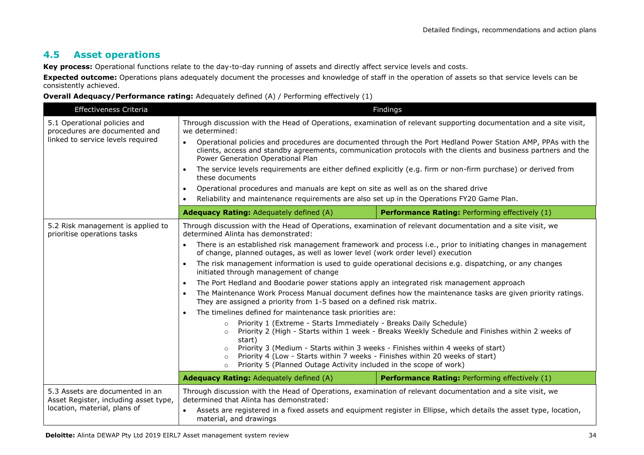### **4.5 Asset operations**

**Key process:** Operational functions relate to the day-to-day running of assets and directly affect service levels and costs.

**Expected outcome:** Operations plans adequately document the processes and knowledge of staff in the operation of assets so that service levels can be consistently achieved.

| Effectiveness Criteria                                                                                                                                                                    |                                                                                                                                                                                                                                                                                                                                                                                                                                                                                                                                                                                                                                                                                                                                                    | Findings                                       |  |
|-------------------------------------------------------------------------------------------------------------------------------------------------------------------------------------------|----------------------------------------------------------------------------------------------------------------------------------------------------------------------------------------------------------------------------------------------------------------------------------------------------------------------------------------------------------------------------------------------------------------------------------------------------------------------------------------------------------------------------------------------------------------------------------------------------------------------------------------------------------------------------------------------------------------------------------------------------|------------------------------------------------|--|
| 5.1 Operational policies and<br>procedures are documented and                                                                                                                             | Through discussion with the Head of Operations, examination of relevant supporting documentation and a site visit,<br>we determined:                                                                                                                                                                                                                                                                                                                                                                                                                                                                                                                                                                                                               |                                                |  |
| linked to service levels required                                                                                                                                                         | Operational policies and procedures are documented through the Port Hedland Power Station AMP, PPAs with the<br>$\bullet$<br>clients, access and standby agreements, communication protocols with the clients and business partners and the<br>Power Generation Operational Plan                                                                                                                                                                                                                                                                                                                                                                                                                                                                   |                                                |  |
|                                                                                                                                                                                           | The service levels requirements are either defined explicitly (e.g. firm or non-firm purchase) or derived from<br>$\bullet$<br>these documents                                                                                                                                                                                                                                                                                                                                                                                                                                                                                                                                                                                                     |                                                |  |
|                                                                                                                                                                                           | Operational procedures and manuals are kept on site as well as on the shared drive<br>$\bullet$                                                                                                                                                                                                                                                                                                                                                                                                                                                                                                                                                                                                                                                    |                                                |  |
|                                                                                                                                                                                           | Reliability and maintenance requirements are also set up in the Operations FY20 Game Plan.<br>$\bullet$                                                                                                                                                                                                                                                                                                                                                                                                                                                                                                                                                                                                                                            |                                                |  |
|                                                                                                                                                                                           | <b>Adequacy Rating: Adequately defined (A)</b>                                                                                                                                                                                                                                                                                                                                                                                                                                                                                                                                                                                                                                                                                                     | Performance Rating: Performing effectively (1) |  |
| 5.2 Risk management is applied to<br>prioritise operations tasks                                                                                                                          | Through discussion with the Head of Operations, examination of relevant documentation and a site visit, we<br>determined Alinta has demonstrated:<br>There is an established risk management framework and process i.e., prior to initiating changes in management<br>$\bullet$                                                                                                                                                                                                                                                                                                                                                                                                                                                                    |                                                |  |
|                                                                                                                                                                                           | of change, planned outages, as well as lower level (work order level) execution                                                                                                                                                                                                                                                                                                                                                                                                                                                                                                                                                                                                                                                                    |                                                |  |
|                                                                                                                                                                                           | The risk management information is used to guide operational decisions e.g. dispatching, or any changes<br>initiated through management of change<br>The Port Hedland and Boodarie power stations apply an integrated risk management approach<br>$\bullet$<br>The Maintenance Work Process Manual document defines how the maintenance tasks are given priority ratings.<br>$\bullet$<br>They are assigned a priority from 1-5 based on a defined risk matrix.<br>The timelines defined for maintenance task priorities are:<br>$\bullet$<br>Priority 1 (Extreme - Starts Immediately - Breaks Daily Schedule)<br>$\circ$<br>Priority 2 (High - Starts within 1 week - Breaks Weekly Schedule and Finishes within 2 weeks of<br>$\circ$<br>start) |                                                |  |
|                                                                                                                                                                                           |                                                                                                                                                                                                                                                                                                                                                                                                                                                                                                                                                                                                                                                                                                                                                    |                                                |  |
|                                                                                                                                                                                           |                                                                                                                                                                                                                                                                                                                                                                                                                                                                                                                                                                                                                                                                                                                                                    |                                                |  |
|                                                                                                                                                                                           |                                                                                                                                                                                                                                                                                                                                                                                                                                                                                                                                                                                                                                                                                                                                                    |                                                |  |
|                                                                                                                                                                                           |                                                                                                                                                                                                                                                                                                                                                                                                                                                                                                                                                                                                                                                                                                                                                    |                                                |  |
|                                                                                                                                                                                           | Priority 3 (Medium - Starts within 3 weeks - Finishes within 4 weeks of start)<br>Priority 4 (Low - Starts within 7 weeks - Finishes within 20 weeks of start)<br>$\circ$<br>Priority 5 (Planned Outage Activity included in the scope of work)<br>$\circ$                                                                                                                                                                                                                                                                                                                                                                                                                                                                                         |                                                |  |
|                                                                                                                                                                                           | <b>Adequacy Rating: Adequately defined (A)</b>                                                                                                                                                                                                                                                                                                                                                                                                                                                                                                                                                                                                                                                                                                     | Performance Rating: Performing effectively (1) |  |
| 5.3 Assets are documented in an<br>Asset Register, including asset type,                                                                                                                  | Through discussion with the Head of Operations, examination of relevant documentation and a site visit, we<br>determined that Alinta has demonstrated:                                                                                                                                                                                                                                                                                                                                                                                                                                                                                                                                                                                             |                                                |  |
| location, material, plans of<br>Assets are registered in a fixed assets and equipment register in Ellipse, which details the asset type, location,<br>$\bullet$<br>material, and drawings |                                                                                                                                                                                                                                                                                                                                                                                                                                                                                                                                                                                                                                                                                                                                                    |                                                |  |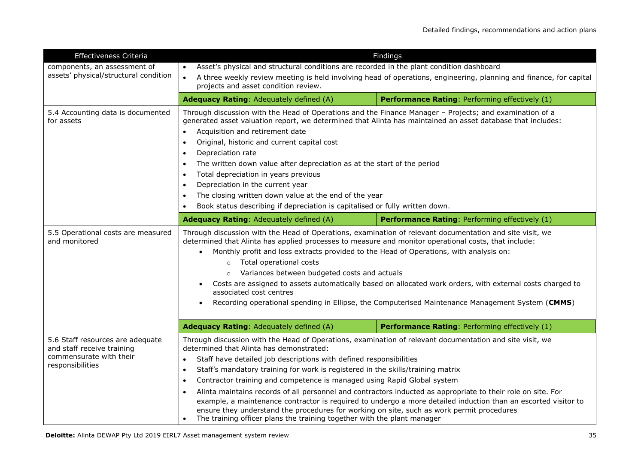| Effectiveness Criteria                                                                                        | Findings                                                                                                                                                                                                                                                                                                                                                                                                                                                                                                                                                                                                                                                                                                                                                                                                                                  |                                                |  |
|---------------------------------------------------------------------------------------------------------------|-------------------------------------------------------------------------------------------------------------------------------------------------------------------------------------------------------------------------------------------------------------------------------------------------------------------------------------------------------------------------------------------------------------------------------------------------------------------------------------------------------------------------------------------------------------------------------------------------------------------------------------------------------------------------------------------------------------------------------------------------------------------------------------------------------------------------------------------|------------------------------------------------|--|
| components, an assessment of<br>assets' physical/structural condition                                         | Asset's physical and structural conditions are recorded in the plant condition dashboard<br>A three weekly review meeting is held involving head of operations, engineering, planning and finance, for capital<br>$\bullet$<br>projects and asset condition review.                                                                                                                                                                                                                                                                                                                                                                                                                                                                                                                                                                       |                                                |  |
|                                                                                                               | Adequacy Rating: Adequately defined (A)                                                                                                                                                                                                                                                                                                                                                                                                                                                                                                                                                                                                                                                                                                                                                                                                   | Performance Rating: Performing effectively (1) |  |
| 5.4 Accounting data is documented<br>for assets                                                               | Through discussion with the Head of Operations and the Finance Manager - Projects; and examination of a<br>generated asset valuation report, we determined that Alinta has maintained an asset database that includes:<br>Acquisition and retirement date<br>$\bullet$<br>Original, historic and current capital cost<br>$\bullet$<br>Depreciation rate<br>The written down value after depreciation as at the start of the period<br>$\bullet$<br>Total depreciation in years previous<br>$\bullet$<br>Depreciation in the current year<br>The closing written down value at the end of the year<br>Book status describing if depreciation is capitalised or fully written down.                                                                                                                                                         |                                                |  |
|                                                                                                               | Adequacy Rating: Adequately defined (A)                                                                                                                                                                                                                                                                                                                                                                                                                                                                                                                                                                                                                                                                                                                                                                                                   | Performance Rating: Performing effectively (1) |  |
| 5.5 Operational costs are measured<br>and monitored                                                           | Through discussion with the Head of Operations, examination of relevant documentation and site visit, we<br>determined that Alinta has applied processes to measure and monitor operational costs, that include:<br>Monthly profit and loss extracts provided to the Head of Operations, with analysis on:<br>Total operational costs<br>$\circ$<br>Variances between budgeted costs and actuals<br>$\circ$<br>Costs are assigned to assets automatically based on allocated work orders, with external costs charged to<br>$\bullet$<br>associated cost centres<br>Recording operational spending in Ellipse, the Computerised Maintenance Management System (CMMS)<br>$\bullet$                                                                                                                                                         |                                                |  |
|                                                                                                               | Adequacy Rating: Adequately defined (A)                                                                                                                                                                                                                                                                                                                                                                                                                                                                                                                                                                                                                                                                                                                                                                                                   | Performance Rating: Performing effectively (1) |  |
| 5.6 Staff resources are adequate<br>and staff receive training<br>commensurate with their<br>responsibilities | Through discussion with the Head of Operations, examination of relevant documentation and site visit, we<br>determined that Alinta has demonstrated:<br>Staff have detailed job descriptions with defined responsibilities<br>$\bullet$<br>Staff's mandatory training for work is registered in the skills/training matrix<br>$\bullet$<br>Contractor training and competence is managed using Rapid Global system<br>$\bullet$<br>Alinta maintains records of all personnel and contractors inducted as appropriate to their role on site. For<br>example, a maintenance contractor is required to undergo a more detailed induction than an escorted visitor to<br>ensure they understand the procedures for working on site, such as work permit procedures<br>The training officer plans the training together with the plant manager |                                                |  |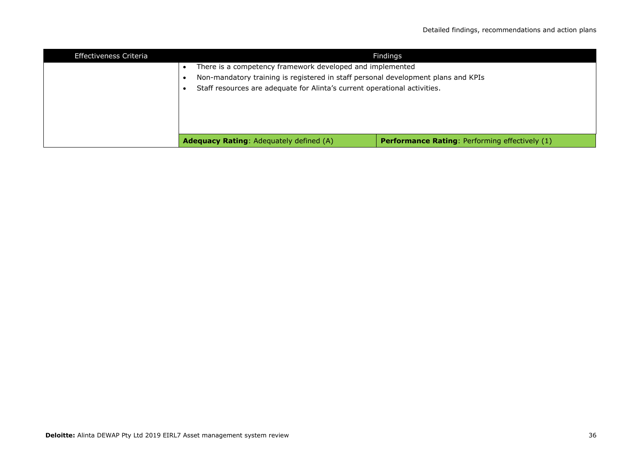| Effectiveness Criteria | Findings                                                                          |                                                       |
|------------------------|-----------------------------------------------------------------------------------|-------------------------------------------------------|
|                        | There is a competency framework developed and implemented                         |                                                       |
|                        | Non-mandatory training is registered in staff personal development plans and KPIs |                                                       |
|                        | Staff resources are adequate for Alinta's current operational activities.         |                                                       |
|                        |                                                                                   |                                                       |
|                        |                                                                                   |                                                       |
|                        |                                                                                   |                                                       |
|                        |                                                                                   |                                                       |
|                        | <b>Adequacy Rating: Adequately defined (A)</b>                                    | <b>Performance Rating: Performing effectively (1)</b> |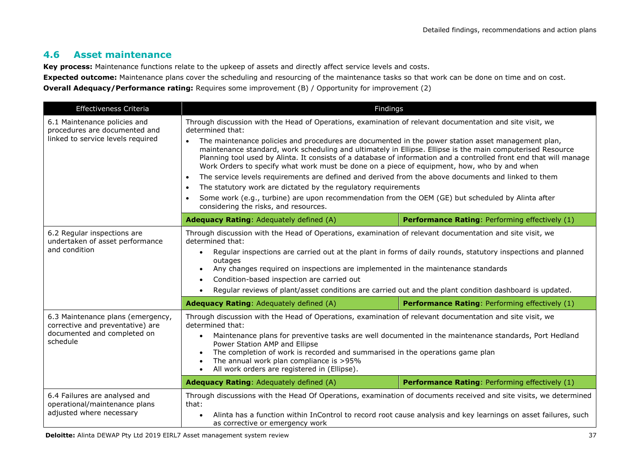# **4.6 Asset maintenance**

**Key process:** Maintenance functions relate to the upkeep of assets and directly affect service levels and costs.

**Expected outcome:** Maintenance plans cover the scheduling and resourcing of the maintenance tasks so that work can be done on time and on cost. **Overall Adequacy/Performance rating:** Requires some improvement (B) / Opportunity for improvement (2)

| Effectiveness Criteria                                                                                           | Findings                                                                                                                                                                                                                                                                                                                                                                                                                                                                                                                                                                                      |                                                                                                                |
|------------------------------------------------------------------------------------------------------------------|-----------------------------------------------------------------------------------------------------------------------------------------------------------------------------------------------------------------------------------------------------------------------------------------------------------------------------------------------------------------------------------------------------------------------------------------------------------------------------------------------------------------------------------------------------------------------------------------------|----------------------------------------------------------------------------------------------------------------|
| 6.1 Maintenance policies and<br>procedures are documented and<br>linked to service levels required               | Through discussion with the Head of Operations, examination of relevant documentation and site visit, we<br>determined that:                                                                                                                                                                                                                                                                                                                                                                                                                                                                  |                                                                                                                |
|                                                                                                                  | The maintenance policies and procedures are documented in the power station asset management plan,<br>maintenance standard, work scheduling and ultimately in Ellipse. Ellipse is the main computerised Resource<br>Planning tool used by Alinta. It consists of a database of information and a controlled front end that will manage<br>Work Orders to specify what work must be done on a piece of equipment, how, who by and when                                                                                                                                                         |                                                                                                                |
|                                                                                                                  | The service levels requirements are defined and derived from the above documents and linked to them<br>$\bullet$                                                                                                                                                                                                                                                                                                                                                                                                                                                                              |                                                                                                                |
|                                                                                                                  | The statutory work are dictated by the regulatory requirements<br>$\bullet$                                                                                                                                                                                                                                                                                                                                                                                                                                                                                                                   |                                                                                                                |
|                                                                                                                  | Some work (e.g., turbine) are upon recommendation from the OEM (GE) but scheduled by Alinta after<br>considering the risks, and resources.                                                                                                                                                                                                                                                                                                                                                                                                                                                    |                                                                                                                |
|                                                                                                                  | Adequacy Rating: Adequately defined (A)                                                                                                                                                                                                                                                                                                                                                                                                                                                                                                                                                       | Performance Rating: Performing effectively (1)                                                                 |
| 6.2 Regular inspections are<br>undertaken of asset performance<br>and condition                                  | Through discussion with the Head of Operations, examination of relevant documentation and site visit, we<br>determined that:<br>$\bullet$<br>outages<br>Any changes required on inspections are implemented in the maintenance standards<br>$\bullet$<br>Condition-based inspection are carried out<br>$\bullet$<br>Regular reviews of plant/asset conditions are carried out and the plant condition dashboard is updated.<br>$\bullet$                                                                                                                                                      | Regular inspections are carried out at the plant in forms of daily rounds, statutory inspections and planned   |
|                                                                                                                  | <b>Adequacy Rating: Adequately defined (A)</b>                                                                                                                                                                                                                                                                                                                                                                                                                                                                                                                                                | Performance Rating: Performing effectively (1)                                                                 |
| 6.3 Maintenance plans (emergency,<br>corrective and preventative) are<br>documented and completed on<br>schedule | Through discussion with the Head of Operations, examination of relevant documentation and site visit, we<br>determined that:<br>Maintenance plans for preventive tasks are well documented in the maintenance standards, Port Hedland<br>$\bullet$<br>Power Station AMP and Ellipse<br>The completion of work is recorded and summarised in the operations game plan<br>The annual work plan compliance is >95%<br>$\bullet$<br>All work orders are registered in (Ellipse).<br>$\bullet$<br>Performance Rating: Performing effectively (1)<br><b>Adequacy Rating: Adequately defined (A)</b> |                                                                                                                |
| 6.4 Failures are analysed and                                                                                    | Through discussions with the Head Of Operations, examination of documents received and site visits, we determined                                                                                                                                                                                                                                                                                                                                                                                                                                                                             |                                                                                                                |
| operational/maintenance plans<br>adjusted where necessary                                                        | that:<br>as corrective or emergency work                                                                                                                                                                                                                                                                                                                                                                                                                                                                                                                                                      | Alinta has a function within InControl to record root cause analysis and key learnings on asset failures, such |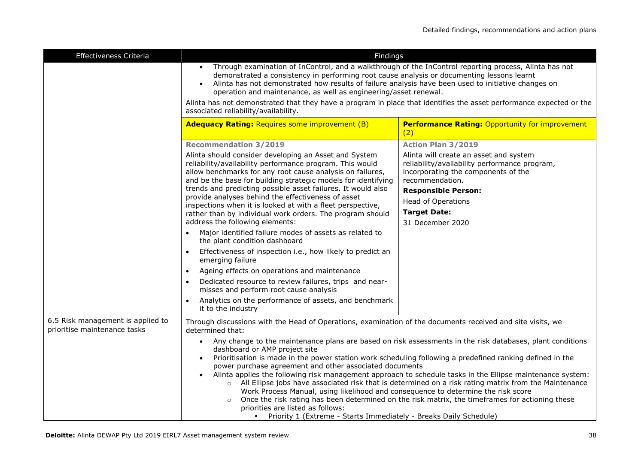| Effectiveness Criteria                                            | Findings                                                                                                                                                                                                                                                                                                                                                                                                                                                                                                                                                                                                                                                                                                                                                                                                                                                                    |                                                                                                                                                   |
|-------------------------------------------------------------------|-----------------------------------------------------------------------------------------------------------------------------------------------------------------------------------------------------------------------------------------------------------------------------------------------------------------------------------------------------------------------------------------------------------------------------------------------------------------------------------------------------------------------------------------------------------------------------------------------------------------------------------------------------------------------------------------------------------------------------------------------------------------------------------------------------------------------------------------------------------------------------|---------------------------------------------------------------------------------------------------------------------------------------------------|
|                                                                   | Through examination of InControl, and a walkthrough of the InControl reporting process, Alinta has not<br>demonstrated a consistency in performing root cause analysis or documenting lessons learnt<br>Alinta has not demonstrated how results of failure analysis have been used to initiative changes on<br>operation and maintenance, as well as engineering/asset renewal.<br>Alinta has not demonstrated that they have a program in place that identifies the asset performance expected or the                                                                                                                                                                                                                                                                                                                                                                      |                                                                                                                                                   |
|                                                                   | associated reliability/availability.                                                                                                                                                                                                                                                                                                                                                                                                                                                                                                                                                                                                                                                                                                                                                                                                                                        |                                                                                                                                                   |
|                                                                   | <b>Adequacy Rating: Requires some improvement (B)</b>                                                                                                                                                                                                                                                                                                                                                                                                                                                                                                                                                                                                                                                                                                                                                                                                                       | <b>Performance Rating: Opportunity for improvement</b><br>(2)                                                                                     |
|                                                                   | <b>Recommendation 3/2019</b>                                                                                                                                                                                                                                                                                                                                                                                                                                                                                                                                                                                                                                                                                                                                                                                                                                                | <b>Action Plan 3/2019</b>                                                                                                                         |
|                                                                   | Alinta should consider developing an Asset and System<br>reliability/availability performance program. This would<br>allow benchmarks for any root cause analysis on failures,<br>and be the base for building strategic models for identifying                                                                                                                                                                                                                                                                                                                                                                                                                                                                                                                                                                                                                             | Alinta will create an asset and system<br>reliability/availability performance program,<br>incorporating the components of the<br>recommendation. |
|                                                                   | trends and predicting possible asset failures. It would also<br>provide analyses behind the effectiveness of asset                                                                                                                                                                                                                                                                                                                                                                                                                                                                                                                                                                                                                                                                                                                                                          | <b>Responsible Person:</b>                                                                                                                        |
|                                                                   | inspections when it is looked at with a fleet perspective,                                                                                                                                                                                                                                                                                                                                                                                                                                                                                                                                                                                                                                                                                                                                                                                                                  | <b>Head of Operations</b>                                                                                                                         |
|                                                                   | rather than by individual work orders. The program should                                                                                                                                                                                                                                                                                                                                                                                                                                                                                                                                                                                                                                                                                                                                                                                                                   | <b>Target Date:</b>                                                                                                                               |
|                                                                   | address the following elements:<br>Major identified failure modes of assets as related to                                                                                                                                                                                                                                                                                                                                                                                                                                                                                                                                                                                                                                                                                                                                                                                   | 31 December 2020                                                                                                                                  |
|                                                                   | the plant condition dashboard                                                                                                                                                                                                                                                                                                                                                                                                                                                                                                                                                                                                                                                                                                                                                                                                                                               |                                                                                                                                                   |
|                                                                   | Effectiveness of inspection i.e., how likely to predict an<br>emerging failure                                                                                                                                                                                                                                                                                                                                                                                                                                                                                                                                                                                                                                                                                                                                                                                              |                                                                                                                                                   |
|                                                                   | Ageing effects on operations and maintenance                                                                                                                                                                                                                                                                                                                                                                                                                                                                                                                                                                                                                                                                                                                                                                                                                                |                                                                                                                                                   |
|                                                                   | Dedicated resource to review failures, trips and near-<br>misses and perform root cause analysis                                                                                                                                                                                                                                                                                                                                                                                                                                                                                                                                                                                                                                                                                                                                                                            |                                                                                                                                                   |
|                                                                   | Analytics on the performance of assets, and benchmark<br>it to the industry                                                                                                                                                                                                                                                                                                                                                                                                                                                                                                                                                                                                                                                                                                                                                                                                 |                                                                                                                                                   |
| 6.5 Risk management is applied to<br>prioritise maintenance tasks | Through discussions with the Head of Operations, examination of the documents received and site visits, we<br>determined that:                                                                                                                                                                                                                                                                                                                                                                                                                                                                                                                                                                                                                                                                                                                                              |                                                                                                                                                   |
|                                                                   | Any change to the maintenance plans are based on risk assessments in the risk databases, plant conditions<br>$\bullet$<br>dashboard or AMP project site<br>Prioritisation is made in the power station work scheduling following a predefined ranking defined in the<br>power purchase agreement and other associated documents<br>Alinta applies the following risk management approach to schedule tasks in the Ellipse maintenance system:<br>$\circ$ All Ellipse jobs have associated risk that is determined on a risk rating matrix from the Maintenance<br>Work Process Manual, using likelihood and consequence to determine the risk score<br>Once the risk rating has been determined on the risk matrix, the timeframes for actioning these<br>$\circ$<br>priorities are listed as follows:<br>Priority 1 (Extreme - Starts Immediately - Breaks Daily Schedule) |                                                                                                                                                   |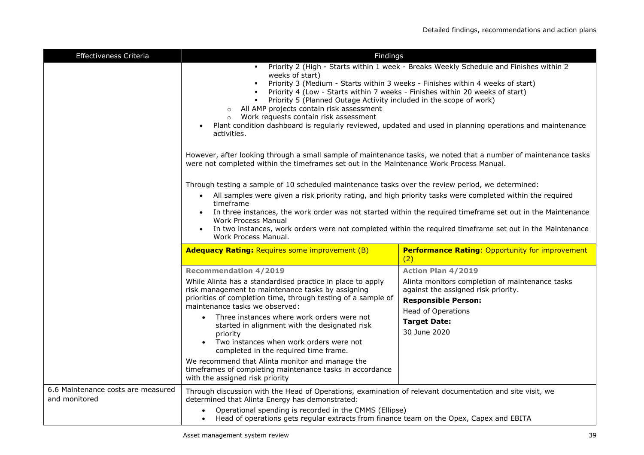| Effectiveness Criteria                              | Findings                                                                                                                                                                                                                                                                                                                                                                                                                                                                                                                                                                                                                                                                                                                                                                                                                                                                   |                                                                                                                                                                          |
|-----------------------------------------------------|----------------------------------------------------------------------------------------------------------------------------------------------------------------------------------------------------------------------------------------------------------------------------------------------------------------------------------------------------------------------------------------------------------------------------------------------------------------------------------------------------------------------------------------------------------------------------------------------------------------------------------------------------------------------------------------------------------------------------------------------------------------------------------------------------------------------------------------------------------------------------|--------------------------------------------------------------------------------------------------------------------------------------------------------------------------|
|                                                     | weeks of start)<br>٠<br>Priority 4 (Low - Starts within 7 weeks - Finishes within 20 weeks of start)<br>$\blacksquare$<br>Priority 5 (Planned Outage Activity included in the scope of work)<br>٠<br>All AMP projects contain risk assessment<br>$\circ$<br>Work requests contain risk assessment<br>Plant condition dashboard is regularly reviewed, updated and used in planning operations and maintenance<br>activities.<br>However, after looking through a small sample of maintenance tasks, we noted that a number of maintenance tasks<br>were not completed within the timeframes set out in the Maintenance Work Process Manual.<br>Through testing a sample of 10 scheduled maintenance tasks over the review period, we determined:<br>All samples were given a risk priority rating, and high priority tasks were completed within the required<br>timeframe | Priority 2 (High - Starts within 1 week - Breaks Weekly Schedule and Finishes within 2<br>Priority 3 (Medium - Starts within 3 weeks - Finishes within 4 weeks of start) |
|                                                     | In three instances, the work order was not started within the required timeframe set out in the Maintenance<br><b>Work Process Manual</b><br>In two instances, work orders were not completed within the required timeframe set out in the Maintenance<br>Work Process Manual.                                                                                                                                                                                                                                                                                                                                                                                                                                                                                                                                                                                             |                                                                                                                                                                          |
|                                                     | <b>Adequacy Rating: Requires some improvement (B)</b>                                                                                                                                                                                                                                                                                                                                                                                                                                                                                                                                                                                                                                                                                                                                                                                                                      | <b>Performance Rating: Opportunity for improvement</b><br>(2)                                                                                                            |
|                                                     | <b>Recommendation 4/2019</b>                                                                                                                                                                                                                                                                                                                                                                                                                                                                                                                                                                                                                                                                                                                                                                                                                                               | <b>Action Plan 4/2019</b>                                                                                                                                                |
|                                                     | While Alinta has a standardised practice in place to apply<br>risk management to maintenance tasks by assigning<br>priorities of completion time, through testing of a sample of<br>maintenance tasks we observed:                                                                                                                                                                                                                                                                                                                                                                                                                                                                                                                                                                                                                                                         | Alinta monitors completion of maintenance tasks<br>against the assigned risk priority.<br><b>Responsible Person:</b>                                                     |
|                                                     | Three instances where work orders were not<br>started in alignment with the designated risk<br>priority<br>Two instances when work orders were not<br>completed in the required time frame.                                                                                                                                                                                                                                                                                                                                                                                                                                                                                                                                                                                                                                                                                | <b>Head of Operations</b><br><b>Target Date:</b><br>30 June 2020                                                                                                         |
|                                                     | We recommend that Alinta monitor and manage the<br>timeframes of completing maintenance tasks in accordance<br>with the assigned risk priority                                                                                                                                                                                                                                                                                                                                                                                                                                                                                                                                                                                                                                                                                                                             |                                                                                                                                                                          |
| 6.6 Maintenance costs are measured<br>and monitored | Through discussion with the Head of Operations, examination of relevant documentation and site visit, we<br>determined that Alinta Energy has demonstrated:<br>Operational spending is recorded in the CMMS (Ellipse)<br>Head of operations gets regular extracts from finance team on the Opex, Capex and EBITA                                                                                                                                                                                                                                                                                                                                                                                                                                                                                                                                                           |                                                                                                                                                                          |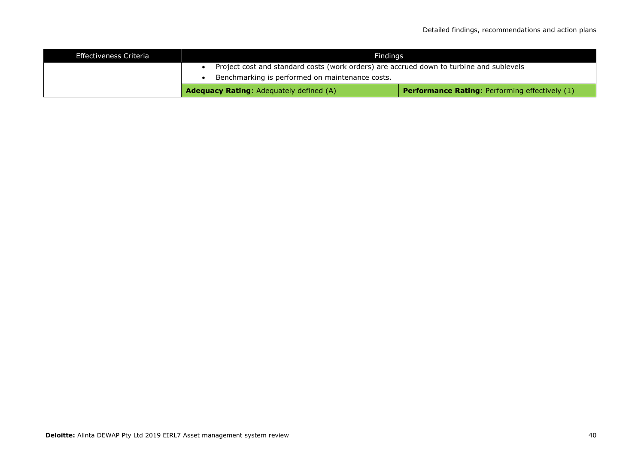| Effectiveness Criteria |                                                                                         | Findinas                                              |
|------------------------|-----------------------------------------------------------------------------------------|-------------------------------------------------------|
|                        | Project cost and standard costs (work orders) are accrued down to turbine and sublevels |                                                       |
|                        | Benchmarking is performed on maintenance costs.                                         |                                                       |
|                        | <b>Adequacy Rating:</b> Adequately defined (A)                                          | <b>Performance Rating: Performing effectively (1)</b> |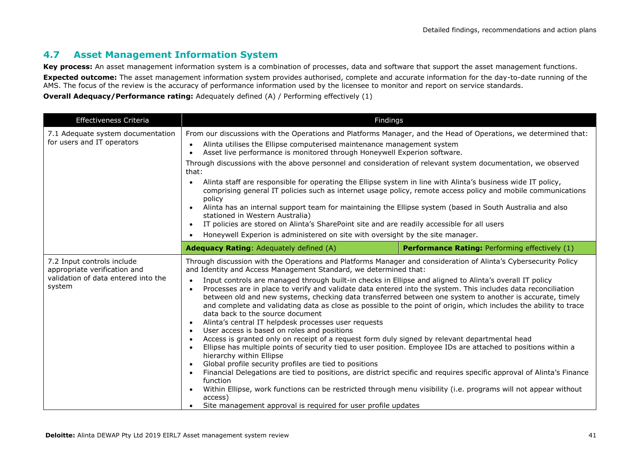# **4.7 Asset Management Information System**

**Key process:** An asset management information system is a combination of processes, data and software that support the asset management functions. **Expected outcome:** The asset management information system provides authorised, complete and accurate information for the day-to-date running of the AMS. The focus of the review is the accuracy of performance information used by the licensee to monitor and report on service standards.

| Effectiveness Criteria                                                                                      | Findings                                                                                                                                                                                                                                                                                                                                                                                                                                                                                                                                                                                                                                                                                                                                                                                                                                                                                                                                                                                                                                                                                                                                                                                                                                                                                                                                                                                                                                                                                     |                                                       |
|-------------------------------------------------------------------------------------------------------------|----------------------------------------------------------------------------------------------------------------------------------------------------------------------------------------------------------------------------------------------------------------------------------------------------------------------------------------------------------------------------------------------------------------------------------------------------------------------------------------------------------------------------------------------------------------------------------------------------------------------------------------------------------------------------------------------------------------------------------------------------------------------------------------------------------------------------------------------------------------------------------------------------------------------------------------------------------------------------------------------------------------------------------------------------------------------------------------------------------------------------------------------------------------------------------------------------------------------------------------------------------------------------------------------------------------------------------------------------------------------------------------------------------------------------------------------------------------------------------------------|-------------------------------------------------------|
| 7.1 Adequate system documentation                                                                           | From our discussions with the Operations and Platforms Manager, and the Head of Operations, we determined that:                                                                                                                                                                                                                                                                                                                                                                                                                                                                                                                                                                                                                                                                                                                                                                                                                                                                                                                                                                                                                                                                                                                                                                                                                                                                                                                                                                              |                                                       |
| for users and IT operators                                                                                  | Alinta utilises the Ellipse computerised maintenance management system<br>$\bullet$<br>Asset live performance is monitored through Honeywell Experion software.<br>$\bullet$                                                                                                                                                                                                                                                                                                                                                                                                                                                                                                                                                                                                                                                                                                                                                                                                                                                                                                                                                                                                                                                                                                                                                                                                                                                                                                                 |                                                       |
|                                                                                                             | Through discussions with the above personnel and consideration of relevant system documentation, we observed<br>that:                                                                                                                                                                                                                                                                                                                                                                                                                                                                                                                                                                                                                                                                                                                                                                                                                                                                                                                                                                                                                                                                                                                                                                                                                                                                                                                                                                        |                                                       |
|                                                                                                             | Alinta staff are responsible for operating the Ellipse system in line with Alinta's business wide IT policy,<br>$\bullet$<br>comprising general IT policies such as internet usage policy, remote access policy and mobile communications<br>policy                                                                                                                                                                                                                                                                                                                                                                                                                                                                                                                                                                                                                                                                                                                                                                                                                                                                                                                                                                                                                                                                                                                                                                                                                                          |                                                       |
|                                                                                                             | Alinta has an internal support team for maintaining the Ellipse system (based in South Australia and also<br>stationed in Western Australia)<br>IT policies are stored on Alinta's SharePoint site and are readily accessible for all users<br>$\bullet$                                                                                                                                                                                                                                                                                                                                                                                                                                                                                                                                                                                                                                                                                                                                                                                                                                                                                                                                                                                                                                                                                                                                                                                                                                     |                                                       |
|                                                                                                             | Honeywell Experion is administered on site with oversight by the site manager.                                                                                                                                                                                                                                                                                                                                                                                                                                                                                                                                                                                                                                                                                                                                                                                                                                                                                                                                                                                                                                                                                                                                                                                                                                                                                                                                                                                                               |                                                       |
|                                                                                                             | <b>Adequacy Rating: Adequately defined (A)</b>                                                                                                                                                                                                                                                                                                                                                                                                                                                                                                                                                                                                                                                                                                                                                                                                                                                                                                                                                                                                                                                                                                                                                                                                                                                                                                                                                                                                                                               | <b>Performance Rating: Performing effectively (1)</b> |
| 7.2 Input controls include<br>appropriate verification and<br>validation of data entered into the<br>system | Through discussion with the Operations and Platforms Manager and consideration of Alinta's Cybersecurity Policy<br>and Identity and Access Management Standard, we determined that:<br>Input controls are managed through built-in checks in Ellipse and aligned to Alinta's overall IT policy<br>$\bullet$<br>Processes are in place to verify and validate data entered into the system. This includes data reconciliation<br>$\bullet$<br>between old and new systems, checking data transferred between one system to another is accurate, timely<br>and complete and validating data as close as possible to the point of origin, which includes the ability to trace<br>data back to the source document<br>Alinta's central IT helpdesk processes user requests<br>User access is based on roles and positions<br>Access is granted only on receipt of a request form duly signed by relevant departmental head<br>Ellipse has multiple points of security tied to user position. Employee IDs are attached to positions within a<br>$\bullet$<br>hierarchy within Ellipse<br>Global profile security profiles are tied to positions<br>$\bullet$<br>Financial Delegations are tied to positions, are district specific and requires specific approval of Alinta's Finance<br>function<br>Within Ellipse, work functions can be restricted through menu visibility (i.e. programs will not appear without<br>access)<br>Site management approval is required for user profile updates |                                                       |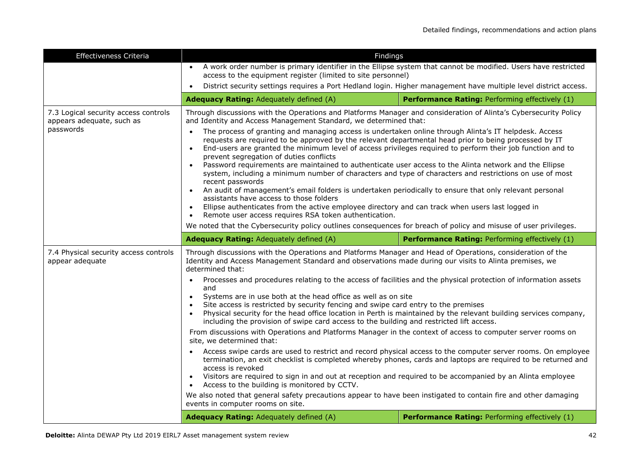| A work order number is primary identifier in the Ellipse system that cannot be modified. Users have restricted<br>access to the equipment register (limited to site personnel)<br>District security settings requires a Port Hedland login. Higher management have multiple level district access.<br>$\bullet$<br><b>Adequacy Rating: Adequately defined (A)</b><br>Performance Rating: Performing effectively (1)<br>7.3 Logical security access controls<br>Through discussions with the Operations and Platforms Manager and consideration of Alinta's Cybersecurity Policy<br>and Identity and Access Management Standard, we determined that:<br>appears adequate, such as<br>passwords<br>The process of granting and managing access is undertaken online through Alinta's IT helpdesk. Access<br>$\bullet$<br>requests are required to be approved by the relevant departmental head prior to being processed by IT<br>End-users are granted the minimum level of access privileges required to perform their job function and to<br>$\bullet$<br>prevent segregation of duties conflicts<br>Password requirements are maintained to authenticate user access to the Alinta network and the Ellipse<br>$\bullet$<br>system, including a minimum number of characters and type of characters and restrictions on use of most<br>recent passwords<br>An audit of management's email folders is undertaken periodically to ensure that only relevant personal<br>assistants have access to those folders<br>Ellipse authenticates from the active employee directory and can track when users last logged in<br>$\bullet$<br>Remote user access requires RSA token authentication.<br>We noted that the Cybersecurity policy outlines consequences for breach of policy and misuse of user privileges.<br>Adequacy Rating: Adequately defined (A)<br>Performance Rating: Performing effectively (1)<br>7.4 Physical security access controls<br>Through discussions with the Operations and Platforms Manager and Head of Operations, consideration of the<br>Identity and Access Management Standard and observations made during our visits to Alinta premises, we<br>appear adequate<br>determined that:<br>Processes and procedures relating to the access of facilities and the physical protection of information assets<br>$\bullet$<br>and<br>Systems are in use both at the head office as well as on site<br>$\bullet$<br>Site access is restricted by security fencing and swipe card entry to the premises<br>Physical security for the head office location in Perth is maintained by the relevant building services company,<br>including the provision of swipe card access to the building and restricted lift access.<br>From discussions with Operations and Platforms Manager in the context of access to computer server rooms on<br>site, we determined that:<br>Access swipe cards are used to restrict and record physical access to the computer server rooms. On employee<br>termination, an exit checklist is completed whereby phones, cards and laptops are required to be returned and<br>access is revoked<br>Visitors are required to sign in and out at reception and required to be accompanied by an Alinta employee<br>$\bullet$<br>Access to the building is monitored by CCTV.<br>We also noted that general safety precautions appear to have been instigated to contain fire and other damaging<br>events in computer rooms on site. | Effectiveness Criteria | Findings |  |
|-----------------------------------------------------------------------------------------------------------------------------------------------------------------------------------------------------------------------------------------------------------------------------------------------------------------------------------------------------------------------------------------------------------------------------------------------------------------------------------------------------------------------------------------------------------------------------------------------------------------------------------------------------------------------------------------------------------------------------------------------------------------------------------------------------------------------------------------------------------------------------------------------------------------------------------------------------------------------------------------------------------------------------------------------------------------------------------------------------------------------------------------------------------------------------------------------------------------------------------------------------------------------------------------------------------------------------------------------------------------------------------------------------------------------------------------------------------------------------------------------------------------------------------------------------------------------------------------------------------------------------------------------------------------------------------------------------------------------------------------------------------------------------------------------------------------------------------------------------------------------------------------------------------------------------------------------------------------------------------------------------------------------------------------------------------------------------------------------------------------------------------------------------------------------------------------------------------------------------------------------------------------------------------------------------------------------------------------------------------------------------------------------------------------------------------------------------------------------------------------------------------------------------------------------------------------------------------------------------------------------------------------------------------------------------------------------------------------------------------------------------------------------------------------------------------------------------------------------------------------------------------------------------------------------------------------------------------------------------------------------------------------------------------------------------------------------------------------------------------------------------------------------------------------------------------------------------------------------------------------------------------------------------------------------------------------------------------------------------------------------------------------------------------------------------------------------------------------------------------|------------------------|----------|--|
|                                                                                                                                                                                                                                                                                                                                                                                                                                                                                                                                                                                                                                                                                                                                                                                                                                                                                                                                                                                                                                                                                                                                                                                                                                                                                                                                                                                                                                                                                                                                                                                                                                                                                                                                                                                                                                                                                                                                                                                                                                                                                                                                                                                                                                                                                                                                                                                                                                                                                                                                                                                                                                                                                                                                                                                                                                                                                                                                                                                                                                                                                                                                                                                                                                                                                                                                                                                                                                                                                   |                        |          |  |
|                                                                                                                                                                                                                                                                                                                                                                                                                                                                                                                                                                                                                                                                                                                                                                                                                                                                                                                                                                                                                                                                                                                                                                                                                                                                                                                                                                                                                                                                                                                                                                                                                                                                                                                                                                                                                                                                                                                                                                                                                                                                                                                                                                                                                                                                                                                                                                                                                                                                                                                                                                                                                                                                                                                                                                                                                                                                                                                                                                                                                                                                                                                                                                                                                                                                                                                                                                                                                                                                                   |                        |          |  |
|                                                                                                                                                                                                                                                                                                                                                                                                                                                                                                                                                                                                                                                                                                                                                                                                                                                                                                                                                                                                                                                                                                                                                                                                                                                                                                                                                                                                                                                                                                                                                                                                                                                                                                                                                                                                                                                                                                                                                                                                                                                                                                                                                                                                                                                                                                                                                                                                                                                                                                                                                                                                                                                                                                                                                                                                                                                                                                                                                                                                                                                                                                                                                                                                                                                                                                                                                                                                                                                                                   |                        |          |  |
|                                                                                                                                                                                                                                                                                                                                                                                                                                                                                                                                                                                                                                                                                                                                                                                                                                                                                                                                                                                                                                                                                                                                                                                                                                                                                                                                                                                                                                                                                                                                                                                                                                                                                                                                                                                                                                                                                                                                                                                                                                                                                                                                                                                                                                                                                                                                                                                                                                                                                                                                                                                                                                                                                                                                                                                                                                                                                                                                                                                                                                                                                                                                                                                                                                                                                                                                                                                                                                                                                   |                        |          |  |
|                                                                                                                                                                                                                                                                                                                                                                                                                                                                                                                                                                                                                                                                                                                                                                                                                                                                                                                                                                                                                                                                                                                                                                                                                                                                                                                                                                                                                                                                                                                                                                                                                                                                                                                                                                                                                                                                                                                                                                                                                                                                                                                                                                                                                                                                                                                                                                                                                                                                                                                                                                                                                                                                                                                                                                                                                                                                                                                                                                                                                                                                                                                                                                                                                                                                                                                                                                                                                                                                                   |                        |          |  |
| <b>Adequacy Rating: Adequately defined (A)</b><br>Performance Rating: Performing effectively (1)                                                                                                                                                                                                                                                                                                                                                                                                                                                                                                                                                                                                                                                                                                                                                                                                                                                                                                                                                                                                                                                                                                                                                                                                                                                                                                                                                                                                                                                                                                                                                                                                                                                                                                                                                                                                                                                                                                                                                                                                                                                                                                                                                                                                                                                                                                                                                                                                                                                                                                                                                                                                                                                                                                                                                                                                                                                                                                                                                                                                                                                                                                                                                                                                                                                                                                                                                                                  |                        |          |  |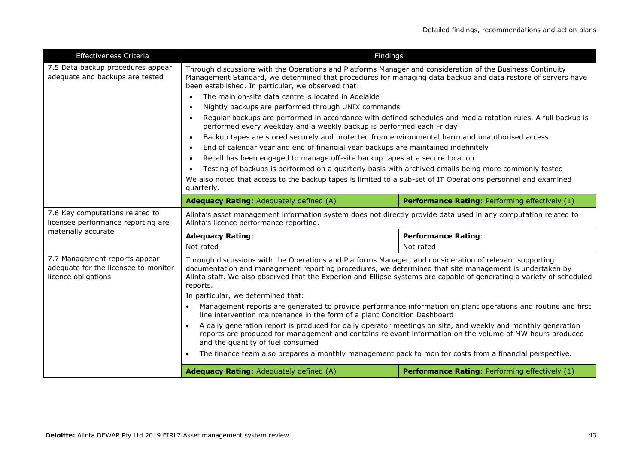| Effectiveness Criteria                                                                       | Findings                                                                                                                                                                                                                                                                                                                                               |                                                |  |
|----------------------------------------------------------------------------------------------|--------------------------------------------------------------------------------------------------------------------------------------------------------------------------------------------------------------------------------------------------------------------------------------------------------------------------------------------------------|------------------------------------------------|--|
| 7.5 Data backup procedures appear<br>adequate and backups are tested                         | Through discussions with the Operations and Platforms Manager and consideration of the Business Continuity<br>Management Standard, we determined that procedures for managing data backup and data restore of servers have<br>been established. In particular, we observed that:                                                                       |                                                |  |
|                                                                                              | The main on-site data centre is located in Adelaide                                                                                                                                                                                                                                                                                                    |                                                |  |
|                                                                                              | Nightly backups are performed through UNIX commands                                                                                                                                                                                                                                                                                                    |                                                |  |
|                                                                                              | Regular backups are performed in accordance with defined schedules and media rotation rules. A full backup is<br>$\bullet$<br>performed every weekday and a weekly backup is performed each Friday                                                                                                                                                     |                                                |  |
|                                                                                              | Backup tapes are stored securely and protected from environmental harm and unauthorised access                                                                                                                                                                                                                                                         |                                                |  |
|                                                                                              | End of calendar year and end of financial year backups are maintained indefinitely<br>$\bullet$                                                                                                                                                                                                                                                        |                                                |  |
|                                                                                              | Recall has been engaged to manage off-site backup tapes at a secure location                                                                                                                                                                                                                                                                           |                                                |  |
|                                                                                              | Testing of backups is performed on a quarterly basis with archived emails being more commonly tested                                                                                                                                                                                                                                                   |                                                |  |
|                                                                                              | We also noted that access to the backup tapes is limited to a sub-set of IT Operations personnel and examined<br>quarterly.                                                                                                                                                                                                                            |                                                |  |
|                                                                                              | <b>Adequacy Rating: Adequately defined (A)</b>                                                                                                                                                                                                                                                                                                         | Performance Rating: Performing effectively (1) |  |
| 7.6 Key computations related to<br>licensee performance reporting are                        | Alinta's asset management information system does not directly provide data used in any computation related to<br>Alinta's licence performance reporting.                                                                                                                                                                                              |                                                |  |
| materially accurate                                                                          | <b>Adequacy Rating:</b>                                                                                                                                                                                                                                                                                                                                | <b>Performance Rating:</b>                     |  |
|                                                                                              | Not rated                                                                                                                                                                                                                                                                                                                                              | Not rated                                      |  |
| 7.7 Management reports appear<br>adequate for the licensee to monitor<br>licence obligations | Through discussions with the Operations and Platforms Manager, and consideration of relevant supporting<br>documentation and management reporting procedures, we determined that site management is undertaken by<br>Alinta staff. We also observed that the Experion and Ellipse systems are capable of generating a variety of scheduled<br>reports. |                                                |  |
|                                                                                              | In particular, we determined that:                                                                                                                                                                                                                                                                                                                     |                                                |  |
|                                                                                              | Management reports are generated to provide performance information on plant operations and routine and first<br>$\bullet$<br>line intervention maintenance in the form of a plant Condition Dashboard                                                                                                                                                 |                                                |  |
|                                                                                              | A daily generation report is produced for daily operator meetings on site, and weekly and monthly generation<br>reports are produced for management and contains relevant information on the volume of MW hours produced<br>and the quantity of fuel consumed                                                                                          |                                                |  |
|                                                                                              | The finance team also prepares a monthly management pack to monitor costs from a financial perspective.<br>$\bullet$                                                                                                                                                                                                                                   |                                                |  |
|                                                                                              | <b>Adequacy Rating: Adequately defined (A)</b>                                                                                                                                                                                                                                                                                                         | Performance Rating: Performing effectively (1) |  |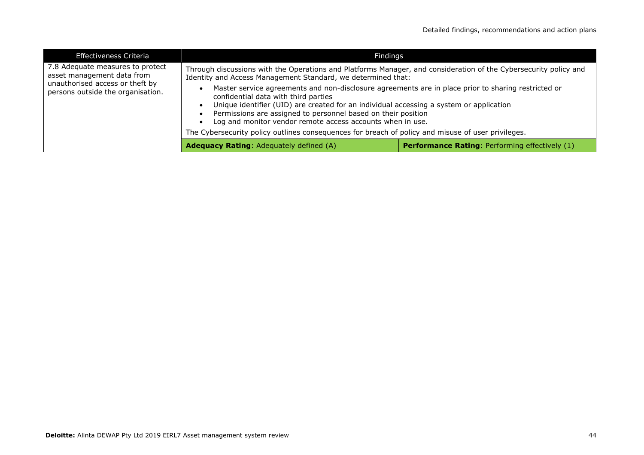| <b>Effectiveness Criteria</b>                                                                                                          | Findings                                                                                                                                                                                                                                                                                                                                                                                                                                                                    |                                                       |
|----------------------------------------------------------------------------------------------------------------------------------------|-----------------------------------------------------------------------------------------------------------------------------------------------------------------------------------------------------------------------------------------------------------------------------------------------------------------------------------------------------------------------------------------------------------------------------------------------------------------------------|-------------------------------------------------------|
| 7.8 Adequate measures to protect<br>asset management data from<br>unauthorised access or theft by<br>persons outside the organisation. | Through discussions with the Operations and Platforms Manager, and consideration of the Cybersecurity policy and<br>Identity and Access Management Standard, we determined that:                                                                                                                                                                                                                                                                                            |                                                       |
|                                                                                                                                        | Master service agreements and non-disclosure agreements are in place prior to sharing restricted or<br>confidential data with third parties<br>Unique identifier (UID) are created for an individual accessing a system or application<br>Permissions are assigned to personnel based on their position<br>Log and monitor vendor remote access accounts when in use.<br>The Cybersecurity policy outlines consequences for breach of policy and misuse of user privileges. |                                                       |
|                                                                                                                                        | <b>Adequacy Rating: Adequately defined (A)</b>                                                                                                                                                                                                                                                                                                                                                                                                                              | <b>Performance Rating: Performing effectively (1)</b> |
|                                                                                                                                        |                                                                                                                                                                                                                                                                                                                                                                                                                                                                             |                                                       |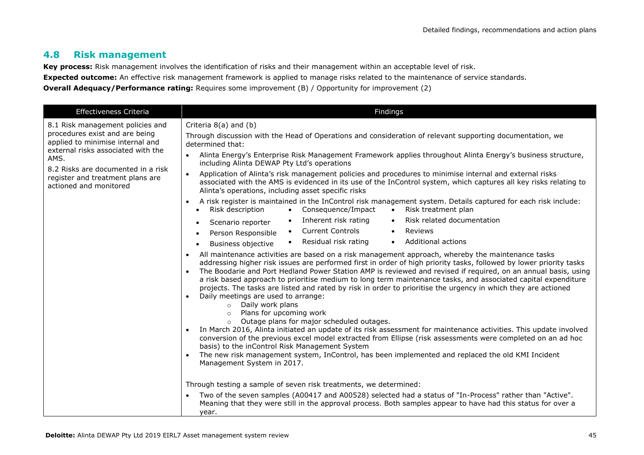### **4.8 Risk management**

**Key process:** Risk management involves the identification of risks and their management within an acceptable level of risk.

**Expected outcome:** An effective risk management framework is applied to manage risks related to the maintenance of service standards.

**Overall Adequacy/Performance rating:** Requires some improvement (B) / Opportunity for improvement (2)

| Effectiveness Criteria                                                                                                                                                                                                                                   | Findings                                                                                                                                                                                                                                                                                                                                                                                                                                                                                                                                                                                                                                                                                                                                                                                                                                                                                                                                                                                                                                                                                                                                                                                                                                                                                                                                                                                                                                                                                                                                                                                                                                                                                                                                                                                                                                                                                                                                                                                                                                                                                                                                                                                                                                                                                                                                                                                                                                                                                                                                                                           |
|----------------------------------------------------------------------------------------------------------------------------------------------------------------------------------------------------------------------------------------------------------|------------------------------------------------------------------------------------------------------------------------------------------------------------------------------------------------------------------------------------------------------------------------------------------------------------------------------------------------------------------------------------------------------------------------------------------------------------------------------------------------------------------------------------------------------------------------------------------------------------------------------------------------------------------------------------------------------------------------------------------------------------------------------------------------------------------------------------------------------------------------------------------------------------------------------------------------------------------------------------------------------------------------------------------------------------------------------------------------------------------------------------------------------------------------------------------------------------------------------------------------------------------------------------------------------------------------------------------------------------------------------------------------------------------------------------------------------------------------------------------------------------------------------------------------------------------------------------------------------------------------------------------------------------------------------------------------------------------------------------------------------------------------------------------------------------------------------------------------------------------------------------------------------------------------------------------------------------------------------------------------------------------------------------------------------------------------------------------------------------------------------------------------------------------------------------------------------------------------------------------------------------------------------------------------------------------------------------------------------------------------------------------------------------------------------------------------------------------------------------------------------------------------------------------------------------------------------------|
| 8.1 Risk management policies and<br>procedures exist and are being<br>applied to minimise internal and<br>external risks associated with the<br>AMS.<br>8.2 Risks are documented in a risk<br>register and treatment plans are<br>actioned and monitored | Criteria 8(a) and (b)<br>Through discussion with the Head of Operations and consideration of relevant supporting documentation, we<br>determined that:<br>Alinta Energy's Enterprise Risk Management Framework applies throughout Alinta Energy's business structure,<br>including Alinta DEWAP Pty Ltd's operations<br>Application of Alinta's risk management policies and procedures to minimise internal and external risks<br>associated with the AMS is evidenced in its use of the InControl system, which captures all key risks relating to<br>Alinta's operations, including asset specific risks<br>A risk register is maintained in the InControl risk management system. Details captured for each risk include:<br>Risk treatment plan<br>Risk description<br>• Consequence/Impact<br>$\bullet$<br>$\bullet$<br>Inherent risk rating<br>Risk related documentation<br>$\bullet$<br>Scenario reporter<br>$\bullet$<br>• Current Controls<br>Reviews<br>$\bullet$<br>Person Responsible<br>• Residual risk rating<br>Additional actions<br>$\bullet$<br>Business objective<br>All maintenance activities are based on a risk management approach, whereby the maintenance tasks<br>addressing higher risk issues are performed first in order of high priority tasks, followed by lower priority tasks<br>The Boodarie and Port Hedland Power Station AMP is reviewed and revised if required, on an annual basis, using<br>a risk based approach to prioritise medium to long term maintenance tasks, and associated capital expenditure<br>projects. The tasks are listed and rated by risk in order to prioritise the urgency in which they are actioned<br>Daily meetings are used to arrange:<br>Daily work plans<br>$\circ$<br>Plans for upcoming work<br>$\circ$<br>o Outage plans for major scheduled outages.<br>In March 2016, Alinta initiated an update of its risk assessment for maintenance activities. This update involved<br>conversion of the previous excel model extracted from Ellipse (risk assessments were completed on an ad hoc<br>basis) to the inControl Risk Management System<br>The new risk management system, InControl, has been implemented and replaced the old KMI Incident<br>Management System in 2017.<br>Through testing a sample of seven risk treatments, we determined:<br>Two of the seven samples (A00417 and A00528) selected had a status of "In-Process" rather than "Active".<br>$\bullet$<br>Meaning that they were still in the approval process. Both samples appear to have had this status for over a<br>year. |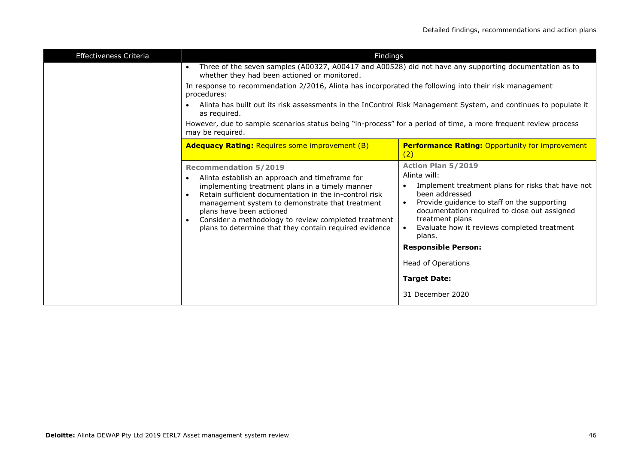| <b>Effectiveness Criteria</b><br>Findings                                                                                                                                                                                                                                                                                                                                                                              |                                                                                                                                                                                                                                                                                                                                                                                            |
|------------------------------------------------------------------------------------------------------------------------------------------------------------------------------------------------------------------------------------------------------------------------------------------------------------------------------------------------------------------------------------------------------------------------|--------------------------------------------------------------------------------------------------------------------------------------------------------------------------------------------------------------------------------------------------------------------------------------------------------------------------------------------------------------------------------------------|
| Three of the seven samples (A00327, A00417 and A00528) did not have any supporting documentation as to<br>$\bullet$<br>whether they had been actioned or monitored.                                                                                                                                                                                                                                                    |                                                                                                                                                                                                                                                                                                                                                                                            |
| In response to recommendation 2/2016, Alinta has incorporated the following into their risk management<br>procedures:                                                                                                                                                                                                                                                                                                  |                                                                                                                                                                                                                                                                                                                                                                                            |
| Alinta has built out its risk assessments in the InControl Risk Management System, and continues to populate it<br>$\bullet$<br>as required.                                                                                                                                                                                                                                                                           |                                                                                                                                                                                                                                                                                                                                                                                            |
| However, due to sample scenarios status being "in-process" for a period of time, a more frequent review process<br>may be required.                                                                                                                                                                                                                                                                                    |                                                                                                                                                                                                                                                                                                                                                                                            |
| <b>Adequacy Rating: Requires some improvement (B)</b>                                                                                                                                                                                                                                                                                                                                                                  | <b>Performance Rating: Opportunity for improvement</b><br>(2)                                                                                                                                                                                                                                                                                                                              |
| <b>Recommendation 5/2019</b><br>Alinta establish an approach and timeframe for<br>$\bullet$<br>implementing treatment plans in a timely manner<br>Retain sufficient documentation in the in-control risk<br>$\bullet$<br>management system to demonstrate that treatment<br>plans have been actioned<br>Consider a methodology to review completed treatment<br>plans to determine that they contain required evidence | <b>Action Plan 5/2019</b><br>Alinta will:<br>Implement treatment plans for risks that have not<br>been addressed<br>Provide guidance to staff on the supporting<br>documentation required to close out assigned<br>treatment plans<br>Evaluate how it reviews completed treatment<br>plans.<br><b>Responsible Person:</b><br>Head of Operations<br><b>Target Date:</b><br>31 December 2020 |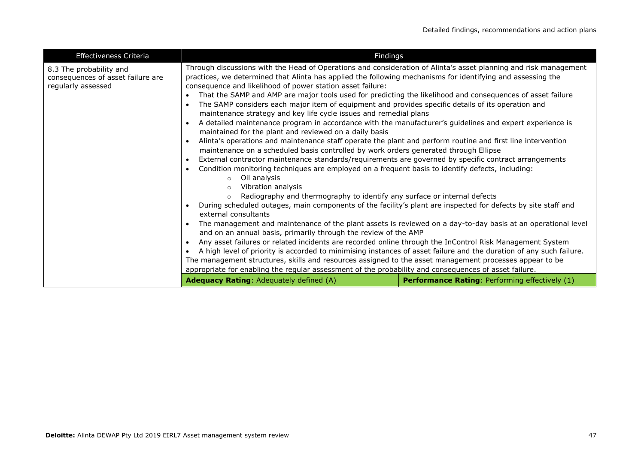| <b>Effectiveness Criteria</b>                                                      | Findings                                                                                                                                                                                                                                                                                                                                                                                                                                                                                                                                                                                                                                                                                                                                                                                                                                                                                                                                                                                                                                                                                                                                                                                                                                                                                                                                                                                                                                                                                                                                                                                                                                                                                                                                                                                                                                                                                                                                                                                                                                                                                                                                        |                                                       |
|------------------------------------------------------------------------------------|-------------------------------------------------------------------------------------------------------------------------------------------------------------------------------------------------------------------------------------------------------------------------------------------------------------------------------------------------------------------------------------------------------------------------------------------------------------------------------------------------------------------------------------------------------------------------------------------------------------------------------------------------------------------------------------------------------------------------------------------------------------------------------------------------------------------------------------------------------------------------------------------------------------------------------------------------------------------------------------------------------------------------------------------------------------------------------------------------------------------------------------------------------------------------------------------------------------------------------------------------------------------------------------------------------------------------------------------------------------------------------------------------------------------------------------------------------------------------------------------------------------------------------------------------------------------------------------------------------------------------------------------------------------------------------------------------------------------------------------------------------------------------------------------------------------------------------------------------------------------------------------------------------------------------------------------------------------------------------------------------------------------------------------------------------------------------------------------------------------------------------------------------|-------------------------------------------------------|
| 8.3 The probability and<br>consequences of asset failure are<br>regularly assessed | Through discussions with the Head of Operations and consideration of Alinta's asset planning and risk management<br>practices, we determined that Alinta has applied the following mechanisms for identifying and assessing the<br>consequence and likelihood of power station asset failure:<br>That the SAMP and AMP are major tools used for predicting the likelihood and consequences of asset failure<br>$\bullet$<br>The SAMP considers each major item of equipment and provides specific details of its operation and<br>$\bullet$<br>maintenance strategy and key life cycle issues and remedial plans<br>A detailed maintenance program in accordance with the manufacturer's guidelines and expert experience is<br>$\bullet$<br>maintained for the plant and reviewed on a daily basis<br>Alinta's operations and maintenance staff operate the plant and perform routine and first line intervention<br>$\bullet$<br>maintenance on a scheduled basis controlled by work orders generated through Ellipse<br>External contractor maintenance standards/requirements are governed by specific contract arrangements<br>$\bullet$<br>Condition monitoring techniques are employed on a frequent basis to identify defects, including:<br>$\bullet$<br>Oil analysis<br>$\circ$<br>Vibration analysis<br>$\circ$<br>Radiography and thermography to identify any surface or internal defects<br>$\circ$<br>During scheduled outages, main components of the facility's plant are inspected for defects by site staff and<br>$\bullet$<br>external consultants<br>The management and maintenance of the plant assets is reviewed on a day-to-day basis at an operational level<br>$\bullet$<br>and on an annual basis, primarily through the review of the AMP<br>Any asset failures or related incidents are recorded online through the InControl Risk Management System<br>$\bullet$<br>A high level of priority is accorded to minimising instances of asset failure and the duration of any such failure.<br>$\bullet$<br>The management structures, skills and resources assigned to the asset management processes appear to be |                                                       |
|                                                                                    | appropriate for enabling the regular assessment of the probability and consequences of asset failure.<br><b>Adequacy Rating: Adequately defined (A)</b>                                                                                                                                                                                                                                                                                                                                                                                                                                                                                                                                                                                                                                                                                                                                                                                                                                                                                                                                                                                                                                                                                                                                                                                                                                                                                                                                                                                                                                                                                                                                                                                                                                                                                                                                                                                                                                                                                                                                                                                         | <b>Performance Rating: Performing effectively (1)</b> |
|                                                                                    |                                                                                                                                                                                                                                                                                                                                                                                                                                                                                                                                                                                                                                                                                                                                                                                                                                                                                                                                                                                                                                                                                                                                                                                                                                                                                                                                                                                                                                                                                                                                                                                                                                                                                                                                                                                                                                                                                                                                                                                                                                                                                                                                                 |                                                       |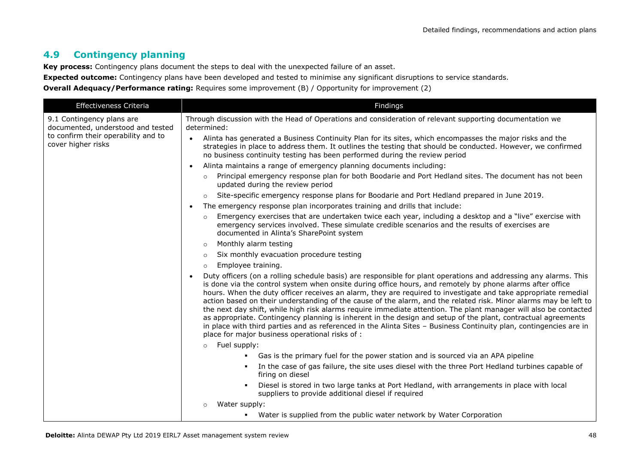# **4.9 Contingency planning**

**Key process:** Contingency plans document the steps to deal with the unexpected failure of an asset.

**Expected outcome:** Contingency plans have been developed and tested to minimise any significant disruptions to service standards.

**Overall Adequacy/Performance rating:** Requires some improvement (B) / Opportunity for improvement (2)

| <b>Effectiveness Criteria</b>                                  | Findings                                                                                                                                                                                                                                                                                                                                                                                                                                                                                                                                                                                                                                                                                                                                                                                                                                                                          |
|----------------------------------------------------------------|-----------------------------------------------------------------------------------------------------------------------------------------------------------------------------------------------------------------------------------------------------------------------------------------------------------------------------------------------------------------------------------------------------------------------------------------------------------------------------------------------------------------------------------------------------------------------------------------------------------------------------------------------------------------------------------------------------------------------------------------------------------------------------------------------------------------------------------------------------------------------------------|
| 9.1 Contingency plans are<br>documented, understood and tested | Through discussion with the Head of Operations and consideration of relevant supporting documentation we<br>determined:                                                                                                                                                                                                                                                                                                                                                                                                                                                                                                                                                                                                                                                                                                                                                           |
| to confirm their operability and to<br>cover higher risks      | Alinta has generated a Business Continuity Plan for its sites, which encompasses the major risks and the<br>$\bullet$<br>strategies in place to address them. It outlines the testing that should be conducted. However, we confirmed<br>no business continuity testing has been performed during the review period                                                                                                                                                                                                                                                                                                                                                                                                                                                                                                                                                               |
|                                                                | Alinta maintains a range of emergency planning documents including:<br>$\bullet$                                                                                                                                                                                                                                                                                                                                                                                                                                                                                                                                                                                                                                                                                                                                                                                                  |
|                                                                | Principal emergency response plan for both Boodarie and Port Hedland sites. The document has not been<br>$\circ$<br>updated during the review period                                                                                                                                                                                                                                                                                                                                                                                                                                                                                                                                                                                                                                                                                                                              |
|                                                                | Site-specific emergency response plans for Boodarie and Port Hedland prepared in June 2019.<br>$\circ$                                                                                                                                                                                                                                                                                                                                                                                                                                                                                                                                                                                                                                                                                                                                                                            |
|                                                                | The emergency response plan incorporates training and drills that include:                                                                                                                                                                                                                                                                                                                                                                                                                                                                                                                                                                                                                                                                                                                                                                                                        |
|                                                                | Emergency exercises that are undertaken twice each year, including a desktop and a "live" exercise with<br>$\circ$<br>emergency services involved. These simulate credible scenarios and the results of exercises are<br>documented in Alinta's SharePoint system                                                                                                                                                                                                                                                                                                                                                                                                                                                                                                                                                                                                                 |
|                                                                | Monthly alarm testing                                                                                                                                                                                                                                                                                                                                                                                                                                                                                                                                                                                                                                                                                                                                                                                                                                                             |
|                                                                | Six monthly evacuation procedure testing<br>$\circ$                                                                                                                                                                                                                                                                                                                                                                                                                                                                                                                                                                                                                                                                                                                                                                                                                               |
|                                                                | Employee training.<br>$\circ$                                                                                                                                                                                                                                                                                                                                                                                                                                                                                                                                                                                                                                                                                                                                                                                                                                                     |
|                                                                | Duty officers (on a rolling schedule basis) are responsible for plant operations and addressing any alarms. This<br>is done via the control system when onsite during office hours, and remotely by phone alarms after office<br>hours. When the duty officer receives an alarm, they are required to investigate and take appropriate remedial<br>action based on their understanding of the cause of the alarm, and the related risk. Minor alarms may be left to<br>the next day shift, while high risk alarms require immediate attention. The plant manager will also be contacted<br>as appropriate. Contingency planning is inherent in the design and setup of the plant, contractual agreements<br>in place with third parties and as referenced in the Alinta Sites - Business Continuity plan, contingencies are in<br>place for major business operational risks of : |
|                                                                | Fuel supply:<br>$\circ$                                                                                                                                                                                                                                                                                                                                                                                                                                                                                                                                                                                                                                                                                                                                                                                                                                                           |
|                                                                | Gas is the primary fuel for the power station and is sourced via an APA pipeline<br>$\blacksquare$                                                                                                                                                                                                                                                                                                                                                                                                                                                                                                                                                                                                                                                                                                                                                                                |
|                                                                | In the case of gas failure, the site uses diesel with the three Port Hedland turbines capable of<br>٠<br>firing on diesel                                                                                                                                                                                                                                                                                                                                                                                                                                                                                                                                                                                                                                                                                                                                                         |
|                                                                | Diesel is stored in two large tanks at Port Hedland, with arrangements in place with local<br>$\blacksquare$<br>suppliers to provide additional diesel if required                                                                                                                                                                                                                                                                                                                                                                                                                                                                                                                                                                                                                                                                                                                |
|                                                                | Water supply:                                                                                                                                                                                                                                                                                                                                                                                                                                                                                                                                                                                                                                                                                                                                                                                                                                                                     |
|                                                                | • Water is supplied from the public water network by Water Corporation                                                                                                                                                                                                                                                                                                                                                                                                                                                                                                                                                                                                                                                                                                                                                                                                            |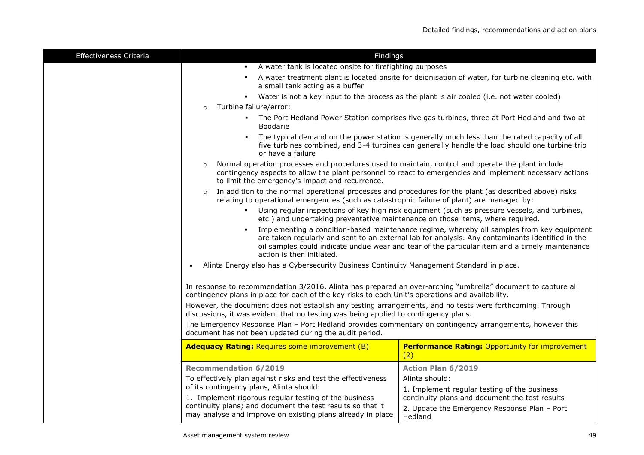| Effectiveness Criteria | Findings                                                                                                                                                                                                                                                                                                                                                                                                               |                                                                                                                                                                                                 |  |
|------------------------|------------------------------------------------------------------------------------------------------------------------------------------------------------------------------------------------------------------------------------------------------------------------------------------------------------------------------------------------------------------------------------------------------------------------|-------------------------------------------------------------------------------------------------------------------------------------------------------------------------------------------------|--|
|                        | A water tank is located onsite for firefighting purposes<br>$\blacksquare$                                                                                                                                                                                                                                                                                                                                             |                                                                                                                                                                                                 |  |
|                        | a small tank acting as a buffer                                                                                                                                                                                                                                                                                                                                                                                        | A water treatment plant is located onsite for deionisation of water, for turbine cleaning etc. with                                                                                             |  |
|                        | • Water is not a key input to the process as the plant is air cooled (i.e. not water cooled)                                                                                                                                                                                                                                                                                                                           |                                                                                                                                                                                                 |  |
|                        | Turbine failure/error:<br>$\circ$                                                                                                                                                                                                                                                                                                                                                                                      |                                                                                                                                                                                                 |  |
|                        | Boodarie                                                                                                                                                                                                                                                                                                                                                                                                               | . The Port Hedland Power Station comprises five gas turbines, three at Port Hedland and two at                                                                                                  |  |
|                        | $\blacksquare$<br>or have a failure                                                                                                                                                                                                                                                                                                                                                                                    | The typical demand on the power station is generally much less than the rated capacity of all<br>five turbines combined, and 3-4 turbines can generally handle the load should one turbine trip |  |
|                        | Normal operation processes and procedures used to maintain, control and operate the plant include<br>to limit the emergency's impact and recurrence.                                                                                                                                                                                                                                                                   | contingency aspects to allow the plant personnel to react to emergencies and implement necessary actions                                                                                        |  |
|                        | In addition to the normal operational processes and procedures for the plant (as described above) risks<br>$\circ$<br>relating to operational emergencies (such as catastrophic failure of plant) are managed by:<br>Using regular inspections of key high risk equipment (such as pressure vessels, and turbines,<br>$\blacksquare$<br>etc.) and undertaking preventative maintenance on those items, where required. |                                                                                                                                                                                                 |  |
|                        |                                                                                                                                                                                                                                                                                                                                                                                                                        |                                                                                                                                                                                                 |  |
|                        | Implementing a condition-based maintenance regime, whereby oil samples from key equipment<br>are taken regularly and sent to an external lab for analysis. Any contaminants identified in the<br>oil samples could indicate undue wear and tear of the particular item and a timely maintenance<br>action is then initiated.                                                                                           |                                                                                                                                                                                                 |  |
|                        | Alinta Energy also has a Cybersecurity Business Continuity Management Standard in place.                                                                                                                                                                                                                                                                                                                               |                                                                                                                                                                                                 |  |
|                        | In response to recommendation 3/2016, Alinta has prepared an over-arching "umbrella" document to capture all<br>contingency plans in place for each of the key risks to each Unit's operations and availability.                                                                                                                                                                                                       |                                                                                                                                                                                                 |  |
|                        | However, the document does not establish any testing arrangements, and no tests were forthcoming. Through<br>discussions, it was evident that no testing was being applied to contingency plans.                                                                                                                                                                                                                       |                                                                                                                                                                                                 |  |
|                        | The Emergency Response Plan - Port Hedland provides commentary on contingency arrangements, however this<br>document has not been updated during the audit period.                                                                                                                                                                                                                                                     |                                                                                                                                                                                                 |  |
|                        | <b>Adequacy Rating: Requires some improvement (B)</b>                                                                                                                                                                                                                                                                                                                                                                  | <b>Performance Rating: Opportunity for improvement</b><br>(2)                                                                                                                                   |  |
|                        | <b>Recommendation 6/2019</b>                                                                                                                                                                                                                                                                                                                                                                                           | Action Plan 6/2019                                                                                                                                                                              |  |
|                        | To effectively plan against risks and test the effectiveness                                                                                                                                                                                                                                                                                                                                                           | Alinta should:                                                                                                                                                                                  |  |
|                        | of its contingency plans, Alinta should:                                                                                                                                                                                                                                                                                                                                                                               | 1. Implement regular testing of the business                                                                                                                                                    |  |
|                        | 1. Implement rigorous regular testing of the business                                                                                                                                                                                                                                                                                                                                                                  | continuity plans and document the test results                                                                                                                                                  |  |
|                        | continuity plans; and document the test results so that it<br>may analyse and improve on existing plans already in place                                                                                                                                                                                                                                                                                               | 2. Update the Emergency Response Plan - Port<br>Hedland                                                                                                                                         |  |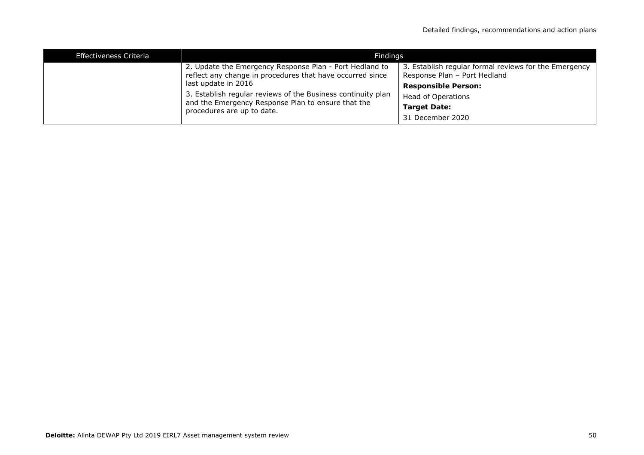| <b>Effectiveness Criteria</b>                                                                                                                    | Findings                                                                                                             |                                                                                       |  |
|--------------------------------------------------------------------------------------------------------------------------------------------------|----------------------------------------------------------------------------------------------------------------------|---------------------------------------------------------------------------------------|--|
|                                                                                                                                                  | 2. Update the Emergency Response Plan - Port Hedland to<br>reflect any change in procedures that have occurred since | 3. Establish regular formal reviews for the Emergency<br>Response Plan - Port Hedland |  |
|                                                                                                                                                  | last update in 2016                                                                                                  | <b>Responsible Person:</b>                                                            |  |
| 3. Establish regular reviews of the Business continuity plan<br>and the Emergency Response Plan to ensure that the<br>procedures are up to date. | Head of Operations                                                                                                   |                                                                                       |  |
|                                                                                                                                                  | <b>Target Date:</b>                                                                                                  |                                                                                       |  |
|                                                                                                                                                  |                                                                                                                      | 31 December 2020                                                                      |  |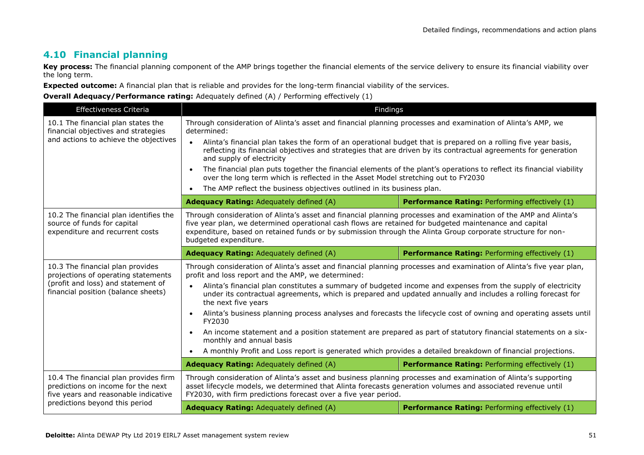### **4.10 Financial planning**

Key process: The financial planning component of the AMP brings together the financial elements of the service delivery to ensure its financial viability over the long term.

**Expected outcome:** A financial plan that is reliable and provides for the long-term financial viability of the services.

| Effectiveness Criteria                                                                                                                                | Findings                                                                                                                                                                                                                                                                                                                                                           |                                                       |  |
|-------------------------------------------------------------------------------------------------------------------------------------------------------|--------------------------------------------------------------------------------------------------------------------------------------------------------------------------------------------------------------------------------------------------------------------------------------------------------------------------------------------------------------------|-------------------------------------------------------|--|
| 10.1 The financial plan states the<br>financial objectives and strategies<br>and actions to achieve the objectives                                    | Through consideration of Alinta's asset and financial planning processes and examination of Alinta's AMP, we<br>determined:                                                                                                                                                                                                                                        |                                                       |  |
|                                                                                                                                                       | Alinta's financial plan takes the form of an operational budget that is prepared on a rolling five year basis,<br>$\bullet$<br>reflecting its financial objectives and strategies that are driven by its contractual agreements for generation<br>and supply of electricity                                                                                        |                                                       |  |
|                                                                                                                                                       | The financial plan puts together the financial elements of the plant's operations to reflect its financial viability<br>over the long term which is reflected in the Asset Model stretching out to FY2030                                                                                                                                                          |                                                       |  |
|                                                                                                                                                       | The AMP reflect the business objectives outlined in its business plan.<br>$\bullet$                                                                                                                                                                                                                                                                                |                                                       |  |
|                                                                                                                                                       | <b>Adequacy Rating: Adequately defined (A)</b>                                                                                                                                                                                                                                                                                                                     | Performance Rating: Performing effectively (1)        |  |
| 10.2 The financial plan identifies the<br>source of funds for capital<br>expenditure and recurrent costs                                              | Through consideration of Alinta's asset and financial planning processes and examination of the AMP and Alinta's<br>five year plan, we determined operational cash flows are retained for budgeted maintenance and capital<br>expenditure, based on retained funds or by submission through the Alinta Group corporate structure for non-<br>budgeted expenditure. |                                                       |  |
|                                                                                                                                                       | <b>Adequacy Rating: Adequately defined (A)</b>                                                                                                                                                                                                                                                                                                                     | <b>Performance Rating: Performing effectively (1)</b> |  |
| 10.3 The financial plan provides<br>projections of operating statements                                                                               | Through consideration of Alinta's asset and financial planning processes and examination of Alinta's five year plan,<br>profit and loss report and the AMP, we determined:                                                                                                                                                                                         |                                                       |  |
| (profit and loss) and statement of<br>financial position (balance sheets)                                                                             | Alinta's financial plan constitutes a summary of budgeted income and expenses from the supply of electricity<br>under its contractual agreements, which is prepared and updated annually and includes a rolling forecast for<br>the next five years                                                                                                                |                                                       |  |
|                                                                                                                                                       | Alinta's business planning process analyses and forecasts the lifecycle cost of owning and operating assets until<br>FY2030                                                                                                                                                                                                                                        |                                                       |  |
|                                                                                                                                                       | An income statement and a position statement are prepared as part of statutory financial statements on a six-<br>monthly and annual basis                                                                                                                                                                                                                          |                                                       |  |
|                                                                                                                                                       | A monthly Profit and Loss report is generated which provides a detailed breakdown of financial projections.                                                                                                                                                                                                                                                        |                                                       |  |
|                                                                                                                                                       | <b>Adequacy Rating: Adequately defined (A)</b>                                                                                                                                                                                                                                                                                                                     | Performance Rating: Performing effectively (1)        |  |
| 10.4 The financial plan provides firm<br>predictions on income for the next<br>five years and reasonable indicative<br>predictions beyond this period | Through consideration of Alinta's asset and business planning processes and examination of Alinta's supporting<br>asset lifecycle models, we determined that Alinta forecasts generation volumes and associated revenue until<br>FY2030, with firm predictions forecast over a five year period.                                                                   |                                                       |  |
|                                                                                                                                                       | Adequacy Rating: Adequately defined (A)                                                                                                                                                                                                                                                                                                                            | Performance Rating: Performing effectively (1)        |  |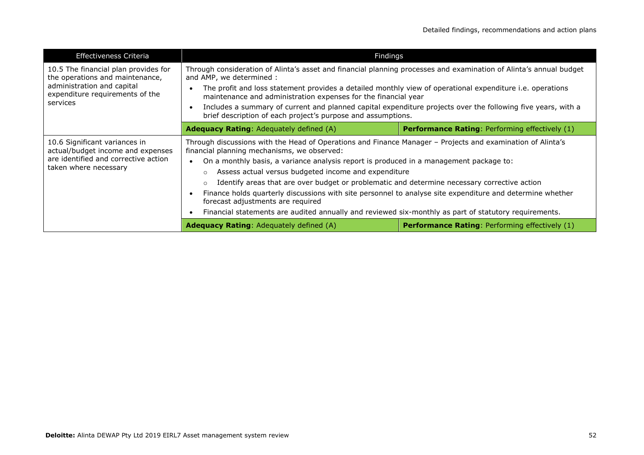| <b>Effectiveness Criteria</b>                                                                                                                        | Findings                                                                                                                                                                                                                                                                                                                                                                                                                                                                                                                                                                                                                                                               |                                                       |
|------------------------------------------------------------------------------------------------------------------------------------------------------|------------------------------------------------------------------------------------------------------------------------------------------------------------------------------------------------------------------------------------------------------------------------------------------------------------------------------------------------------------------------------------------------------------------------------------------------------------------------------------------------------------------------------------------------------------------------------------------------------------------------------------------------------------------------|-------------------------------------------------------|
| 10.5 The financial plan provides for<br>the operations and maintenance,<br>administration and capital<br>expenditure requirements of the<br>services | Through consideration of Alinta's asset and financial planning processes and examination of Alinta's annual budget<br>and AMP, we determined :<br>The profit and loss statement provides a detailed monthly view of operational expenditure i.e. operations<br>maintenance and administration expenses for the financial year<br>Includes a summary of current and planned capital expenditure projects over the following five years, with a<br>brief description of each project's purpose and assumptions.                                                                                                                                                          |                                                       |
|                                                                                                                                                      | <b>Performance Rating: Performing effectively (1)</b><br><b>Adequacy Rating: Adequately defined (A)</b>                                                                                                                                                                                                                                                                                                                                                                                                                                                                                                                                                                |                                                       |
| 10.6 Significant variances in<br>actual/budget income and expenses<br>are identified and corrective action<br>taken where necessary                  | Through discussions with the Head of Operations and Finance Manager - Projects and examination of Alinta's<br>financial planning mechanisms, we observed:<br>On a monthly basis, a variance analysis report is produced in a management package to:<br>Assess actual versus budgeted income and expenditure<br>Identify areas that are over budget or problematic and determine necessary corrective action<br>Finance holds quarterly discussions with site personnel to analyse site expenditure and determine whether<br>forecast adjustments are required<br>Financial statements are audited annually and reviewed six-monthly as part of statutory requirements. |                                                       |
|                                                                                                                                                      | <b>Adequacy Rating:</b> Adequately defined (A)                                                                                                                                                                                                                                                                                                                                                                                                                                                                                                                                                                                                                         | <b>Performance Rating: Performing effectively (1)</b> |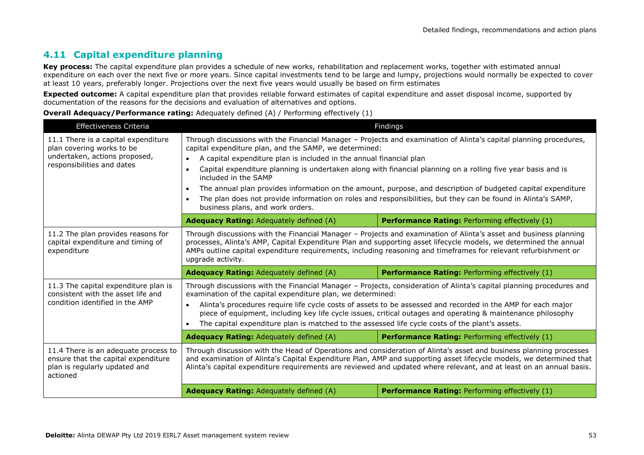# **4.11 Capital expenditure planning**

Key process: The capital expenditure plan provides a schedule of new works, rehabilitation and replacement works, together with estimated annual expenditure on each over the next five or more years. Since capital investments tend to be large and lumpy, projections would normally be expected to cover at least 10 years, preferably longer. Projections over the next five years would usually be based on firm estimates

**Expected outcome:** A capital expenditure plan that provides reliable forward estimates of capital expenditure and asset disposal income, supported by documentation of the reasons for the decisions and evaluation of alternatives and options.

| <b>Effectiveness Criteria</b>                                                                                            |                                                                                                                                                                                                                                                                                                                                                                                | Findings                                                                                                     |  |
|--------------------------------------------------------------------------------------------------------------------------|--------------------------------------------------------------------------------------------------------------------------------------------------------------------------------------------------------------------------------------------------------------------------------------------------------------------------------------------------------------------------------|--------------------------------------------------------------------------------------------------------------|--|
| 11.1 There is a capital expenditure<br>plan covering works to be                                                         | Through discussions with the Financial Manager - Projects and examination of Alinta's capital planning procedures,<br>capital expenditure plan, and the SAMP, we determined:                                                                                                                                                                                                   |                                                                                                              |  |
| undertaken, actions proposed,                                                                                            | A capital expenditure plan is included in the annual financial plan<br>$\bullet$                                                                                                                                                                                                                                                                                               |                                                                                                              |  |
| responsibilities and dates                                                                                               | Capital expenditure planning is undertaken along with financial planning on a rolling five year basis and is<br>$\bullet$<br>included in the SAMP                                                                                                                                                                                                                              |                                                                                                              |  |
|                                                                                                                          | $\bullet$                                                                                                                                                                                                                                                                                                                                                                      | The annual plan provides information on the amount, purpose, and description of budgeted capital expenditure |  |
|                                                                                                                          | The plan does not provide information on roles and responsibilities, but they can be found in Alinta's SAMP,<br>$\bullet$<br>business plans, and work orders.                                                                                                                                                                                                                  |                                                                                                              |  |
|                                                                                                                          | <b>Adequacy Rating:</b> Adequately defined (A)                                                                                                                                                                                                                                                                                                                                 | <b>Performance Rating: Performing effectively (1)</b>                                                        |  |
| 11.2 The plan provides reasons for<br>capital expenditure and timing of<br>expenditure                                   | Through discussions with the Financial Manager - Projects and examination of Alinta's asset and business planning<br>processes, Alinta's AMP, Capital Expenditure Plan and supporting asset lifecycle models, we determined the annual<br>AMPs outline capital expenditure requirements, including reasoning and timeframes for relevant refurbishment or<br>upgrade activity. |                                                                                                              |  |
|                                                                                                                          | <b>Adequacy Rating: Adequately defined (A)</b>                                                                                                                                                                                                                                                                                                                                 | Performance Rating: Performing effectively (1)                                                               |  |
| 11.3 The capital expenditure plan is<br>consistent with the asset life and                                               | Through discussions with the Financial Manager - Projects, consideration of Alinta's capital planning procedures and<br>examination of the capital expenditure plan, we determined:                                                                                                                                                                                            |                                                                                                              |  |
| condition identified in the AMP                                                                                          | Alinta's procedures require life cycle costs of assets to be assessed and recorded in the AMP for each major<br>$\bullet$<br>piece of equipment, including key life cycle issues, critical outages and operating & maintenance philosophy<br>The capital expenditure plan is matched to the assessed life cycle costs of the plant's assets.                                   |                                                                                                              |  |
|                                                                                                                          |                                                                                                                                                                                                                                                                                                                                                                                |                                                                                                              |  |
|                                                                                                                          | <b>Adequacy Rating: Adequately defined (A)</b>                                                                                                                                                                                                                                                                                                                                 | <b>Performance Rating: Performing effectively (1)</b>                                                        |  |
| 11.4 There is an adequate process to<br>ensure that the capital expenditure<br>plan is regularly updated and<br>actioned | Through discussion with the Head of Operations and consideration of Alinta's asset and business planning processes<br>and examination of Alinta's Capital Expenditure Plan, AMP and supporting asset lifecycle models, we determined that<br>Alinta's capital expenditure requirements are reviewed and updated where relevant, and at least on an annual basis.               |                                                                                                              |  |
|                                                                                                                          | <b>Adequacy Rating:</b> Adequately defined (A)                                                                                                                                                                                                                                                                                                                                 | <b>Performance Rating: Performing effectively (1)</b>                                                        |  |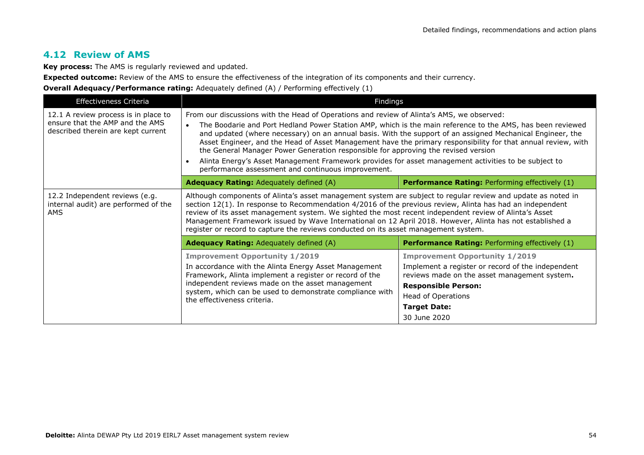# **4.12 Review of AMS**

**Key process:** The AMS is regularly reviewed and updated.

**Expected outcome:** Review of the AMS to ensure the effectiveness of the integration of its components and their currency.

| Effectiveness Criteria                                                                                        | Findings                                                                                                                                                                                                                                                                                                                                                                                                                                                                                                                                                                                                                                                                                                |                                                                                                                                                                                                                                       |  |
|---------------------------------------------------------------------------------------------------------------|---------------------------------------------------------------------------------------------------------------------------------------------------------------------------------------------------------------------------------------------------------------------------------------------------------------------------------------------------------------------------------------------------------------------------------------------------------------------------------------------------------------------------------------------------------------------------------------------------------------------------------------------------------------------------------------------------------|---------------------------------------------------------------------------------------------------------------------------------------------------------------------------------------------------------------------------------------|--|
| 12.1 A review process is in place to<br>ensure that the AMP and the AMS<br>described therein are kept current | From our discussions with the Head of Operations and review of Alinta's AMS, we observed:<br>The Boodarie and Port Hedland Power Station AMP, which is the main reference to the AMS, has been reviewed<br>and updated (where necessary) on an annual basis. With the support of an assigned Mechanical Engineer, the<br>Asset Engineer, and the Head of Asset Management have the primary responsibility for that annual review, with<br>the General Manager Power Generation responsible for approving the revised version<br>Alinta Energy's Asset Management Framework provides for asset management activities to be subject to<br>$\bullet$<br>performance assessment and continuous improvement. |                                                                                                                                                                                                                                       |  |
|                                                                                                               | <b>Adequacy Rating:</b> Adequately defined (A)                                                                                                                                                                                                                                                                                                                                                                                                                                                                                                                                                                                                                                                          | <b>Performance Rating: Performing effectively (1)</b>                                                                                                                                                                                 |  |
| 12.2 Independent reviews (e.g.<br>internal audit) are performed of the<br><b>AMS</b>                          | Although components of Alinta's asset management system are subject to regular review and update as noted in<br>section 12(1). In response to Recommendation 4/2016 of the previous review, Alinta has had an independent<br>review of its asset management system. We sighted the most recent independent review of Alinta's Asset<br>Management Framework issued by Wave International on 12 April 2018. However, Alinta has not established a<br>register or record to capture the reviews conducted on its asset management system.                                                                                                                                                                 |                                                                                                                                                                                                                                       |  |
|                                                                                                               | <b>Adequacy Rating:</b> Adequately defined (A)                                                                                                                                                                                                                                                                                                                                                                                                                                                                                                                                                                                                                                                          | <b>Performance Rating:</b> Performing effectively (1)                                                                                                                                                                                 |  |
|                                                                                                               | <b>Improvement Opportunity 1/2019</b><br>In accordance with the Alinta Energy Asset Management<br>Framework, Alinta implement a register or record of the<br>independent reviews made on the asset management<br>system, which can be used to demonstrate compliance with<br>the effectiveness criteria.                                                                                                                                                                                                                                                                                                                                                                                                | <b>Improvement Opportunity 1/2019</b><br>Implement a register or record of the independent<br>reviews made on the asset management system.<br><b>Responsible Person:</b><br>Head of Operations<br><b>Target Date:</b><br>30 June 2020 |  |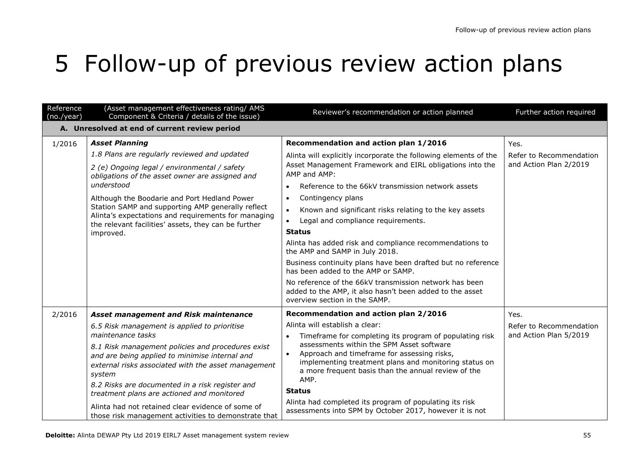# 5 Follow-up of previous review action plans

| Reference<br>(no./year)                                                                                                                                                                                                 | (Asset management effectiveness rating/ AMS<br>Component & Criteria / details of the issue)                                                                                                                                   | Reviewer's recommendation or action planned                                                                                                         | Further action required |
|-------------------------------------------------------------------------------------------------------------------------------------------------------------------------------------------------------------------------|-------------------------------------------------------------------------------------------------------------------------------------------------------------------------------------------------------------------------------|-----------------------------------------------------------------------------------------------------------------------------------------------------|-------------------------|
| A. Unresolved at end of current review period                                                                                                                                                                           |                                                                                                                                                                                                                               |                                                                                                                                                     |                         |
| 1/2016                                                                                                                                                                                                                  | <b>Asset Planning</b>                                                                                                                                                                                                         | Recommendation and action plan 1/2016                                                                                                               | Yes.                    |
|                                                                                                                                                                                                                         | 1.8 Plans are regularly reviewed and updated                                                                                                                                                                                  | Alinta will explicitly incorporate the following elements of the                                                                                    | Refer to Recommendation |
|                                                                                                                                                                                                                         | 2 (e) Ongoing legal / environmental / safety<br>obligations of the asset owner are assigned and                                                                                                                               | Asset Management Framework and EIRL obligations into the<br>AMP and AMP:                                                                            | and Action Plan 2/2019  |
|                                                                                                                                                                                                                         | understood                                                                                                                                                                                                                    | Reference to the 66kV transmission network assets                                                                                                   |                         |
|                                                                                                                                                                                                                         | Although the Boodarie and Port Hedland Power                                                                                                                                                                                  | Contingency plans<br>$\bullet$                                                                                                                      |                         |
|                                                                                                                                                                                                                         | Station SAMP and supporting AMP generally reflect<br>Alinta's expectations and requirements for managing                                                                                                                      | Known and significant risks relating to the key assets<br>$\bullet$                                                                                 |                         |
|                                                                                                                                                                                                                         | the relevant facilities' assets, they can be further                                                                                                                                                                          | Legal and compliance requirements.<br>$\bullet$                                                                                                     |                         |
|                                                                                                                                                                                                                         | improved.                                                                                                                                                                                                                     | <b>Status</b>                                                                                                                                       |                         |
|                                                                                                                                                                                                                         |                                                                                                                                                                                                                               | Alinta has added risk and compliance recommendations to<br>the AMP and SAMP in July 2018.                                                           |                         |
|                                                                                                                                                                                                                         |                                                                                                                                                                                                                               | Business continuity plans have been drafted but no reference<br>has been added to the AMP or SAMP.                                                  |                         |
|                                                                                                                                                                                                                         |                                                                                                                                                                                                                               | No reference of the 66kV transmission network has been<br>added to the AMP, it also hasn't been added to the asset<br>overview section in the SAMP. |                         |
| 2/2016                                                                                                                                                                                                                  | Asset management and Risk maintenance                                                                                                                                                                                         | Recommendation and action plan 2/2016                                                                                                               | Yes.                    |
|                                                                                                                                                                                                                         | 6.5 Risk management is applied to prioritise                                                                                                                                                                                  | Alinta will establish a clear:                                                                                                                      | Refer to Recommendation |
|                                                                                                                                                                                                                         | maintenance tasks                                                                                                                                                                                                             | Timeframe for completing its program of populating risk<br>$\bullet$                                                                                | and Action Plan 5/2019  |
| 8.1 Risk management policies and procedures exist<br>and are being applied to minimise internal and<br>external risks associated with the asset management<br>system<br>8.2 Risks are documented in a risk register and | assessments within the SPM Asset software<br>Approach and timeframe for assessing risks,<br>$\bullet$<br>implementing treatment plans and monitoring status on<br>a more frequent basis than the annual review of the<br>AMP. |                                                                                                                                                     |                         |
|                                                                                                                                                                                                                         |                                                                                                                                                                                                                               | <b>Status</b>                                                                                                                                       |                         |
|                                                                                                                                                                                                                         | treatment plans are actioned and monitored<br>Alinta had not retained clear evidence of some of<br>those risk management activities to demonstrate that                                                                       | Alinta had completed its program of populating its risk<br>assessments into SPM by October 2017, however it is not                                  |                         |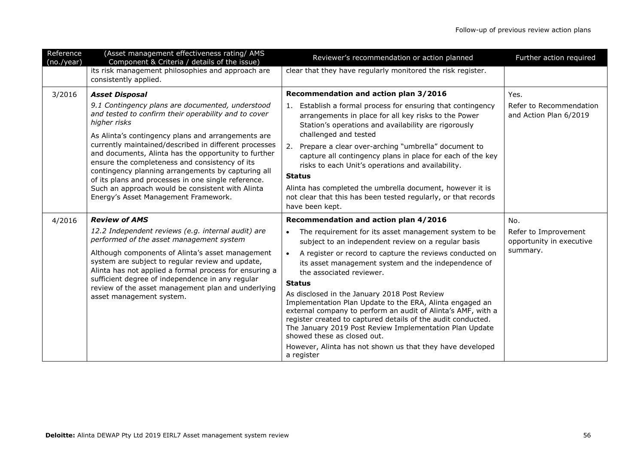| Reference<br>(no./year)                                                      | (Asset management effectiveness rating/ AMS<br>Component & Criteria / details of the issue)                                                                                                                                                                                  | Reviewer's recommendation or action planned                                                                                                                                                                                                                                                                                        | Further action required                           |
|------------------------------------------------------------------------------|------------------------------------------------------------------------------------------------------------------------------------------------------------------------------------------------------------------------------------------------------------------------------|------------------------------------------------------------------------------------------------------------------------------------------------------------------------------------------------------------------------------------------------------------------------------------------------------------------------------------|---------------------------------------------------|
|                                                                              | its risk management philosophies and approach are<br>consistently applied.                                                                                                                                                                                                   | clear that they have regularly monitored the risk register.                                                                                                                                                                                                                                                                        |                                                   |
| 3/2016                                                                       | <b>Asset Disposal</b>                                                                                                                                                                                                                                                        | Recommendation and action plan 3/2016                                                                                                                                                                                                                                                                                              | Yes.                                              |
|                                                                              | 9.1 Contingency plans are documented, understood<br>and tested to confirm their operability and to cover<br>higher risks<br>As Alinta's contingency plans and arrangements are                                                                                               | 1. Establish a formal process for ensuring that contingency<br>arrangements in place for all key risks to the Power<br>Station's operations and availability are rigorously<br>challenged and tested                                                                                                                               | Refer to Recommendation<br>and Action Plan 6/2019 |
|                                                                              | currently maintained/described in different processes<br>and documents, Alinta has the opportunity to further<br>ensure the completeness and consistency of its<br>contingency planning arrangements by capturing all<br>of its plans and processes in one single reference. | Prepare a clear over-arching "umbrella" document to<br>2.<br>capture all contingency plans in place for each of the key<br>risks to each Unit's operations and availability.<br><b>Status</b>                                                                                                                                      |                                                   |
|                                                                              | Such an approach would be consistent with Alinta<br>Energy's Asset Management Framework.                                                                                                                                                                                     | Alinta has completed the umbrella document, however it is<br>not clear that this has been tested regularly, or that records<br>have been kept.                                                                                                                                                                                     |                                                   |
| 4/2016                                                                       | <b>Review of AMS</b>                                                                                                                                                                                                                                                         | Recommendation and action plan 4/2016                                                                                                                                                                                                                                                                                              | No.                                               |
|                                                                              | 12.2 Independent reviews (e.g. internal audit) are<br>performed of the asset management system                                                                                                                                                                               | The requirement for its asset management system to be<br>$\bullet$<br>subject to an independent review on a regular basis                                                                                                                                                                                                          | Refer to Improvement<br>opportunity in executive  |
| sufficient degree of independence in any regular<br>asset management system. | Although components of Alinta's asset management<br>system are subject to regular review and update,<br>Alinta has not applied a formal process for ensuring a                                                                                                               | A register or record to capture the reviews conducted on<br>$\bullet$<br>its asset management system and the independence of<br>the associated reviewer.                                                                                                                                                                           | summary.                                          |
|                                                                              | review of the asset management plan and underlying                                                                                                                                                                                                                           | <b>Status</b>                                                                                                                                                                                                                                                                                                                      |                                                   |
|                                                                              |                                                                                                                                                                                                                                                                              | As disclosed in the January 2018 Post Review<br>Implementation Plan Update to the ERA, Alinta engaged an<br>external company to perform an audit of Alinta's AMF, with a<br>register created to captured details of the audit conducted.<br>The January 2019 Post Review Implementation Plan Update<br>showed these as closed out. |                                                   |
|                                                                              |                                                                                                                                                                                                                                                                              | However, Alinta has not shown us that they have developed<br>a register                                                                                                                                                                                                                                                            |                                                   |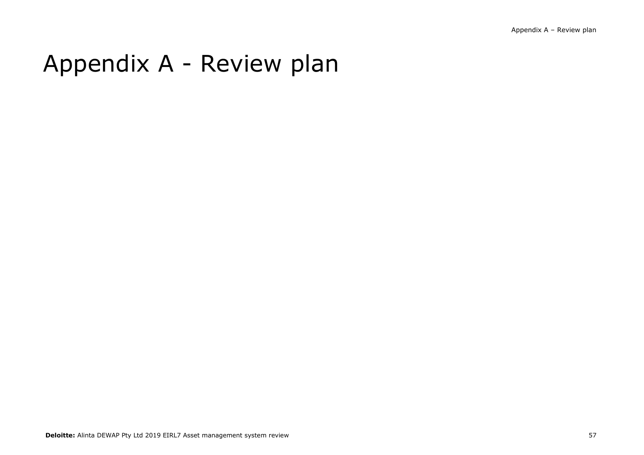# Appendix A - Review plan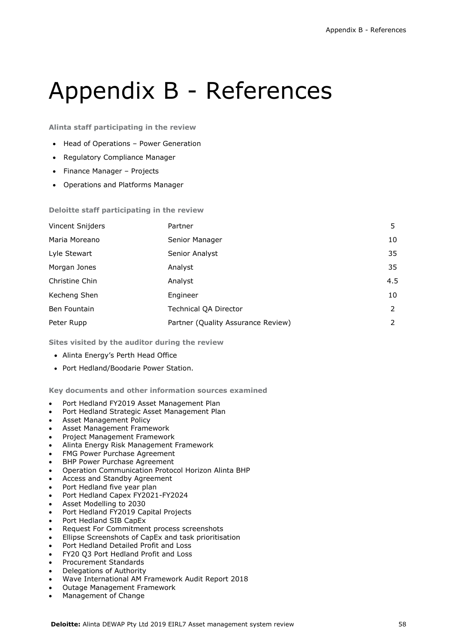# Appendix B - References

**Alinta staff participating in the review** 

- Head of Operations Power Generation
- Regulatory Compliance Manager
- Finance Manager Projects
- Operations and Platforms Manager

**Deloitte staff participating in the review**

| Vincent Snijders | Partner                            | 5.  |
|------------------|------------------------------------|-----|
| Maria Moreano    | Senior Manager                     | 10  |
| Lyle Stewart     | Senior Analyst                     | 35  |
| Morgan Jones     | Analyst                            | 35  |
| Christine Chin   | Analyst                            | 4.5 |
| Kecheng Shen     | Engineer                           | 10  |
| Ben Fountain     | <b>Technical QA Director</b>       | 2   |
| Peter Rupp       | Partner (Quality Assurance Review) | 2   |

**Sites visited by the auditor during the review** 

- Alinta Energy's Perth Head Office
- Port Hedland/Boodarie Power Station.

**Key documents and other information sources examined** 

- Port Hedland FY2019 Asset Management Plan
- Port Hedland Strategic Asset Management Plan
- Asset Management Policy
- Asset Management Framework
- Project Management Framework
- Alinta Energy Risk Management Framework
- FMG Power Purchase Agreement
- BHP Power Purchase Agreement
- Operation Communication Protocol Horizon Alinta BHP
- Access and Standby Agreement
- Port Hedland five year plan
- Port Hedland Capex FY2021-FY2024
- Asset Modelling to 2030
- Port Hedland FY2019 Capital Projects
- Port Hedland SIB CapEx
- Request For Commitment process screenshots
- Ellipse Screenshots of CapEx and task prioritisation
- Port Hedland Detailed Profit and Loss
- FY20 Q3 Port Hedland Profit and Loss
- Procurement Standards
- Delegations of Authority
- Wave International AM Framework Audit Report 2018
- Outage Management Framework
- Management of Change